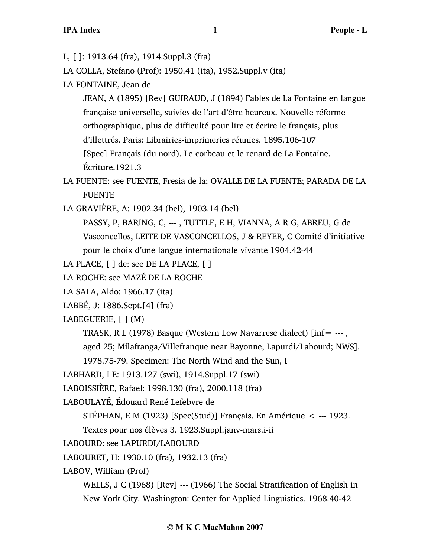- L, [ ]: 1913.64 (fra), 1914.Suppl.3 (fra)
- LA COLLA, Stefano (Prof): 1950.41 (ita), 1952.Suppl.v (ita)
- LA FONTAINE, Jean de

JEAN, A (1895) [Rev] GUIRAUD, J (1894) Fables de La Fontaine en langue française universelle, suivies de l'art d'être heureux. Nouvelle réforme orthographique, plus de difficulté pour lire et écrire le français, plus d'illettrés. Paris: Librairies-imprimeries réunies. 1895.106-107 [Spec] Français (du nord). Le corbeau et le renard de La Fontaine. Écriture.1921.3

- LA FUENTE: see FUENTE, Fresia de la; OVALLE DE LA FUENTE; PARADA DE LA FUENTE
- LA GRAVIÈRE, A: 1902.34 (bel), 1903.14 (bel)

PASSY, P, BARING, C, --- , TUTTLE, E H, VIANNA, A R G, ABREU, G de Vasconcellos, LEITE DE VASCONCELLOS, J & REYER, C Comité d'initiative pour le choix d'une langue internationale vivante 1904.42-44

- LA PLACE,  $\lceil \cdot \rceil$  de: see DE LA PLACE,  $\lceil \cdot \rceil$
- LA ROCHE: see MAZÉ DE LA ROCHE
- LA SALA, Aldo: 1966.17 (ita)
- LABBÉ, J: 1886.Sept.[4] (fra)
- LABEGUERIE, [ ] (M)
	- TRASK, R L (1978) Basque (Western Low Navarrese dialect)  $\text{inf} = -1$ ,

aged 25; Milafranga/Villefranque near Bayonne, Lapurdi/Labourd; NWS].

1978.75-79. Specimen: The North Wind and the Sun, I

- LABHARD, I E: 1913.127 (swi), 1914.Suppl.17 (swi)
- LABOISSIÈRE, Rafael: 1998.130 (fra), 2000.118 (fra)
- LABOULAYÉ, Édouard René Lefebvre de
	- STÉPHAN, E M (1923) [Spec(Stud)] Français. En Amérique < --- 1923.
	- Textes pour nos élèves 3. 1923.Suppl.janv-mars.i-ii
- LABOURD: see LAPURDI/LABOURD
- LABOURET, H: 1930.10 (fra), 1932.13 (fra)
- LABOV, William (Prof)

WELLS, J C (1968) [Rev] --- (1966) The Social Stratification of English in New York City. Washington: Center for Applied Linguistics. 1968.40-42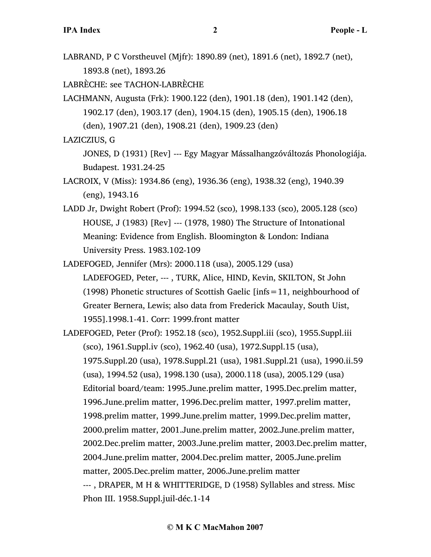LABRAND, P C Vorstheuvel (Mjfr): 1890.89 (net), 1891.6 (net), 1892.7 (net), 1893.8 (net), 1893.26

LABRÈCHE: see TACHON-LABRÈCHE

LACHMANN, Augusta (Frk): 1900.122 (den), 1901.18 (den), 1901.142 (den), 1902.17 (den), 1903.17 (den), 1904.15 (den), 1905.15 (den), 1906.18 (den), 1907.21 (den), 1908.21 (den), 1909.23 (den)

LAZICZIUS, G

JONES, D (1931) [Rev] --- Egy Magyar Mássalhangzóváltozás Phonologiája. Budapest. 1931.24-25

LACROIX, V (Miss): 1934.86 (eng), 1936.36 (eng), 1938.32 (eng), 1940.39 (eng), 1943.16

LADD Jr, Dwight Robert (Prof): 1994.52 (sco), 1998.133 (sco), 2005.128 (sco) HOUSE, J (1983) [Rev] --- (1978, 1980) The Structure of Intonational Meaning: Evidence from English. Bloomington & London: Indiana University Press. 1983.102-109

LADEFOGED, Jennifer (Mrs): 2000.118 (usa), 2005.129 (usa) LADEFOGED, Peter, --- , TURK, Alice, HIND, Kevin, SKILTON, St John (1998) Phonetic structures of Scottish Gaelic  $\text{links}=11$ , neighbourhood of Greater Bernera, Lewis; also data from Frederick Macaulay, South Uist, 1955].1998.1-41. Corr: 1999.front matter

LADEFOGED, Peter (Prof): 1952.18 (sco), 1952.Suppl.iii (sco), 1955.Suppl.iii (sco), 1961.Suppl.iv (sco), 1962.40 (usa), 1972.Suppl.15 (usa), 1975.Suppl.20 (usa), 1978.Suppl.21 (usa), 1981.Suppl.21 (usa), 1990.ii.59 (usa), 1994.52 (usa), 1998.130 (usa), 2000.118 (usa), 2005.129 (usa) Editorial board/team: 1995.June.prelim matter, 1995.Dec.prelim matter, 1996.June.prelim matter, 1996.Dec.prelim matter, 1997.prelim matter, 1998.prelim matter, 1999.June.prelim matter, 1999.Dec.prelim matter, 2000.prelim matter, 2001.June.prelim matter, 2002.June.prelim matter, 2002.Dec.prelim matter, 2003.June.prelim matter, 2003.Dec.prelim matter, 2004.June.prelim matter, 2004.Dec.prelim matter, 2005.June.prelim matter, 2005.Dec.prelim matter, 2006.June.prelim matter --- , DRAPER, M H & WHITTERIDGE, D (1958) Syllables and stress. Misc Phon III. 1958.Suppl.juil-déc.1-14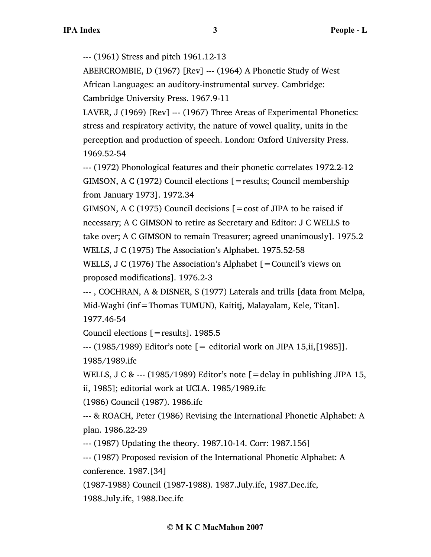--- (1961) Stress and pitch 1961.12-13

ABERCROMBIE, D (1967) [Rev] --- (1964) A Phonetic Study of West African Languages: an auditory-instrumental survey. Cambridge: Cambridge University Press. 1967.9-11

LAVER, J (1969) [Rev] --- (1967) Three Areas of Experimental Phonetics: stress and respiratory activity, the nature of vowel quality, units in the perception and production of speech. London: Oxford University Press. 1969.52-54

--- (1972) Phonological features and their phonetic correlates 1972.2-12 GIMSON, A C (1972) Council elections [=results; Council membership from January 1973]. 1972.34

GIMSON, A C (1975) Council decisions  $[ = \text{cost of JIPA to be raised if}]$ necessary; A C GIMSON to retire as Secretary and Editor: J C WELLS to take over; A C GIMSON to remain Treasurer; agreed unanimously]. 1975.2 WELLS, J C (1975) The Association's Alphabet. 1975.52-58

WELLS, J C (1976) The Association's Alphabet [=Council's views on proposed modifications]. 1976.2-3

--- , COCHRAN, A & DISNER, S (1977) Laterals and trills [data from Melpa, Mid-Waghi (inf=Thomas TUMUN), Kaititj, Malayalam, Kele, Titan]. 1977.46-54

Council elections [=results]. 1985.5

 $-$ -- (1985/1989) Editor's note  $=$  editorial work on JIPA 15,ii, [1985]]. 1985/1989.ifc

WELLS, J C & --- (1985/1989) Editor's note  $[$  = delay in publishing JIPA 15, ii, 1985]; editorial work at UCLA. 1985/1989.ifc

(1986) Council (1987). 1986.ifc

--- & ROACH, Peter (1986) Revising the International Phonetic Alphabet: A plan. 1986.22-29

--- (1987) Updating the theory. 1987.10-14. Corr: 1987.156]

--- (1987) Proposed revision of the International Phonetic Alphabet: A conference. 1987.[34]

(1987-1988) Council (1987-1988). 1987.July.ifc, 1987.Dec.ifc,

1988.July.ifc, 1988.Dec.ifc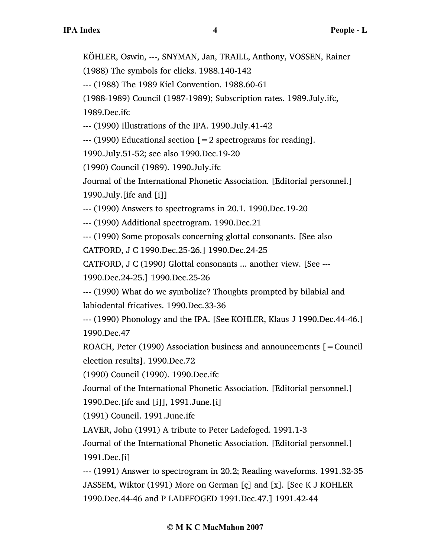KÖHLER, Oswin, ---, SNYMAN, Jan, TRAILL, Anthony, VOSSEN, Rainer

(1988) The symbols for clicks. 1988.140-142

--- (1988) The 1989 Kiel Convention. 1988.60-61

(1988-1989) Council (1987-1989); Subscription rates. 1989.July.ifc,

1989.Dec.ifc

--- (1990) Illustrations of the IPA. 1990.July.41-42

 $-$ --- (1990) Educational section  $\lceil = 2$  spectrograms for reading].

1990.July.51-52; see also 1990.Dec.19-20

(1990) Council (1989). 1990.July.ifc

Journal of the International Phonetic Association. [Editorial personnel.] 1990.July.[ifc and [i]]

--- (1990) Answers to spectrograms in 20.1. 1990.Dec.19-20

--- (1990) Additional spectrogram. 1990.Dec.21

--- (1990) Some proposals concerning glottal consonants. [See also

CATFORD, J C 1990.Dec.25-26.] 1990.Dec.24-25

CATFORD, J C (1990) Glottal consonants ... another view. [See ---

1990.Dec.24-25.] 1990.Dec.25-26

--- (1990) What do we symbolize? Thoughts prompted by bilabial and labiodental fricatives. 1990.Dec.33-36

--- (1990) Phonology and the IPA. [See KOHLER, Klaus J 1990.Dec.44-46.] 1990.Dec.47

ROACH, Peter (1990) Association business and announcements  $\mathbf{r} =$  Council election results]. 1990.Dec.72

(1990) Council (1990). 1990.Dec.ifc

Journal of the International Phonetic Association. [Editorial personnel.]

1990.Dec.[ifc and [i]], 1991.June.[i]

(1991) Council. 1991.June.ifc

LAVER, John (1991) A tribute to Peter Ladefoged. 1991.1-3

Journal of the International Phonetic Association. [Editorial personnel.] 1991.Dec.[i]

--- (1991) Answer to spectrogram in 20.2; Reading waveforms. 1991.32-35 JASSEM, Wiktor (1991) More on German [ç] and [x]. [See K J KOHLER 1990.Dec.44-46 and P LADEFOGED 1991.Dec.47.] 1991.42-44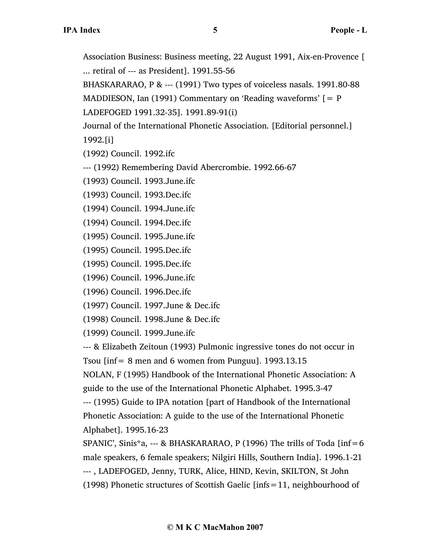Association Business: Business meeting, 22 August 1991, Aix-en-Provence [ ... retiral of --- as President]. 1991.55-56

BHASKARARAO, P & --- (1991) Two types of voiceless nasals. 1991.80-88

MADDIESON, Ian (1991) Commentary on 'Reading waveforms'  $\lceil P \rceil$ 

LADEFOGED 1991.32-35]. 1991.89-91(i)

Journal of the International Phonetic Association. [Editorial personnel.] 1992.[i]

(1992) Council. 1992.ifc

--- (1992) Remembering David Abercrombie. 1992.66-67

(1993) Council. 1993.June.ifc

(1993) Council. 1993.Dec.ifc

(1994) Council. 1994.June.ifc

(1994) Council. 1994.Dec.ifc

(1995) Council. 1995.June.ifc

(1995) Council. 1995.Dec.ifc

(1995) Council. 1995.Dec.ifc

(1996) Council. 1996.June.ifc

(1996) Council. 1996.Dec.ifc

(1997) Council. 1997.June & Dec.ifc

(1998) Council. 1998.June & Dec.ifc

(1999) Council. 1999.June.ifc

--- & Elizabeth Zeitoun (1993) Pulmonic ingressive tones do not occur in Tsou  $\text{inf} = 8$  men and 6 women from Punguu]. 1993.13.15

NOLAN, F (1995) Handbook of the International Phonetic Association: A guide to the use of the International Phonetic Alphabet. 1995.3-47

--- (1995) Guide to IPA notation [part of Handbook of the International Phonetic Association: A guide to the use of the International Phonetic Alphabet]. 1995.16-23

SPANIC', Sinis\*a, --- & BHASKARARAO, P (1996) The trills of Toda [inf=6 male speakers, 6 female speakers; Nilgiri Hills, Southern India]. 1996.1-21 --- , LADEFOGED, Jenny, TURK, Alice, HIND, Kevin, SKILTON, St John (1998) Phonetic structures of Scottish Gaelic [infs=11, neighbourhood of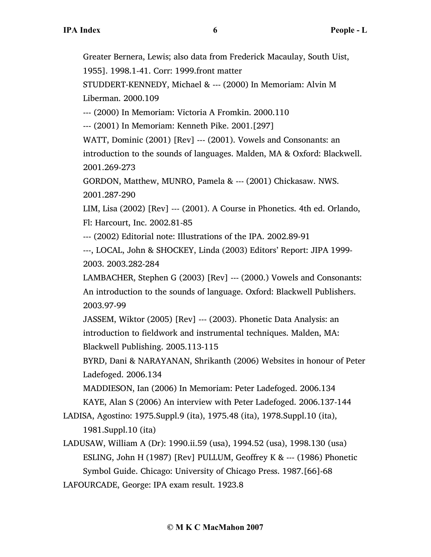Greater Bernera, Lewis; also data from Frederick Macaulay, South Uist,

1955]. 1998.1-41. Corr: 1999.front matter

STUDDERT-KENNEDY, Michael & --- (2000) In Memoriam: Alvin M Liberman. 2000.109

--- (2000) In Memoriam: Victoria A Fromkin. 2000.110

--- (2001) In Memoriam: Kenneth Pike. 2001.[297]

WATT, Dominic (2001) [Rev] --- (2001). Vowels and Consonants: an introduction to the sounds of languages. Malden, MA & Oxford: Blackwell. 2001.269-273

GORDON, Matthew, MUNRO, Pamela & --- (2001) Chickasaw. NWS. 2001.287-290

LIM, Lisa (2002) [Rev] --- (2001). A Course in Phonetics. 4th ed. Orlando, Fl: Harcourt, Inc. 2002.81-85

--- (2002) Editorial note: Illustrations of the IPA. 2002.89-91

---, LOCAL, John & SHOCKEY, Linda (2003) Editors' Report: JIPA 1999- 2003. 2003.282-284

LAMBACHER, Stephen G (2003) [Rev] --- (2000.) Vowels and Consonants: An introduction to the sounds of language. Oxford: Blackwell Publishers. 2003.97-99

JASSEM, Wiktor (2005) [Rev] --- (2003). Phonetic Data Analysis: an introduction to fieldwork and instrumental techniques. Malden, MA: Blackwell Publishing. 2005.113-115

BYRD, Dani & NARAYANAN, Shrikanth (2006) Websites in honour of Peter Ladefoged. 2006.134

MADDIESON, Ian (2006) In Memoriam: Peter Ladefoged. 2006.134

KAYE, Alan S (2006) An interview with Peter Ladefoged. 2006.137-144

LADISA, Agostino: 1975.Suppl.9 (ita), 1975.48 (ita), 1978.Suppl.10 (ita), 1981.Suppl.10 (ita)

LADUSAW, William A (Dr): 1990.ii.59 (usa), 1994.52 (usa), 1998.130 (usa) ESLING, John H (1987) [Rev] PULLUM, Geoffrey K & --- (1986) Phonetic Symbol Guide. Chicago: University of Chicago Press. 1987.[66]-68 LAFOURCADE, George: IPA exam result. 1923.8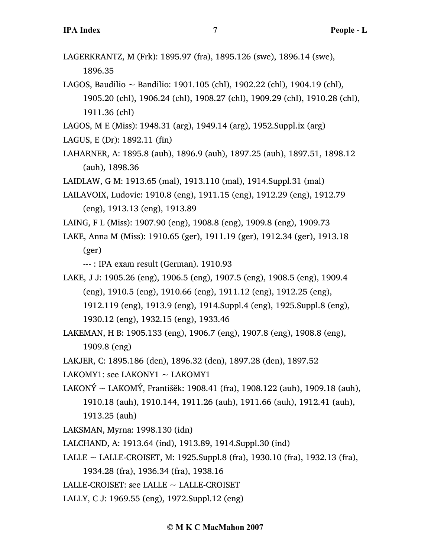- LAGERKRANTZ, M (Frk): 1895.97 (fra), 1895.126 (swe), 1896.14 (swe), 1896.35
- LAGOS, Baudilio ~ Bandilio: 1901.105 (chl), 1902.22 (chl), 1904.19 (chl), 1905.20 (chl), 1906.24 (chl), 1908.27 (chl), 1909.29 (chl), 1910.28 (chl), 1911.36 (chl)
- LAGOS, M E (Miss): 1948.31 (arg), 1949.14 (arg), 1952.Suppl.ix (arg)
- LAGUS, E (Dr): 1892.11 (fin)
- LAHARNER, A: 1895.8 (auh), 1896.9 (auh), 1897.25 (auh), 1897.51, 1898.12 (auh), 1898.36
- LAIDLAW, G M: 1913.65 (mal), 1913.110 (mal), 1914.Suppl.31 (mal)
- LAILAVOIX, Ludovic: 1910.8 (eng), 1911.15 (eng), 1912.29 (eng), 1912.79 (eng), 1913.13 (eng), 1913.89
- LAING, F L (Miss): 1907.90 (eng), 1908.8 (eng), 1909.8 (eng), 1909.73
- LAKE, Anna M (Miss): 1910.65 (ger), 1911.19 (ger), 1912.34 (ger), 1913.18 (ger)

--- : IPA exam result (German). 1910.93

LAKE, J J: 1905.26 (eng), 1906.5 (eng), 1907.5 (eng), 1908.5 (eng), 1909.4 (eng), 1910.5 (eng), 1910.66 (eng), 1911.12 (eng), 1912.25 (eng), 1912.119 (eng), 1913.9 (eng), 1914.Suppl.4 (eng), 1925.Suppl.8 (eng),

1930.12 (eng), 1932.15 (eng), 1933.46

- LAKEMAN, H B: 1905.133 (eng), 1906.7 (eng), 1907.8 (eng), 1908.8 (eng), 1909.8 (eng)
- LAKJER, C: 1895.186 (den), 1896.32 (den), 1897.28 (den), 1897.52
- LAKOMY1: see LAKONY1  $\sim$  LAKOMY1
- LAKONÝ ~ LAKOMÝ, Františěk: 1908.41 (fra), 1908.122 (auh), 1909.18 (auh), 1910.18 (auh), 1910.144, 1911.26 (auh), 1911.66 (auh), 1912.41 (auh), 1913.25 (auh)
- LAKSMAN, Myrna: 1998.130 (idn)
- LALCHAND, A: 1913.64 (ind), 1913.89, 1914.Suppl.30 (ind)
- LALLE ~ LALLE-CROISET, M: 1925.Suppl.8 (fra), 1930.10 (fra), 1932.13 (fra),
	- 1934.28 (fra), 1936.34 (fra), 1938.16
- LALLE-CROISET: see LALLE  $\sim$  LALLE-CROISET
- LALLY, C J: 1969.55 (eng), 1972.Suppl.12 (eng)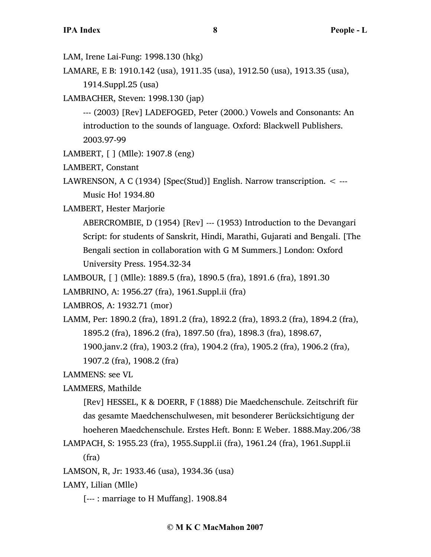LAM, Irene Lai-Fung: 1998.130 (hkg)

LAMARE, E B: 1910.142 (usa), 1911.35 (usa), 1912.50 (usa), 1913.35 (usa), 1914.Suppl.25 (usa)

LAMBACHER, Steven: 1998.130 (jap)

--- (2003) [Rev] LADEFOGED, Peter (2000.) Vowels and Consonants: An introduction to the sounds of language. Oxford: Blackwell Publishers. 2003.97-99

LAMBERT, [ ] (Mlle): 1907.8 (eng)

LAMBERT, Constant

LAWRENSON, A C (1934) [Spec(Stud)] English. Narrow transcription. < --- Music Ho! 1934.80

LAMBERT, Hester Marjorie

ABERCROMBIE, D (1954) [Rev] --- (1953) Introduction to the Devangari Script: for students of Sanskrit, Hindi, Marathi, Gujarati and Bengali. [The Bengali section in collaboration with G M Summers.] London: Oxford University Press. 1954.32-34

LAMBOUR, [ ] (Mlle): 1889.5 (fra), 1890.5 (fra), 1891.6 (fra), 1891.30

LAMBRINO, A: 1956.27 (fra), 1961.Suppl.ii (fra)

LAMBROS, A: 1932.71 (mor)

LAMM, Per: 1890.2 (fra), 1891.2 (fra), 1892.2 (fra), 1893.2 (fra), 1894.2 (fra), 1895.2 (fra), 1896.2 (fra), 1897.50 (fra), 1898.3 (fra), 1898.67, 1900.janv.2 (fra), 1903.2 (fra), 1904.2 (fra), 1905.2 (fra), 1906.2 (fra), 1907.2 (fra), 1908.2 (fra)

LAMMENS: see VL

LAMMERS, Mathilde

[Rev] HESSEL, K & DOERR, F (1888) Die Maedchenschule. Zeitschrift für das gesamte Maedchenschulwesen, mit besonderer Berücksichtigung der hoeheren Maedchenschule. Erstes Heft. Bonn: E Weber. 1888.May.206/38

LAMPACH, S: 1955.23 (fra), 1955.Suppl.ii (fra), 1961.24 (fra), 1961.Suppl.ii (fra)

LAMSON, R, Jr: 1933.46 (usa), 1934.36 (usa)

LAMY, Lilian (Mlle)

[--- : marriage to H Muffang]. 1908.84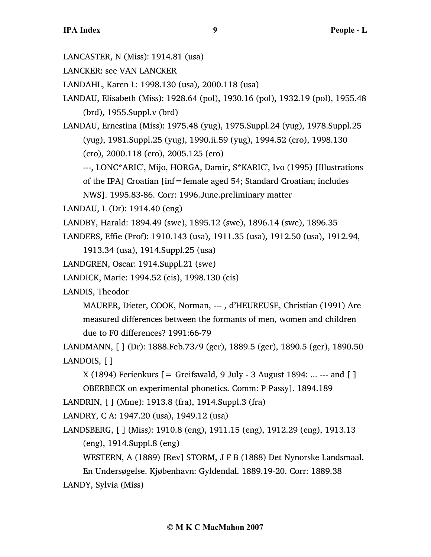LANCASTER, N (Miss): 1914.81 (usa)

LANCKER: see VAN LANCKER

LANDAHL, Karen L: 1998.130 (usa), 2000.118 (usa)

LANDAU, Elisabeth (Miss): 1928.64 (pol), 1930.16 (pol), 1932.19 (pol), 1955.48 (brd), 1955.Suppl.v (brd)

LANDAU, Ernestina (Miss): 1975.48 (yug), 1975.Suppl.24 (yug), 1978.Suppl.25 (yug), 1981.Suppl.25 (yug), 1990.ii.59 (yug), 1994.52 (cro), 1998.130 (cro), 2000.118 (cro), 2005.125 (cro)

---, LONC\*ARIC', Mijo, HORGA, Damir, S\*KARIC', Ivo (1995) [Illustrations of the IPA] Croatian [inf=female aged 54; Standard Croatian; includes NWS]. 1995.83-86. Corr: 1996.June.preliminary matter

LANDAU, L (Dr): 1914.40 (eng)

LANDBY, Harald: 1894.49 (swe), 1895.12 (swe), 1896.14 (swe), 1896.35

LANDERS, Effie (Prof): 1910.143 (usa), 1911.35 (usa), 1912.50 (usa), 1912.94,

1913.34 (usa), 1914.Suppl.25 (usa)

LANDGREN, Oscar: 1914.Suppl.21 (swe)

LANDICK, Marie: 1994.52 (cis), 1998.130 (cis)

LANDIS, Theodor

MAURER, Dieter, COOK, Norman, --- , d'HEUREUSE, Christian (1991) Are measured differences between the formants of men, women and children due to F0 differences? 1991:66-79

LANDMANN, [ ] (Dr): 1888.Feb.73/9 (ger), 1889.5 (ger), 1890.5 (ger), 1890.50 LANDOIS, [ ]

 $X(1894)$  Ferienkurs  $[=$  Greifswald, 9 July - 3 August 1894: ... --- and  $[$ ] OBERBECK on experimental phonetics. Comm: P Passy]. 1894.189

LANDRIN, [ ] (Mme): 1913.8 (fra), 1914.Suppl.3 (fra)

LANDRY, C A: 1947.20 (usa), 1949.12 (usa)

LANDSBERG, [ ] (Miss): 1910.8 (eng), 1911.15 (eng), 1912.29 (eng), 1913.13 (eng), 1914.Suppl.8 (eng)

WESTERN, A (1889) [Rev] STORM, J F B (1888) Det Nynorske Landsmaal.

En Undersøgelse. Kjøbenhavn: Gyldendal. 1889.19-20. Corr: 1889.38

LANDY, Sylvia (Miss)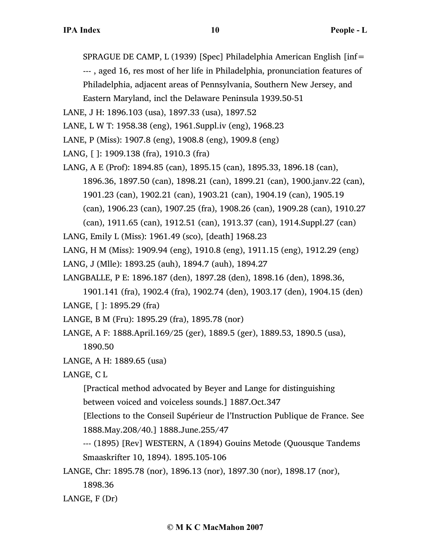SPRAGUE DE CAMP, L (1939) [Spec] Philadelphia American English [inf= --- , aged 16, res most of her life in Philadelphia, pronunciation features of Philadelphia, adjacent areas of Pennsylvania, Southern New Jersey, and Eastern Maryland, incl the Delaware Peninsula 1939.50-51

LANE, J H: 1896.103 (usa), 1897.33 (usa), 1897.52

LANE, L W T: 1958.38 (eng), 1961.Suppl.iv (eng), 1968.23

LANE, P (Miss): 1907.8 (eng), 1908.8 (eng), 1909.8 (eng)

LANG, [ ]: 1909.138 (fra), 1910.3 (fra)

LANG, A E (Prof): 1894.85 (can), 1895.15 (can), 1895.33, 1896.18 (can), 1896.36, 1897.50 (can), 1898.21 (can), 1899.21 (can), 1900.janv.22 (can), 1901.23 (can), 1902.21 (can), 1903.21 (can), 1904.19 (can), 1905.19 (can), 1906.23 (can), 1907.25 (fra), 1908.26 (can), 1909.28 (can), 1910.27 (can), 1911.65 (can), 1912.51 (can), 1913.37 (can), 1914.Suppl.27 (can)

LANG, Emily L (Miss): 1961.49 (sco), [death] 1968.23

LANG, H M (Miss): 1909.94 (eng), 1910.8 (eng), 1911.15 (eng), 1912.29 (eng) LANG, J (Mlle): 1893.25 (auh), 1894.7 (auh), 1894.27

LANGBALLE, P E: 1896.187 (den), 1897.28 (den), 1898.16 (den), 1898.36,

1901.141 (fra), 1902.4 (fra), 1902.74 (den), 1903.17 (den), 1904.15 (den) LANGE, [ ]: 1895.29 (fra)

LANGE, B M (Fru): 1895.29 (fra), 1895.78 (nor)

LANGE, A F: 1888.April.169/25 (ger), 1889.5 (ger), 1889.53, 1890.5 (usa), 1890.50

LANGE, A H: 1889.65 (usa)

LANGE, C L

[Practical method advocated by Beyer and Lange for distinguishing

between voiced and voiceless sounds.] 1887.Oct.347

[Elections to the Conseil Supérieur de l'Instruction Publique de France. See 1888.May.208/40.] 1888.June.255/47

--- (1895) [Rev] WESTERN, A (1894) Gouins Metode (Quousque Tandems Smaaskrifter 10, 1894). 1895.105-106

LANGE, Chr: 1895.78 (nor), 1896.13 (nor), 1897.30 (nor), 1898.17 (nor),

1898.36

LANGE, F (Dr)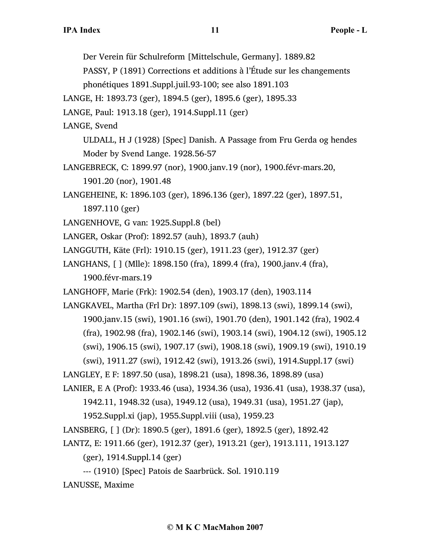Der Verein für Schulreform [Mittelschule, Germany]. 1889.82

PASSY, P (1891) Corrections et additions à l'Étude sur les changements phonétiques 1891.Suppl.juil.93-100; see also 1891.103

LANGE, H: 1893.73 (ger), 1894.5 (ger), 1895.6 (ger), 1895.33

LANGE, Paul: 1913.18 (ger), 1914.Suppl.11 (ger)

LANGE, Svend

ULDALL, H J (1928) [Spec] Danish. A Passage from Fru Gerda og hendes Moder by Svend Lange. 1928.56-57

LANGEBRECK, C: 1899.97 (nor), 1900.janv.19 (nor), 1900.févr-mars.20, 1901.20 (nor), 1901.48

LANGEHEINE, K: 1896.103 (ger), 1896.136 (ger), 1897.22 (ger), 1897.51, 1897.110 (ger)

LANGENHOVE, G van: 1925.Suppl.8 (bel)

LANGER, Oskar (Prof): 1892.57 (auh), 1893.7 (auh)

LANGGUTH, Käte (Frl): 1910.15 (ger), 1911.23 (ger), 1912.37 (ger)

LANGHANS, [ ] (Mlle): 1898.150 (fra), 1899.4 (fra), 1900.janv.4 (fra), 1900.févr-mars.19

LANGHOFF, Marie (Frk): 1902.54 (den), 1903.17 (den), 1903.114

LANGKAVEL, Martha (Frl Dr): 1897.109 (swi), 1898.13 (swi), 1899.14 (swi), 1900.janv.15 (swi), 1901.16 (swi), 1901.70 (den), 1901.142 (fra), 1902.4 (fra), 1902.98 (fra), 1902.146 (swi), 1903.14 (swi), 1904.12 (swi), 1905.12 (swi), 1906.15 (swi), 1907.17 (swi), 1908.18 (swi), 1909.19 (swi), 1910.19

(swi), 1911.27 (swi), 1912.42 (swi), 1913.26 (swi), 1914.Suppl.17 (swi)

LANGLEY, E F: 1897.50 (usa), 1898.21 (usa), 1898.36, 1898.89 (usa)

LANIER, E A (Prof): 1933.46 (usa), 1934.36 (usa), 1936.41 (usa), 1938.37 (usa),

1942.11, 1948.32 (usa), 1949.12 (usa), 1949.31 (usa), 1951.27 (jap),

1952.Suppl.xi (jap), 1955.Suppl.viii (usa), 1959.23

LANSBERG, [ ] (Dr): 1890.5 (ger), 1891.6 (ger), 1892.5 (ger), 1892.42

LANTZ, E: 1911.66 (ger), 1912.37 (ger), 1913.21 (ger), 1913.111, 1913.127 (ger), 1914.Suppl.14 (ger)

--- (1910) [Spec] Patois de Saarbrück. Sol. 1910.119

LANUSSE, Maxime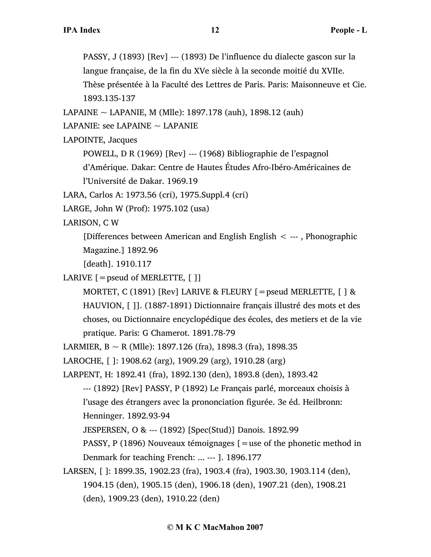PASSY, J (1893) [Rev] --- (1893) De l'influence du dialecte gascon sur la langue française, de la fin du XVe siècle à la seconde moitié du XVIIe. Thèse présentée à la Faculté des Lettres de Paris. Paris: Maisonneuve et Cie. 1893.135-137

LAPAINE ~ LAPANIE, M (Mlle): 1897.178 (auh), 1898.12 (auh)

LAPANIE: see LAPAINE  $\sim$  LAPANIE

LAPOINTE, Jacques

POWELL, D R (1969) [Rev] --- (1968) Bibliographie de l'espagnol

d'Amérique. Dakar: Centre de Hautes Études Afro-Ibéro-Américaines de l'Université de Dakar. 1969.19

LARA, Carlos A: 1973.56 (cri), 1975.Suppl.4 (cri)

LARGE, John W (Prof): 1975.102 (usa)

LARISON, C W

[Differences between American and English English < --- , Phonographic Magazine.] 1892.96

[death]. 1910.117

LARIVE  $[$  = pseud of MERLETTE,  $[ ]$ ]

MORTET, C (1891) [Rev] LARIVE & FLEURY [=pseud MERLETTE, [ ] & HAUVION, [ ]]. (1887-1891) Dictionnaire français illustré des mots et des choses, ou Dictionnaire encyclopédique des écoles, des metiers et de la vie pratique. Paris: G Chamerot. 1891.78-79

LARMIER,  $B \sim R$  (Mlle): 1897.126 (fra), 1898.3 (fra), 1898.35

LAROCHE, [ ]: 1908.62 (arg), 1909.29 (arg), 1910.28 (arg)

LARPENT, H: 1892.41 (fra), 1892.130 (den), 1893.8 (den), 1893.42

--- (1892) [Rev] PASSY, P (1892) Le Français parlé, morceaux choisis à l'usage des étrangers avec la prononciation figurée. 3e éd. Heilbronn: Henninger. 1892.93-94

JESPERSEN, O & --- (1892) [Spec(Stud)] Danois. 1892.99

PASSY, P (1896) Nouveaux témoignages [=use of the phonetic method in Denmark for teaching French: ... --- ]. 1896.177

LARSEN, [ ]: 1899.35, 1902.23 (fra), 1903.4 (fra), 1903.30, 1903.114 (den), 1904.15 (den), 1905.15 (den), 1906.18 (den), 1907.21 (den), 1908.21 (den), 1909.23 (den), 1910.22 (den)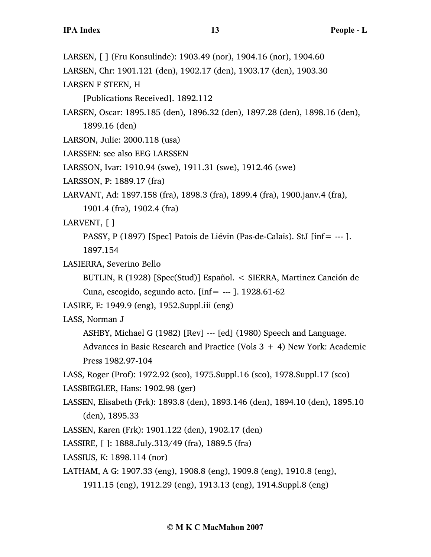LARSEN, [ ] (Fru Konsulinde): 1903.49 (nor), 1904.16 (nor), 1904.60

LARSEN, Chr: 1901.121 (den), 1902.17 (den), 1903.17 (den), 1903.30

LARSEN F STEEN, H

[Publications Received]. 1892.112

LARSEN, Oscar: 1895.185 (den), 1896.32 (den), 1897.28 (den), 1898.16 (den), 1899.16 (den)

LARSON, Julie: 2000.118 (usa)

LARSSEN: see also EEG LARSSEN

LARSSON, Ivar: 1910.94 (swe), 1911.31 (swe), 1912.46 (swe)

LARSSON, P: 1889.17 (fra)

LARVANT, Ad: 1897.158 (fra), 1898.3 (fra), 1899.4 (fra), 1900.janv.4 (fra), 1901.4 (fra), 1902.4 (fra)

LARVENT, [ ]

PASSY, P (1897) [Spec] Patois de Liévin (Pas-de-Calais). StJ [inf= --- ]. 1897.154

LASIERRA, Severino Bello

BUTLIN, R (1928) [Spec(Stud)] Español. < SIERRA, Martinez Canción de Cuna, escogido, segundo acto.  $\text{inf} = -1$ . 1928.61-62

LASIRE, E: 1949.9 (eng), 1952.Suppl.iii (eng)

LASS, Norman J

ASHBY, Michael G (1982) [Rev] --- [ed] (1980) Speech and Language.

Advances in Basic Research and Practice (Vols  $3 + 4$ ) New York: Academic Press 1982.97-104

LASS, Roger (Prof): 1972.92 (sco), 1975.Suppl.16 (sco), 1978.Suppl.17 (sco) LASSBIEGLER, Hans: 1902.98 (ger)

LASSEN, Elisabeth (Frk): 1893.8 (den), 1893.146 (den), 1894.10 (den), 1895.10 (den), 1895.33

LASSEN, Karen (Frk): 1901.122 (den), 1902.17 (den)

LASSIRE, [ ]: 1888.July.313/49 (fra), 1889.5 (fra)

LASSIUS, K: 1898.114 (nor)

LATHAM, A G: 1907.33 (eng), 1908.8 (eng), 1909.8 (eng), 1910.8 (eng),

1911.15 (eng), 1912.29 (eng), 1913.13 (eng), 1914.Suppl.8 (eng)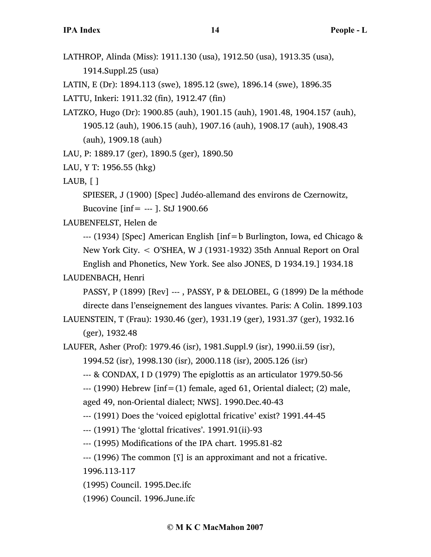LATHROP, Alinda (Miss): 1911.130 (usa), 1912.50 (usa), 1913.35 (usa), 1914.Suppl.25 (usa)

LATIN, E (Dr): 1894.113 (swe), 1895.12 (swe), 1896.14 (swe), 1896.35

LATTU, Inkeri: 1911.32 (fin), 1912.47 (fin)

- LATZKO, Hugo (Dr): 1900.85 (auh), 1901.15 (auh), 1901.48, 1904.157 (auh), 1905.12 (auh), 1906.15 (auh), 1907.16 (auh), 1908.17 (auh), 1908.43 (auh), 1909.18 (auh)
- LAU, P: 1889.17 (ger), 1890.5 (ger), 1890.50
- LAU, Y T: 1956.55 (hkg)
- LAUB,  $\lceil \cdot \rceil$

SPIESER, J (1900) [Spec] Judéo-allemand des environs de Czernowitz, Bucovine [inf= --- ]. StJ 1900.66

LAUBENFELST, Helen de

--- (1934) [Spec] American English [inf=b Burlington, Iowa, ed Chicago & New York City. < O'SHEA, W J (1931-1932) 35th Annual Report on Oral English and Phonetics, New York. See also JONES, D 1934.19.] 1934.18

LAUDENBACH, Henri

PASSY, P (1899) [Rev] --- , PASSY, P & DELOBEL, G (1899) De la méthode directe dans l'enseignement des langues vivantes. Paris: A Colin. 1899.103

LAUENSTEIN, T (Frau): 1930.46 (ger), 1931.19 (ger), 1931.37 (ger), 1932.16 (ger), 1932.48

LAUFER, Asher (Prof): 1979.46 (isr), 1981.Suppl.9 (isr), 1990.ii.59 (isr),

```
1994.52 (isr), 1998.130 (isr), 2000.118 (isr), 2005.126 (isr)
```
--- & CONDAX, I D (1979) The epiglottis as an articulator 1979.50-56

 $-$ -- $(1990)$  Hebrew [inf= $(1)$  female, aged 61, Oriental dialect;  $(2)$  male, aged 49, non-Oriental dialect; NWS]. 1990.Dec.40-43

--- (1991) Does the 'voiced epiglottal fricative' exist? 1991.44-45

--- (1991) The 'glottal fricatives'. 1991.91(ii)-93

--- (1995) Modifications of the IPA chart. 1995.81-82

--- (1996) The common [ʕ] is an approximant and not a fricative.

1996.113-117

(1995) Council. 1995.Dec.ifc

(1996) Council. 1996.June.ifc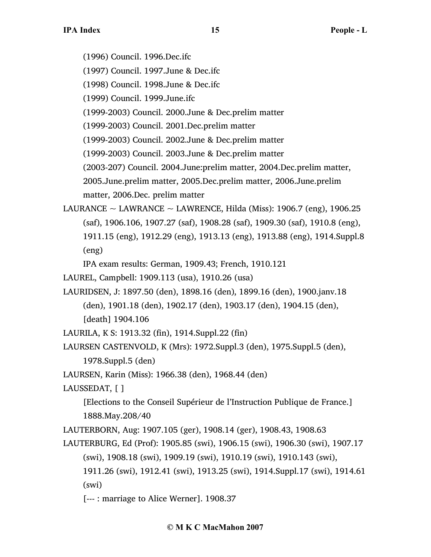(1996) Council. 1996.Dec.ifc

(1997) Council. 1997.June & Dec.ifc

(1998) Council. 1998.June & Dec.ifc

(1999) Council. 1999.June.ifc

(1999-2003) Council. 2000.June & Dec.prelim matter

(1999-2003) Council. 2001.Dec.prelim matter

(1999-2003) Council. 2002.June & Dec.prelim matter

(1999-2003) Council. 2003.June & Dec.prelim matter

(2003-207) Council. 2004.June:prelim matter, 2004.Dec.prelim matter,

2005.June.prelim matter, 2005.Dec.prelim matter, 2006.June.prelim matter, 2006.Dec. prelim matter

LAURANCE  $\sim$  LAWRANCE  $\sim$  LAWRENCE, Hilda (Miss): 1906.7 (eng), 1906.25 (saf), 1906.106, 1907.27 (saf), 1908.28 (saf), 1909.30 (saf), 1910.8 (eng), 1911.15 (eng), 1912.29 (eng), 1913.13 (eng), 1913.88 (eng), 1914.Suppl.8 (eng)

IPA exam results: German, 1909.43; French, 1910.121

- LAUREL, Campbell: 1909.113 (usa), 1910.26 (usa)
- LAURIDSEN, J: 1897.50 (den), 1898.16 (den), 1899.16 (den), 1900.janv.18 (den), 1901.18 (den), 1902.17 (den), 1903.17 (den), 1904.15 (den), [death] 1904.106

LAURILA, K S: 1913.32 (fin), 1914.Suppl.22 (fin)

```
LAURSEN CASTENVOLD, K (Mrs): 1972.Suppl.3 (den), 1975.Suppl.5 (den), 
     1978.Suppl.5 (den)
```
LAURSEN, Karin (Miss): 1966.38 (den), 1968.44 (den)

LAUSSEDAT, [ ]

[Elections to the Conseil Supérieur de l'Instruction Publique de France.] 1888.May.208/40

LAUTERBORN, Aug: 1907.105 (ger), 1908.14 (ger), 1908.43, 1908.63

- LAUTERBURG, Ed (Prof): 1905.85 (swi), 1906.15 (swi), 1906.30 (swi), 1907.17 (swi), 1908.18 (swi), 1909.19 (swi), 1910.19 (swi), 1910.143 (swi),
	- 1911.26 (swi), 1912.41 (swi), 1913.25 (swi), 1914.Suppl.17 (swi), 1914.61 (swi)

[--- : marriage to Alice Werner]. 1908.37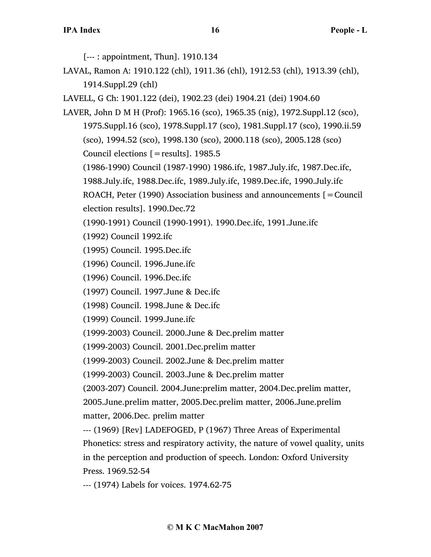[--- : appointment, Thun]. 1910.134

LAVAL, Ramon A: 1910.122 (chl), 1911.36 (chl), 1912.53 (chl), 1913.39 (chl), 1914.Suppl.29 (chl)

LAVELL, G Ch: 1901.122 (dei), 1902.23 (dei) 1904.21 (dei) 1904.60

LAVER, John D M H (Prof): 1965.16 (sco), 1965.35 (nig), 1972.Suppl.12 (sco), 1975.Suppl.16 (sco), 1978.Suppl.17 (sco), 1981.Suppl.17 (sco), 1990.ii.59 (sco), 1994.52 (sco), 1998.130 (sco), 2000.118 (sco), 2005.128 (sco) Council elections [=results]. 1985.5

(1986-1990) Council (1987-1990) 1986.ifc, 1987.July.ifc, 1987.Dec.ifc,

1988.July.ifc, 1988.Dec.ifc, 1989.July.ifc, 1989.Dec.ifc, 1990.July.ifc

ROACH, Peter (1990) Association business and announcements  $\mathbf{r} =$  Council election results]. 1990.Dec.72

(1990-1991) Council (1990-1991). 1990.Dec.ifc, 1991.June.ifc

(1992) Council 1992.ifc

- (1995) Council. 1995.Dec.ifc
- (1996) Council. 1996.June.ifc

(1996) Council. 1996.Dec.ifc

(1997) Council. 1997.June & Dec.ifc

(1998) Council. 1998.June & Dec.ifc

(1999) Council. 1999.June.ifc

(1999-2003) Council. 2000.June & Dec.prelim matter

(1999-2003) Council. 2001.Dec.prelim matter

(1999-2003) Council. 2002.June & Dec.prelim matter

(1999-2003) Council. 2003.June & Dec.prelim matter

(2003-207) Council. 2004.June:prelim matter, 2004.Dec.prelim matter,

2005.June.prelim matter, 2005.Dec.prelim matter, 2006.June.prelim matter, 2006.Dec. prelim matter

--- (1969) [Rev] LADEFOGED, P (1967) Three Areas of Experimental Phonetics: stress and respiratory activity, the nature of vowel quality, units in the perception and production of speech. London: Oxford University Press. 1969.52-54

--- (1974) Labels for voices. 1974.62-75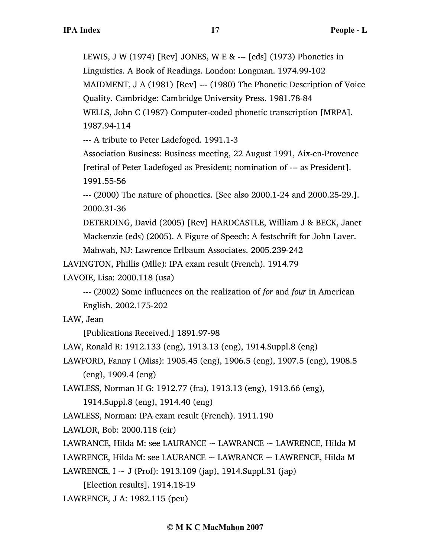LEWIS, J W (1974) [Rev] JONES, W E & --- [eds] (1973) Phonetics in Linguistics. A Book of Readings. London: Longman. 1974.99-102 MAIDMENT, J A (1981) [Rev] --- (1980) The Phonetic Description of Voice Quality. Cambridge: Cambridge University Press. 1981.78-84 WELLS, John C (1987) Computer-coded phonetic transcription [MRPA]. 1987.94-114

--- A tribute to Peter Ladefoged. 1991.1-3

Association Business: Business meeting, 22 August 1991, Aix-en-Provence [retiral of Peter Ladefoged as President; nomination of --- as President]. 1991.55-56

--- (2000) The nature of phonetics. [See also 2000.1-24 and 2000.25-29.]. 2000.31-36

DETERDING, David (2005) [Rev] HARDCASTLE, William J & BECK, Janet Mackenzie (eds) (2005). A Figure of Speech: A festschrift for John Laver. Mahwah, NJ: Lawrence Erlbaum Associates. 2005.239-242

LAVINGTON, Phillis (Mlle): IPA exam result (French). 1914.79

LAVOIE, Lisa: 2000.118 (usa)

--- (2002) Some influences on the realization of *for* and *four* in American English. 2002.175-202

LAW, Jean

[Publications Received.] 1891.97-98

LAW, Ronald R: 1912.133 (eng), 1913.13 (eng), 1914.Suppl.8 (eng)

LAWFORD, Fanny I (Miss): 1905.45 (eng), 1906.5 (eng), 1907.5 (eng), 1908.5 (eng), 1909.4 (eng)

LAWLESS, Norman H G: 1912.77 (fra), 1913.13 (eng), 1913.66 (eng),

1914.Suppl.8 (eng), 1914.40 (eng)

LAWLESS, Norman: IPA exam result (French). 1911.190

LAWLOR, Bob: 2000.118 (eir)

LAWRANCE, Hilda M: see LAURANCE  $\sim$  LAWRANCE  $\sim$  LAWRENCE, Hilda M

LAWRENCE, Hilda M: see LAURANCE  $\sim$  LAWRANCE  $\sim$  LAWRENCE, Hilda M

LAWRENCE, I ~ J (Prof): 1913.109 (jap), 1914.Suppl.31 (jap)

[Election results]. 1914.18-19

LAWRENCE, J A: 1982.115 (peu)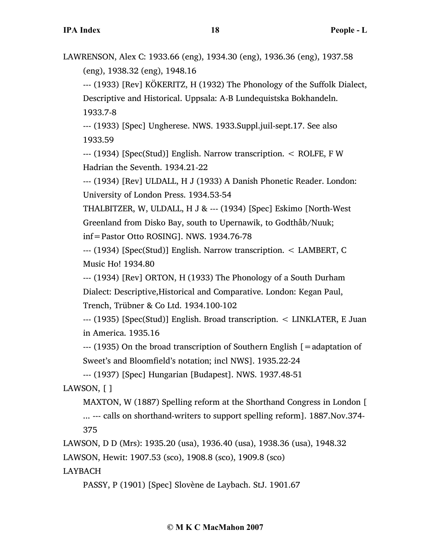LAWRENSON, Alex C: 1933.66 (eng), 1934.30 (eng), 1936.36 (eng), 1937.58 (eng), 1938.32 (eng), 1948.16

--- (1933) [Rev] KÖKERITZ, H (1932) The Phonology of the Suffolk Dialect, Descriptive and Historical. Uppsala: A-B Lundequistska Bokhandeln. 1933.7-8

--- (1933) [Spec] Ungherese. NWS. 1933.Suppl.juil-sept.17. See also 1933.59

--- (1934) [Spec(Stud)] English. Narrow transcription. < ROLFE, F W Hadrian the Seventh. 1934.21-22

--- (1934) [Rev] ULDALL, H J (1933) A Danish Phonetic Reader. London: University of London Press. 1934.53-54

THALBITZER, W, ULDALL, H J & --- (1934) [Spec] Eskimo [North-West Greenland from Disko Bay, south to Upernawik, to Godthåb/Nuuk; inf=Pastor Otto ROSING]. NWS. 1934.76-78

--- (1934) [Spec(Stud)] English. Narrow transcription. < LAMBERT, C Music Ho! 1934.80

--- (1934) [Rev] ORTON, H (1933) The Phonology of a South Durham

Dialect: Descriptive,Historical and Comparative. London: Kegan Paul,

Trench, Trübner & Co Ltd. 1934.100-102

--- (1935) [Spec(Stud)] English. Broad transcription. < LINKLATER, E Juan in America. 1935.16

--- (1935) On the broad transcription of Southern English [=adaptation of Sweet's and Bloomfield's notation; incl NWS]. 1935.22-24

--- (1937) [Spec] Hungarian [Budapest]. NWS. 1937.48-51

LAWSON, [ ]

MAXTON, W (1887) Spelling reform at the Shorthand Congress in London [ ... --- calls on shorthand-writers to support spelling reform]. 1887.Nov.374- 375

LAWSON, D D (Mrs): 1935.20 (usa), 1936.40 (usa), 1938.36 (usa), 1948.32

LAWSON, Hewit: 1907.53 (sco), 1908.8 (sco), 1909.8 (sco)

LAYBACH

PASSY, P (1901) [Spec] Slovène de Laybach. StJ. 1901.67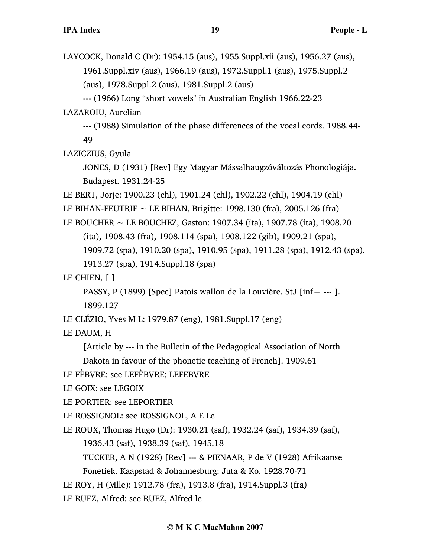LAYCOCK, Donald C (Dr): 1954.15 (aus), 1955.Suppl.xii (aus), 1956.27 (aus), 1961.Suppl.xiv (aus), 1966.19 (aus), 1972.Suppl.1 (aus), 1975.Suppl.2 (aus), 1978.Suppl.2 (aus), 1981.Suppl.2 (aus)

--- (1966) Long "short vowels" in Australian English 1966.22-23 LAZAROIU, Aurelian

--- (1988) Simulation of the phase differences of the vocal cords. 1988.44- 49

LAZICZIUS, Gyula

JONES, D (1931) [Rev] Egy Magyar Mássalhaugzóváltozás Phonologiája. Budapest. 1931.24-25

LE BERT, Jorje: 1900.23 (chl), 1901.24 (chl), 1902.22 (chl), 1904.19 (chl)

LE BIHAN-FEUTRIE  $\sim$  LE BIHAN, Brigitte: 1998.130 (fra), 2005.126 (fra)

LE BOUCHER ~ LE BOUCHEZ, Gaston: 1907.34 (ita), 1907.78 (ita), 1908.20

(ita), 1908.43 (fra), 1908.114 (spa), 1908.122 (gib), 1909.21 (spa),

1909.72 (spa), 1910.20 (spa), 1910.95 (spa), 1911.28 (spa), 1912.43 (spa),

1913.27 (spa), 1914.Suppl.18 (spa)

LE CHIEN, [ ]

PASSY, P (1899) [Spec] Patois wallon de la Louvière. StJ [inf= --- ].

1899.127

LE CLÉZIO, Yves M L: 1979.87 (eng), 1981.Suppl.17 (eng)

LE DAUM, H

[Article by --- in the Bulletin of the Pedagogical Association of North

Dakota in favour of the phonetic teaching of French]. 1909.61

LE FÈBVRE: see LEFÈBVRE; LEFEBVRE

LE GOIX: see LEGOIX

LE PORTIER: see LEPORTIER

LE ROSSIGNOL: see ROSSIGNOL, A E Le

LE ROUX, Thomas Hugo (Dr): 1930.21 (saf), 1932.24 (saf), 1934.39 (saf), 1936.43 (saf), 1938.39 (saf), 1945.18

TUCKER, A N (1928) [Rev] --- & PIENAAR, P de V (1928) Afrikaanse Fonetiek. Kaapstad & Johannesburg: Juta & Ko. 1928.70-71

LE ROY, H (Mlle): 1912.78 (fra), 1913.8 (fra), 1914.Suppl.3 (fra)

LE RUEZ, Alfred: see RUEZ, Alfred le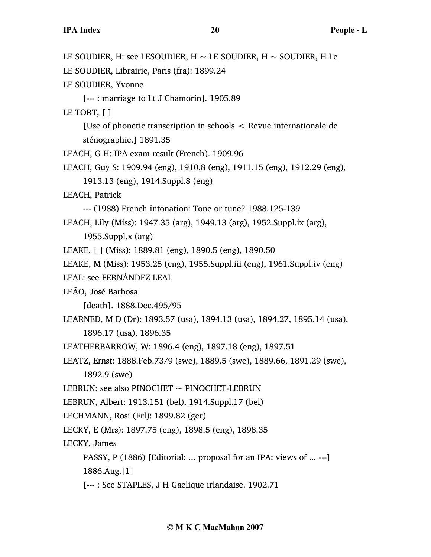LE SOUDIER, H: see LESOUDIER,  $H \sim$  LE SOUDIER,  $H \sim$  SOUDIER, H Le LE SOUDIER, Librairie, Paris (fra): 1899.24 LE SOUDIER, Yvonne [--- : marriage to Lt J Chamorin]. 1905.89 LE TORT, [ ] [Use of phonetic transcription in schools < Revue internationale de sténographie.] 1891.35 LEACH, G H: IPA exam result (French). 1909.96 LEACH, Guy S: 1909.94 (eng), 1910.8 (eng), 1911.15 (eng), 1912.29 (eng), 1913.13 (eng), 1914.Suppl.8 (eng) LEACH, Patrick --- (1988) French intonation: Tone or tune? 1988.125-139 LEACH, Lily (Miss): 1947.35 (arg), 1949.13 (arg), 1952.Suppl.ix (arg), 1955.Suppl.x (arg) LEAKE, [ ] (Miss): 1889.81 (eng), 1890.5 (eng), 1890.50 LEAKE, M (Miss): 1953.25 (eng), 1955.Suppl.iii (eng), 1961.Suppl.iv (eng) LEAL: see FERNÁNDEZ LEAL LEÃO, José Barbosa [death]. 1888.Dec.495/95 LEARNED, M D (Dr): 1893.57 (usa), 1894.13 (usa), 1894.27, 1895.14 (usa), 1896.17 (usa), 1896.35 LEATHERBARROW, W: 1896.4 (eng), 1897.18 (eng), 1897.51 LEATZ, Ernst: 1888.Feb.73/9 (swe), 1889.5 (swe), 1889.66, 1891.29 (swe), 1892.9 (swe) LEBRUN: see also PINOCHET  $\sim$  PINOCHET-LEBRUN LEBRUN, Albert: 1913.151 (bel), 1914.Suppl.17 (bel) LECHMANN, Rosi (Frl): 1899.82 (ger) LECKY, E (Mrs): 1897.75 (eng), 1898.5 (eng), 1898.35 LECKY, James PASSY, P (1886) [Editorial: ... proposal for an IPA: views of ... ---] 1886.Aug.[1] [--- : See STAPLES, J H Gaelique irlandaise. 1902.71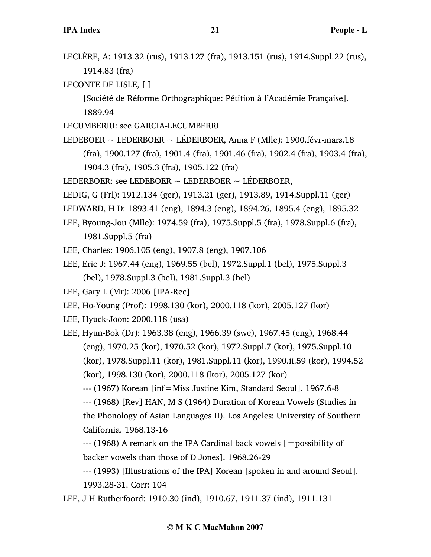LECLÈRE, A: 1913.32 (rus), 1913.127 (fra), 1913.151 (rus), 1914.Suppl.22 (rus), 1914.83 (fra)

LECONTE DE LISLE, [ ]

[Société de Réforme Orthographique: Pétition à l'Académie Française]. 1889.94

- LECUMBERRI: see GARCIA-LECUMBERRI
- LEDEBOER ~ LEDERBOER ~ LÉDERBOER, Anna F (Mlle): 1900.févr-mars.18

(fra), 1900.127 (fra), 1901.4 (fra), 1901.46 (fra), 1902.4 (fra), 1903.4 (fra),

1904.3 (fra), 1905.3 (fra), 1905.122 (fra)

LEDERBOER: see LEDEBOER  $\sim$  LEDERBOER  $\sim$  LÉDERBOER,

- LEDIG, G (Frl): 1912.134 (ger), 1913.21 (ger), 1913.89, 1914.Suppl.11 (ger)
- LEDWARD, H D: 1893.41 (eng), 1894.3 (eng), 1894.26, 1895.4 (eng), 1895.32
- LEE, Byoung-Jou (Mlle): 1974.59 (fra), 1975.Suppl.5 (fra), 1978.Suppl.6 (fra), 1981.Suppl.5 (fra)
- LEE, Charles: 1906.105 (eng), 1907.8 (eng), 1907.106
- LEE, Eric J: 1967.44 (eng), 1969.55 (bel), 1972.Suppl.1 (bel), 1975.Suppl.3 (bel), 1978.Suppl.3 (bel), 1981.Suppl.3 (bel)
- LEE, Gary L (Mr): 2006 [IPA-Rec]
- LEE, Ho-Young (Prof): 1998.130 (kor), 2000.118 (kor), 2005.127 (kor)
- LEE, Hyuck-Joon: 2000.118 (usa)
- LEE, Hyun-Bok (Dr): 1963.38 (eng), 1966.39 (swe), 1967.45 (eng), 1968.44 (eng), 1970.25 (kor), 1970.52 (kor), 1972.Suppl.7 (kor), 1975.Suppl.10 (kor), 1978.Suppl.11 (kor), 1981.Suppl.11 (kor), 1990.ii.59 (kor), 1994.52 (kor), 1998.130 (kor), 2000.118 (kor), 2005.127 (kor)

--- (1967) Korean [inf=Miss Justine Kim, Standard Seoul]. 1967.6-8

--- (1968) [Rev] HAN, M S (1964) Duration of Korean Vowels (Studies in the Phonology of Asian Languages II). Los Angeles: University of Southern California. 1968.13-16

 $-$ --- (1968) A remark on the IPA Cardinal back vowels  $\mathfrak{[}=$  possibility of backer vowels than those of D Jones]. 1968.26-29

--- (1993) [Illustrations of the IPA] Korean [spoken in and around Seoul]. 1993.28-31. Corr: 104

LEE, J H Rutherfoord: 1910.30 (ind), 1910.67, 1911.37 (ind), 1911.131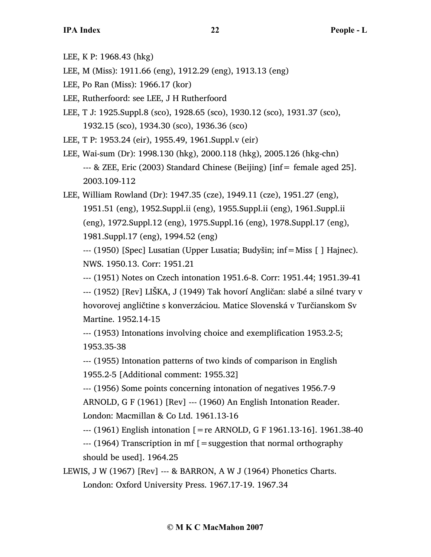- LEE, K P: 1968.43 (hkg)
- LEE, M (Miss): 1911.66 (eng), 1912.29 (eng), 1913.13 (eng)
- LEE, Po Ran (Miss): 1966.17 (kor)
- LEE, Rutherfoord: see LEE, J H Rutherfoord
- LEE, T J: 1925.Suppl.8 (sco), 1928.65 (sco), 1930.12 (sco), 1931.37 (sco), 1932.15 (sco), 1934.30 (sco), 1936.36 (sco)
- LEE, T P: 1953.24 (eir), 1955.49, 1961.Suppl.v (eir)
- LEE, Wai-sum (Dr): 1998.130 (hkg), 2000.118 (hkg), 2005.126 (hkg-chn) --- & ZEE, Eric (2003) Standard Chinese (Beijing) [inf= female aged 25]. 2003.109-112
- LEE, William Rowland (Dr): 1947.35 (cze), 1949.11 (cze), 1951.27 (eng), 1951.51 (eng), 1952.Suppl.ii (eng), 1955.Suppl.ii (eng), 1961.Suppl.ii (eng), 1972.Suppl.12 (eng), 1975.Suppl.16 (eng), 1978.Suppl.17 (eng), 1981.Suppl.17 (eng), 1994.52 (eng)

--- (1950) [Spec] Lusatian (Upper Lusatia; Budyšin; inf=Miss [ ] Hajnec). NWS. 1950.13. Corr: 1951.21

--- (1951) Notes on Czech intonation 1951.6-8. Corr: 1951.44; 1951.39-41 --- (1952) [Rev] LIŠKA, J (1949) Tak hovorí Angličan: slabé a silné tvary v hovorovej angličtine s konverzáciou. Matice Slovenská v Turčianskom Sv Martine. 1952.14-15

--- (1953) Intonations involving choice and exemplification 1953.2-5; 1953.35-38

--- (1955) Intonation patterns of two kinds of comparison in English 1955.2-5 [Additional comment: 1955.32]

--- (1956) Some points concerning intonation of negatives 1956.7-9

ARNOLD, G F (1961) [Rev] --- (1960) An English Intonation Reader. London: Macmillan & Co Ltd. 1961.13-16

 $-$ -- (1961) English intonation  $[$  = re ARNOLD, G F 1961.13-16]. 1961.38-40

--- (1964) Transcription in mf [=suggestion that normal orthography should be used]. 1964.25

LEWIS, J W (1967) [Rev] --- & BARRON, A W J (1964) Phonetics Charts. London: Oxford University Press. 1967.17-19. 1967.34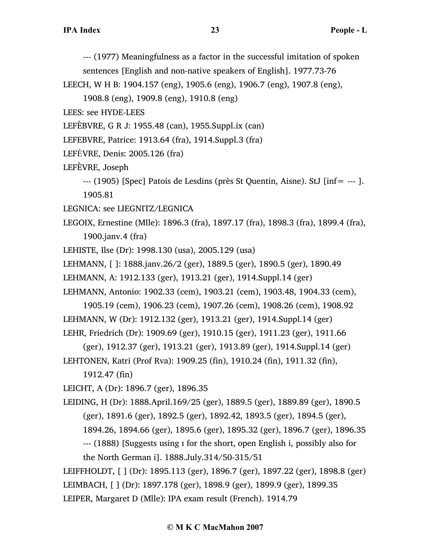--- (1977) Meaningfulness as a factor in the successful imitation of spoken

sentences [English and non-native speakers of English]. 1977.73-76

LEECH, W H B: 1904.157 (eng), 1905.6 (eng), 1906.7 (eng), 1907.8 (eng),

1908.8 (eng), 1909.8 (eng), 1910.8 (eng)

- LEES: see HYDE-LEES
- LEFÈBVRE, G R J: 1955.48 (can), 1955.Suppl.ix (can)
- LEFEBVRE, Patrice: 1913.64 (fra), 1914.Suppl.3 (fra)
- LEFÈVRE, Denis: 2005.126 (fra)
- LEFÈVRE, Joseph

```
--- (1905) [Spec] Patois de Lesdins (près St Quentin, Aisne). StJ [inf= --- ]. 
1905.81
```
- LEGNICA: see LIEGNITZ/LEGNICA
- LEGOIX, Ernestine (Mlle): 1896.3 (fra), 1897.17 (fra), 1898.3 (fra), 1899.4 (fra), 1900.janv.4 (fra)
- LEHISTE, Ilse (Dr): 1998.130 (usa), 2005.129 (usa)
- LEHMANN, [ ]: 1888.janv.26/2 (ger), 1889.5 (ger), 1890.5 (ger), 1890.49
- LEHMANN, A: 1912.133 (ger), 1913.21 (ger), 1914.Suppl.14 (ger)

LEHMANN, Antonio: 1902.33 (cem), 1903.21 (cem), 1903.48, 1904.33 (cem),

1905.19 (cem), 1906.23 (cem), 1907.26 (cem), 1908.26 (cem), 1908.92 LEHMANN, W (Dr): 1912.132 (ger), 1913.21 (ger), 1914.Suppl.14 (ger) LEHR, Friedrich (Dr): 1909.69 (ger), 1910.15 (ger), 1911.23 (ger), 1911.66

(ger), 1912.37 (ger), 1913.21 (ger), 1913.89 (ger), 1914.Suppl.14 (ger) LEHTONEN, Katri (Prof Rva): 1909.25 (fin), 1910.24 (fin), 1911.32 (fin),

1912.47 (fin)

LEICHT, A (Dr): 1896.7 (ger), 1896.35

LEIDING, H (Dr): 1888.April.169/25 (ger), 1889.5 (ger), 1889.89 (ger), 1890.5 (ger), 1891.6 (ger), 1892.5 (ger), 1892.42, 1893.5 (ger), 1894.5 (ger), 1894.26, 1894.66 (ger), 1895.6 (ger), 1895.32 (ger), 1896.7 (ger), 1896.35 --- (1888) [Suggests using ɪ for the short, open English i, possibly also for the North German i]. 1888.July.314/50-315/51

LEIFFHOLDT, [ ] (Dr): 1895.113 (ger), 1896.7 (ger), 1897.22 (ger), 1898.8 (ger) LEIMBACH, [ ] (Dr): 1897.178 (ger), 1898.9 (ger), 1899.9 (ger), 1899.35 LEIPER, Margaret D (Mlle): IPA exam result (French). 1914.79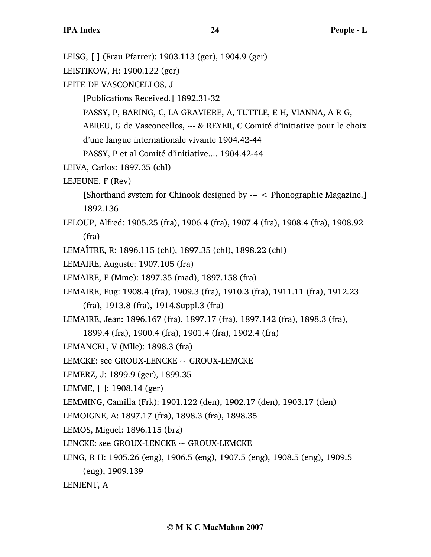LEISG, [ ] (Frau Pfarrer): 1903.113 (ger), 1904.9 (ger) LEISTIKOW, H: 1900.122 (ger) LEITE DE VASCONCELLOS, J [Publications Received.] 1892.31-32 PASSY, P, BARING, C, LA GRAVIERE, A, TUTTLE, E H, VIANNA, A R G, ABREU, G de Vasconcellos, --- & REYER, C Comité d'initiative pour le choix d'une langue internationale vivante 1904.42-44 PASSY, P et al Comité d'initiative.... 1904.42-44 LEIVA, Carlos: 1897.35 (chl) LEJEUNE, F (Rev) [Shorthand system for Chinook designed by --- < Phonographic Magazine.] 1892.136 LELOUP, Alfred: 1905.25 (fra), 1906.4 (fra), 1907.4 (fra), 1908.4 (fra), 1908.92 (fra) LEMAÎTRE, R: 1896.115 (chl), 1897.35 (chl), 1898.22 (chl) LEMAIRE, Auguste: 1907.105 (fra) LEMAIRE, E (Mme): 1897.35 (mad), 1897.158 (fra) LEMAIRE, Eug: 1908.4 (fra), 1909.3 (fra), 1910.3 (fra), 1911.11 (fra), 1912.23 (fra), 1913.8 (fra), 1914.Suppl.3 (fra) LEMAIRE, Jean: 1896.167 (fra), 1897.17 (fra), 1897.142 (fra), 1898.3 (fra), 1899.4 (fra), 1900.4 (fra), 1901.4 (fra), 1902.4 (fra) LEMANCEL, V (Mlle): 1898.3 (fra) LEMCKE: see GROUX-LENCKE  $\sim$  GROUX-LEMCKE LEMERZ, J: 1899.9 (ger), 1899.35 LEMME, [ ]: 1908.14 (ger) LEMMING, Camilla (Frk): 1901.122 (den), 1902.17 (den), 1903.17 (den) LEMOIGNE, A: 1897.17 (fra), 1898.3 (fra), 1898.35 LEMOS, Miguel: 1896.115 (brz) LENCKE: see GROUX-LENCKE  $\sim$  GROUX-LEMCKE LENG, R H: 1905.26 (eng), 1906.5 (eng), 1907.5 (eng), 1908.5 (eng), 1909.5 (eng), 1909.139 LENIENT, A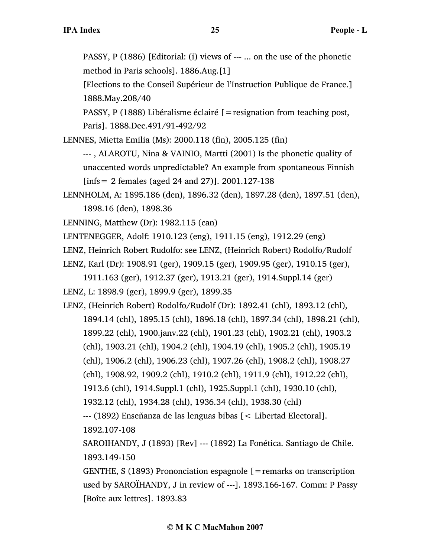PASSY, P (1886) [Editorial: (i) views of --- ... on the use of the phonetic method in Paris schools]. 1886.Aug.[1]

[Elections to the Conseil Supérieur de l'Instruction Publique de France.] 1888.May.208/40

PASSY, P (1888) Libéralisme éclairé [=resignation from teaching post, Paris]. 1888.Dec.491/91-492/92

LENNES, Mietta Emilia (Ms): 2000.118 (fin), 2005.125 (fin)

--- , ALAROTU, Nina & VAINIO, Martti (2001) Is the phonetic quality of unaccented words unpredictable? An example from spontaneous Finnish [infs= 2 females (aged 24 and 27)]. 2001.127-138

LENNHOLM, A: 1895.186 (den), 1896.32 (den), 1897.28 (den), 1897.51 (den), 1898.16 (den), 1898.36

LENNING, Matthew (Dr): 1982.115 (can)

LENTENEGGER, Adolf: 1910.123 (eng), 1911.15 (eng), 1912.29 (eng)

LENZ, Heinrich Robert Rudolfo: see LENZ, (Heinrich Robert) Rodolfo/Rudolf

LENZ, Karl (Dr): 1908.91 (ger), 1909.15 (ger), 1909.95 (ger), 1910.15 (ger),

1911.163 (ger), 1912.37 (ger), 1913.21 (ger), 1914.Suppl.14 (ger) LENZ, L: 1898.9 (ger), 1899.9 (ger), 1899.35

LENZ, (Heinrich Robert) Rodolfo/Rudolf (Dr): 1892.41 (chl), 1893.12 (chl), 1894.14 (chl), 1895.15 (chl), 1896.18 (chl), 1897.34 (chl), 1898.21 (chl), 1899.22 (chl), 1900.janv.22 (chl), 1901.23 (chl), 1902.21 (chl), 1903.2 (chl), 1903.21 (chl), 1904.2 (chl), 1904.19 (chl), 1905.2 (chl), 1905.19 (chl), 1906.2 (chl), 1906.23 (chl), 1907.26 (chl), 1908.2 (chl), 1908.27 (chl), 1908.92, 1909.2 (chl), 1910.2 (chl), 1911.9 (chl), 1912.22 (chl), 1913.6 (chl), 1914.Suppl.1 (chl), 1925.Suppl.1 (chl), 1930.10 (chl), 1932.12 (chl), 1934.28 (chl), 1936.34 (chl), 1938.30 (chl) --- (1892) Enseñanza de las lenguas bibas [< Libertad Electoral].

1892.107-108

SAROIHANDY, J (1893) [Rev] --- (1892) La Fonética. Santiago de Chile. 1893.149-150

GENTHE,  $S(1893)$  Prononciation espagnole  $[$  = remarks on transcription used by SAROÏHANDY, J in review of ---]. 1893.166-167. Comm: P Passy [Boîte aux lettres]. 1893.83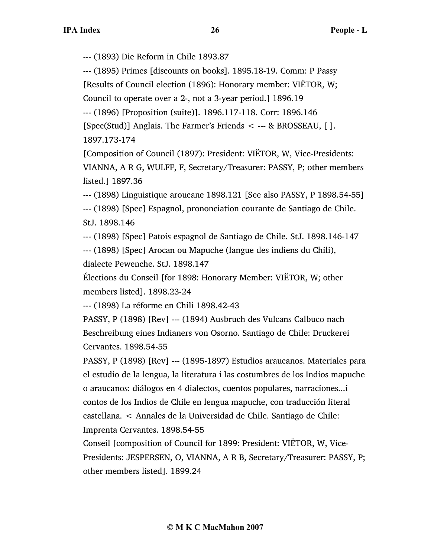--- (1893) Die Reform in Chile 1893.87

--- (1895) Primes [discounts on books]. 1895.18-19. Comm: P Passy

[Results of Council election (1896): Honorary member: VIËTOR, W;

Council to operate over a 2-, not a 3-year period.] 1896.19

--- (1896) [Proposition (suite)]. 1896.117-118. Corr: 1896.146

[Spec(Stud)] Anglais. The Farmer's Friends  $\lt$  --- & BROSSEAU, [].

1897.173-174

[Composition of Council (1897): President: VIËTOR, W, Vice-Presidents: VIANNA, A R G, WULFF, F, Secretary/Treasurer: PASSY, P; other members listed.] 1897.36

--- (1898) Linguistique aroucane 1898.121 [See also PASSY, P 1898.54-55]

--- (1898) [Spec] Espagnol, prononciation courante de Santiago de Chile. StJ. 1898.146

--- (1898) [Spec] Patois espagnol de Santiago de Chile. StJ. 1898.146-147

--- (1898) [Spec] Arocan ou Mapuche (langue des indiens du Chili), dialecte Pewenche. StJ. 1898.147

Élections du Conseil [for 1898: Honorary Member: VIËTOR, W; other members listed]. 1898.23-24

--- (1898) La réforme en Chili 1898.42-43

PASSY, P (1898) [Rev] --- (1894) Ausbruch des Vulcans Calbuco nach Beschreibung eines Indianers von Osorno. Santiago de Chile: Druckerei Cervantes. 1898.54-55

PASSY, P (1898) [Rev] --- (1895-1897) Estudios araucanos. Materiales para el estudio de la lengua, la literatura i las costumbres de los Indios mapuche o araucanos: diálogos en 4 dialectos, cuentos populares, narraciones...i contos de los Indios de Chile en lengua mapuche, con traducción literal castellana. < Annales de la Universidad de Chile. Santiago de Chile: Imprenta Cervantes. 1898.54-55

Conseil [composition of Council for 1899: President: VIËTOR, W, Vice-Presidents: JESPERSEN, O, VIANNA, A R B, Secretary/Treasurer: PASSY, P; other members listed]. 1899.24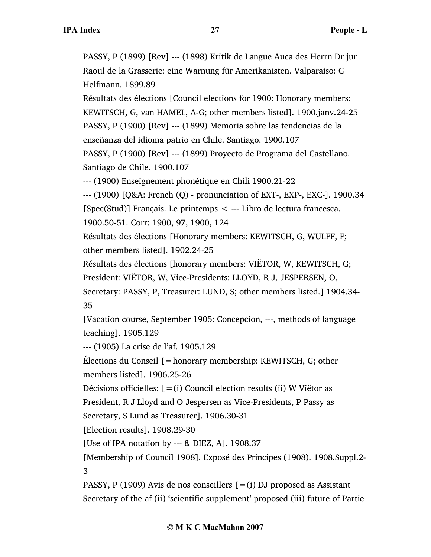PASSY, P (1899) [Rev] --- (1898) Kritik de Langue Auca des Herrn Dr jur Raoul de la Grasserie: eine Warnung für Amerikanisten. Valparaiso: G Helfmann. 1899.89

Résultats des élections [Council elections for 1900: Honorary members: KEWITSCH, G, van HAMEL, A-G; other members listed]. 1900.janv.24-25 PASSY, P (1900) [Rev] --- (1899) Memoria sobre las tendencias de la enseñanza del idioma patrio en Chile. Santiago. 1900.107

PASSY, P (1900) [Rev] --- (1899) Proyecto de Programa del Castellano. Santiago de Chile. 1900.107

--- (1900) Enseignement phonétique en Chili 1900.21-22

--- (1900) [Q&A: French (Q) - pronunciation of EXT-, EXP-, EXC-]. 1900.34 [Spec(Stud)] Français. Le printemps < --- Libro de lectura francesca.

1900.50-51. Corr: 1900, 97, 1900, 124

Résultats des élections [Honorary members: KEWITSCH, G, WULFF, F; other members listed]. 1902.24-25

Résultats des élections [honorary members: VIËTOR, W, KEWITSCH, G;

President: VIËTOR, W, Vice-Presidents: LLOYD, R J, JESPERSEN, O,

Secretary: PASSY, P, Treasurer: LUND, S; other members listed.] 1904.34- 35

[Vacation course, September 1905: Concepcion, ---, methods of language teaching]. 1905.129

--- (1905) La crise de l'af. 1905.129

Élections du Conseil [=honorary membership: KEWITSCH, G; other

members listed]. 1906.25-26

Décisions officielles:  $[=(i)$  Council election results (ii) W Viëtor as

President, R J Lloyd and O Jespersen as Vice-Presidents, P Passy as

Secretary, S Lund as Treasurer]. 1906.30-31

[Election results]. 1908.29-30

[Use of IPA notation by --- & DIEZ, A]. 1908.37

[Membership of Council 1908]. Exposé des Principes (1908). 1908.Suppl.2- 3

PASSY, P (1909) Avis de nos conseillers  $[=(i)$  DJ proposed as Assistant Secretary of the af (ii) 'scientific supplement' proposed (iii) future of Partie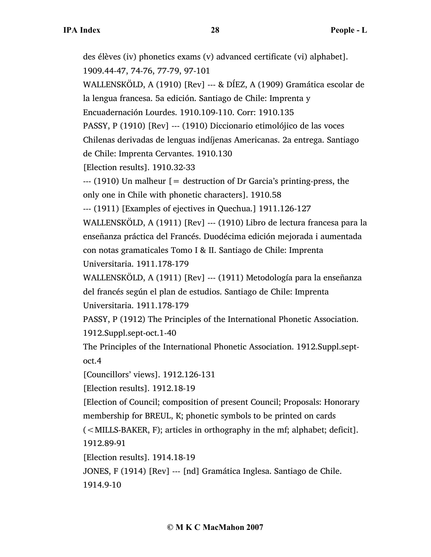des élèves (iv) phonetics exams (v) advanced certificate (vi) alphabet]. 1909.44-47, 74-76, 77-79, 97-101

WALLENSKÖLD, A (1910) [Rev] --- & DÍEZ, A (1909) Gramática escolar de la lengua francesa. 5a edición. Santiago de Chile: Imprenta y

Encuadernación Lourdes. 1910.109-110. Corr: 1910.135

PASSY, P (1910) [Rev] --- (1910) Diccionario etimolójico de las voces Chilenas derivadas de lenguas indíjenas Americanas. 2a entrega. Santiago

de Chile: Imprenta Cervantes. 1910.130

[Election results]. 1910.32-33

 $-$ -- $(1910)$  Un malheur  $[$  = destruction of Dr Garcia's printing-press, the only one in Chile with phonetic characters]. 1910.58

--- (1911) [Examples of ejectives in Quechua.] 1911.126-127

WALLENSKÖLD, A (1911) [Rev] --- (1910) Libro de lectura francesa para la enseñanza práctica del Francés. Duodécima edición mejorada i aumentada con notas gramaticales Tomo I & II. Santiago de Chile: Imprenta Universitaria. 1911.178-179

WALLENSKÖLD, A (1911) [Rev] --- (1911) Metodología para la enseñanza del francés según el plan de estudios. Santiago de Chile: Imprenta Universitaria. 1911.178-179

PASSY, P (1912) The Principles of the International Phonetic Association. 1912.Suppl.sept-oct.1-40

The Principles of the International Phonetic Association. 1912.Suppl.septoct.4

[Councillors' views]. 1912.126-131

[Election results]. 1912.18-19

[Election of Council; composition of present Council; Proposals: Honorary membership for BREUL, K; phonetic symbols to be printed on cards

(<MILLS-BAKER, F); articles in orthography in the mf; alphabet; deficit]. 1912.89-91

[Election results]. 1914.18-19

JONES, F (1914) [Rev] --- [nd] Gramática Inglesa. Santiago de Chile.

1914.9-10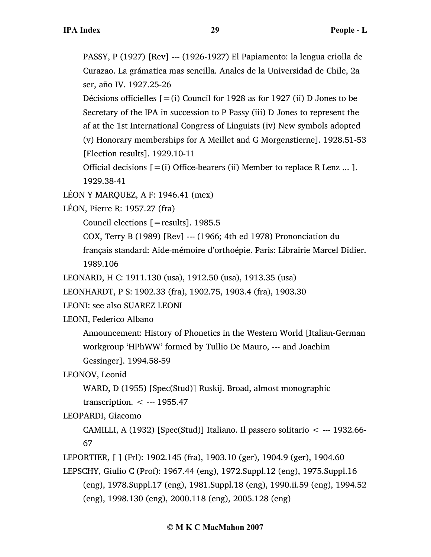PASSY, P (1927) [Rev] --- (1926-1927) El Papiamento: la lengua criolla de Curazao. La grámatica mas sencilla. Anales de la Universidad de Chile, 2a ser, año IV. 1927.25-26

Décisions officielles  $[=(i)$  Council for 1928 as for 1927 (ii) D Jones to be Secretary of the IPA in succession to P Passy (iii) D Jones to represent the af at the 1st International Congress of Linguists (iv) New symbols adopted (v) Honorary memberships for A Meillet and G Morgenstierne]. 1928.51-53 [Election results]. 1929.10-11

Official decisions  $[=(i)$  Office-bearers (ii) Member to replace R Lenz ... ]. 1929.38-41

LÉON Y MARQUEZ, A F: 1946.41 (mex)

LÉON, Pierre R: 1957.27 (fra)

Council elections [=results]. 1985.5

COX, Terry B (1989) [Rev] --- (1966; 4th ed 1978) Prononciation du

français standard: Aide-mémoire d'orthoépie. Paris: Librairie Marcel Didier. 1989.106

LEONARD, H C: 1911.130 (usa), 1912.50 (usa), 1913.35 (usa)

LEONHARDT, P S: 1902.33 (fra), 1902.75, 1903.4 (fra), 1903.30

LEONI: see also SUAREZ LEONI

LEONI, Federico Albano

Announcement: History of Phonetics in the Western World [Italian-German workgroup 'HPhWW' formed by Tullio De Mauro, --- and Joachim Gessinger]. 1994.58-59

LEONOV, Leonid

WARD, D (1955) [Spec(Stud)] Ruskij. Broad, almost monographic

transcription. < --- 1955.47

# LEOPARDI, Giacomo

CAMILLI, A (1932) [Spec(Stud)] Italiano. Il passero solitario  $\lt$  --- 1932.66-67

LEPORTIER, [ ] (Frl): 1902.145 (fra), 1903.10 (ger), 1904.9 (ger), 1904.60

LEPSCHY, Giulio C (Prof): 1967.44 (eng), 1972.Suppl.12 (eng), 1975.Suppl.16 (eng), 1978.Suppl.17 (eng), 1981.Suppl.18 (eng), 1990.ii.59 (eng), 1994.52 (eng), 1998.130 (eng), 2000.118 (eng), 2005.128 (eng)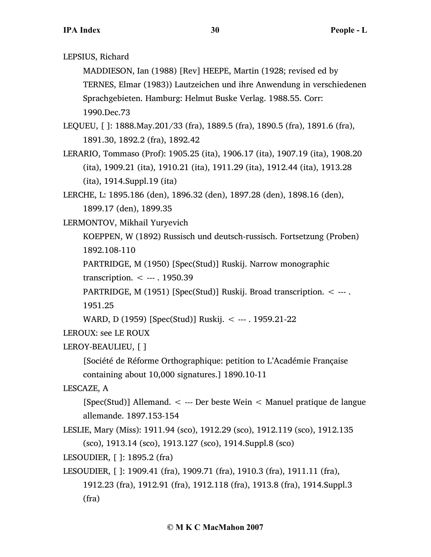LEPSIUS, Richard

MADDIESON, Ian (1988) [Rev] HEEPE, Martin (1928; revised ed by TERNES, Elmar (1983)) Lautzeichen und ihre Anwendung in verschiedenen Sprachgebieten. Hamburg: Helmut Buske Verlag. 1988.55. Corr: 1990.Dec.73

LEQUEU, [ ]: 1888.May.201/33 (fra), 1889.5 (fra), 1890.5 (fra), 1891.6 (fra), 1891.30, 1892.2 (fra), 1892.42

LERARIO, Tommaso (Prof): 1905.25 (ita), 1906.17 (ita), 1907.19 (ita), 1908.20 (ita), 1909.21 (ita), 1910.21 (ita), 1911.29 (ita), 1912.44 (ita), 1913.28 (ita), 1914.Suppl.19 (ita)

LERCHE, L: 1895.186 (den), 1896.32 (den), 1897.28 (den), 1898.16 (den), 1899.17 (den), 1899.35

LERMONTOV, Mikhail Yuryevich

KOEPPEN, W (1892) Russisch und deutsch-russisch. Fortsetzung (Proben) 1892.108-110

PARTRIDGE, M (1950) [Spec(Stud)] Ruskij. Narrow monographic

transcription. < --- . 1950.39

PARTRIDGE, M (1951) [Spec(Stud)] Ruskij. Broad transcription. < --- . 1951.25

WARD, D (1959) [Spec(Stud)] Ruskij. < --- . 1959.21-22

LEROUX: see LE ROUX

LEROY-BEAULIEU, [ ]

[Société de Réforme Orthographique: petition to L'Académie Française

containing about 10,000 signatures.] 1890.10-11

LESCAZE, A

[Spec(Stud)] Allemand. < --- Der beste Wein < Manuel pratique de langue allemande. 1897.153-154

LESLIE, Mary (Miss): 1911.94 (sco), 1912.29 (sco), 1912.119 (sco), 1912.135 (sco), 1913.14 (sco), 1913.127 (sco), 1914.Suppl.8 (sco)

LESOUDIER, [ ]: 1895.2 (fra)

```
LESOUDIER, [ ]: 1909.41 (fra), 1909.71 (fra), 1910.3 (fra), 1911.11 (fra), 
     1912.23 (fra), 1912.91 (fra), 1912.118 (fra), 1913.8 (fra), 1914.Suppl.3
     (fra)
```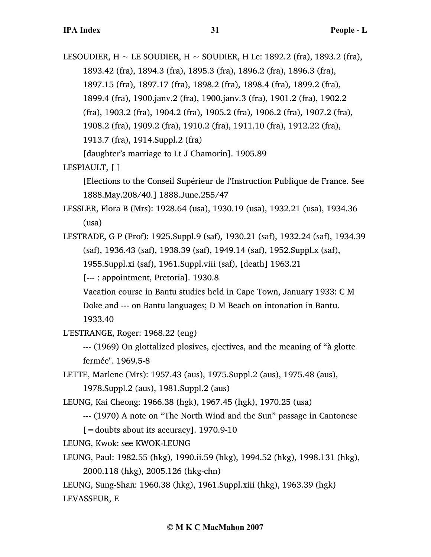LESOUDIER,  $H \sim$  LE SOUDIER,  $H \sim$  SOUDIER, H Le: 1892.2 (fra), 1893.2 (fra), 1893.42 (fra), 1894.3 (fra), 1895.3 (fra), 1896.2 (fra), 1896.3 (fra), 1897.15 (fra), 1897.17 (fra), 1898.2 (fra), 1898.4 (fra), 1899.2 (fra), 1899.4 (fra), 1900.janv.2 (fra), 1900.janv.3 (fra), 1901.2 (fra), 1902.2 (fra), 1903.2 (fra), 1904.2 (fra), 1905.2 (fra), 1906.2 (fra), 1907.2 (fra), 1908.2 (fra), 1909.2 (fra), 1910.2 (fra), 1911.10 (fra), 1912.22 (fra), 1913.7 (fra), 1914.Suppl.2 (fra) [daughter's marriage to Lt J Chamorin]. 1905.89

LESPIAULT, [ ]

[Elections to the Conseil Supérieur de l'Instruction Publique de France. See 1888.May.208/40.] 1888.June.255/47

LESSLER, Flora B (Mrs): 1928.64 (usa), 1930.19 (usa), 1932.21 (usa), 1934.36 (usa)

LESTRADE, G P (Prof): 1925.Suppl.9 (saf), 1930.21 (saf), 1932.24 (saf), 1934.39 (saf), 1936.43 (saf), 1938.39 (saf), 1949.14 (saf), 1952.Suppl.x (saf), 1955.Suppl.xi (saf), 1961.Suppl.viii (saf), [death] 1963.21

[--- : appointment, Pretoria]. 1930.8

Vacation course in Bantu studies held in Cape Town, January 1933: C M

Doke and --- on Bantu languages; D M Beach on intonation in Bantu. 1933.40

L'ESTRANGE, Roger: 1968.22 (eng)

--- (1969) On glottalized plosives, ejectives, and the meaning of "à glotte fermée". 1969.5-8

LETTE, Marlene (Mrs): 1957.43 (aus), 1975.Suppl.2 (aus), 1975.48 (aus), 1978.Suppl.2 (aus), 1981.Suppl.2 (aus)

LEUNG, Kai Cheong: 1966.38 (hgk), 1967.45 (hgk), 1970.25 (usa)

--- (1970) A note on "The North Wind and the Sun" passage in Cantonese

 $\mathcal{L}$  = doubts about its accuracy]. 1970.9-10

LEUNG, Kwok: see KWOK-LEUNG

LEUNG, Paul: 1982.55 (hkg), 1990.ii.59 (hkg), 1994.52 (hkg), 1998.131 (hkg),

2000.118 (hkg), 2005.126 (hkg-chn)

LEUNG, Sung-Shan: 1960.38 (hkg), 1961.Suppl.xiii (hkg), 1963.39 (hgk) LEVASSEUR, E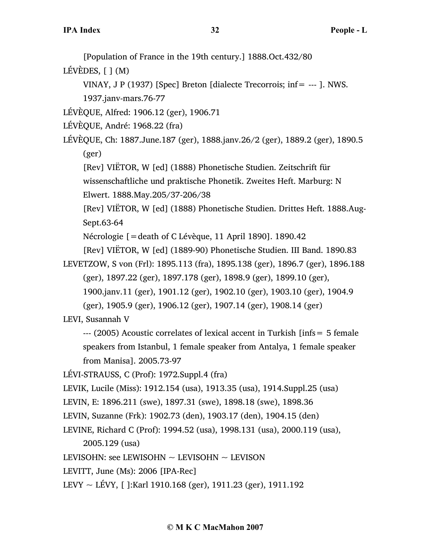[Population of France in the 19th century.] 1888.Oct.432/80

LÉVÈDES, [ ] (M)

VINAY, J P (1937) [Spec] Breton [dialecte Trecorrois; inf= --- ]. NWS. 1937.janv-mars.76-77

LÉVÈQUE, Alfred: 1906.12 (ger), 1906.71

LÉVÈQUE, André: 1968.22 (fra)

LÉVÈQUE, Ch: 1887.June.187 (ger), 1888.janv.26/2 (ger), 1889.2 (ger), 1890.5 (ger)

[Rev] VIËTOR, W [ed] (1888) Phonetische Studien. Zeitschrift für wissenschaftliche und praktische Phonetik. Zweites Heft. Marburg: N Elwert. 1888.May.205/37-206/38

[Rev] VIËTOR, W [ed] (1888) Phonetische Studien. Drittes Heft. 1888.Aug-Sept.63-64

Nécrologie [=death of C Lévèque, 11 April 1890]. 1890.42

[Rev] VIËTOR, W [ed] (1889-90) Phonetische Studien. III Band. 1890.83

LEVETZOW, S von (Frl): 1895.113 (fra), 1895.138 (ger), 1896.7 (ger), 1896.188 (ger), 1897.22 (ger), 1897.178 (ger), 1898.9 (ger), 1899.10 (ger), 1900.janv.11 (ger), 1901.12 (ger), 1902.10 (ger), 1903.10 (ger), 1904.9

(ger), 1905.9 (ger), 1906.12 (ger), 1907.14 (ger), 1908.14 (ger)

LEVI, Susannah V

--- (2005) Acoustic correlates of lexical accent in Turkish [infs= 5 female speakers from Istanbul, 1 female speaker from Antalya, 1 female speaker from Manisa]. 2005.73-97

LÉVI-STRAUSS, C (Prof): 1972.Suppl.4 (fra)

LEVIK, Lucile (Miss): 1912.154 (usa), 1913.35 (usa), 1914.Suppl.25 (usa)

LEVIN, E: 1896.211 (swe), 1897.31 (swe), 1898.18 (swe), 1898.36

LEVINE, Richard C (Prof): 1994.52 (usa), 1998.131 (usa), 2000.119 (usa),

2005.129 (usa)

LEVISOHN: see LEWISOHN  $\sim$  LEVISOHN  $\sim$  LEVISON

LEVITT, June (Ms): 2006 [IPA-Rec]

LEVY  $\sim$  LÉVY, []:Karl 1910.168 (ger), 1911.23 (ger), 1911.192

LEVIN, Suzanne (Frk): 1902.73 (den), 1903.17 (den), 1904.15 (den)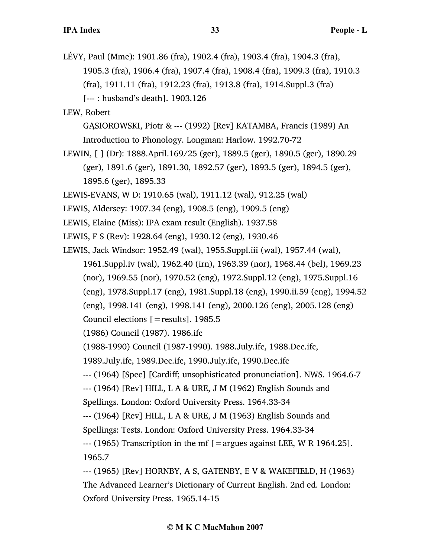LÉVY, Paul (Mme): 1901.86 (fra), 1902.4 (fra), 1903.4 (fra), 1904.3 (fra), 1905.3 (fra), 1906.4 (fra), 1907.4 (fra), 1908.4 (fra), 1909.3 (fra), 1910.3 (fra), 1911.11 (fra), 1912.23 (fra), 1913.8 (fra), 1914.Suppl.3 (fra) [--- : husband's death]. 1903.126

LEW, Robert

GĄSIOROWSKI, Piotr & --- (1992) [Rev] KATAMBA, Francis (1989) An Introduction to Phonology. Longman: Harlow. 1992.70-72

- LEWIN, [ ] (Dr): 1888.April.169/25 (ger), 1889.5 (ger), 1890.5 (ger), 1890.29 (ger), 1891.6 (ger), 1891.30, 1892.57 (ger), 1893.5 (ger), 1894.5 (ger), 1895.6 (ger), 1895.33
- LEWIS-EVANS, W D: 1910.65 (wal), 1911.12 (wal), 912.25 (wal)
- LEWIS, Aldersey: 1907.34 (eng), 1908.5 (eng), 1909.5 (eng)
- LEWIS, Elaine (Miss): IPA exam result (English). 1937.58
- LEWIS, F S (Rev): 1928.64 (eng), 1930.12 (eng), 1930.46
- LEWIS, Jack Windsor: 1952.49 (wal), 1955.Suppl.iii (wal), 1957.44 (wal), 1961.Suppl.iv (wal), 1962.40 (irn), 1963.39 (nor), 1968.44 (bel), 1969.23 (nor), 1969.55 (nor), 1970.52 (eng), 1972.Suppl.12 (eng), 1975.Suppl.16 (eng), 1978.Suppl.17 (eng), 1981.Suppl.18 (eng), 1990.ii.59 (eng), 1994.52 (eng), 1998.141 (eng), 1998.141 (eng), 2000.126 (eng), 2005.128 (eng)
	- Council elections [=results]. 1985.5

(1986) Council (1987). 1986.ifc

(1988-1990) Council (1987-1990). 1988.July.ifc, 1988.Dec.ifc,

1989.July.ifc, 1989.Dec.ifc, 1990.July.ifc, 1990.Dec.ifc

--- (1964) [Spec] [Cardiff; unsophisticated pronunciation]. NWS. 1964.6-7

--- (1964) [Rev] HILL, L A & URE, J M (1962) English Sounds and

Spellings. London: Oxford University Press. 1964.33-34

--- (1964) [Rev] HILL, L A & URE, J M (1963) English Sounds and

Spellings: Tests. London: Oxford University Press. 1964.33-34

 $-$ -- (1965) Transcription in the mf [=argues against LEE, W R 1964.25]. 1965.7

--- (1965) [Rev] HORNBY, A S, GATENBY, E V & WAKEFIELD, H (1963) The Advanced Learner's Dictionary of Current English. 2nd ed. London: Oxford University Press. 1965.14-15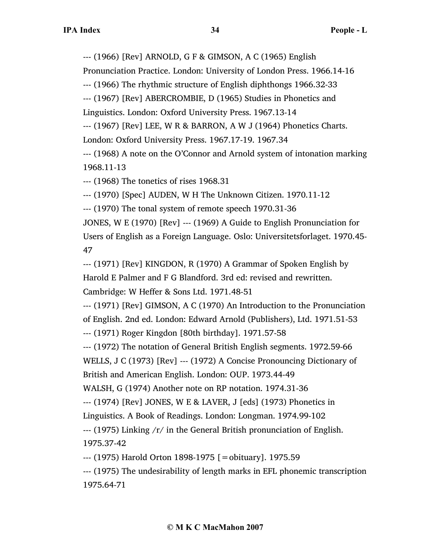--- (1966) [Rev] ARNOLD, G F & GIMSON, A C (1965) English

Pronunciation Practice. London: University of London Press. 1966.14-16

--- (1966) The rhythmic structure of English diphthongs 1966.32-33

--- (1967) [Rev] ABERCROMBIE, D (1965) Studies in Phonetics and Linguistics. London: Oxford University Press. 1967.13-14

--- (1967) [Rev] LEE, W R & BARRON, A W J (1964) Phonetics Charts. London: Oxford University Press. 1967.17-19. 1967.34

--- (1968) A note on the O'Connor and Arnold system of intonation marking 1968.11-13

--- (1968) The tonetics of rises 1968.31

--- (1970) [Spec] AUDEN, W H The Unknown Citizen. 1970.11-12

--- (1970) The tonal system of remote speech 1970.31-36

JONES, W E (1970) [Rev] --- (1969) A Guide to English Pronunciation for Users of English as a Foreign Language. Oslo: Universitetsforlaget. 1970.45- 47

--- (1971) [Rev] KINGDON, R (1970) A Grammar of Spoken English by Harold E Palmer and F G Blandford. 3rd ed: revised and rewritten. Cambridge: W Heffer & Sons Ltd. 1971.48-51

--- (1971) [Rev] GIMSON, A C (1970) An Introduction to the Pronunciation of English. 2nd ed. London: Edward Arnold (Publishers), Ltd. 1971.51-53 --- (1971) Roger Kingdon [80th birthday]. 1971.57-58

--- (1972) The notation of General British English segments. 1972.59-66

WELLS, J C (1973) [Rev] --- (1972) A Concise Pronouncing Dictionary of

British and American English. London: OUP. 1973.44-49

WALSH, G (1974) Another note on RP notation. 1974.31-36

--- (1974) [Rev] JONES, W E & LAVER, J [eds] (1973) Phonetics in

Linguistics. A Book of Readings. London: Longman. 1974.99-102

--- (1975) Linking /r/ in the General British pronunciation of English. 1975.37-42

--- (1975) Harold Orton 1898-1975 [=obituary]. 1975.59

--- (1975) The undesirability of length marks in EFL phonemic transcription 1975.64-71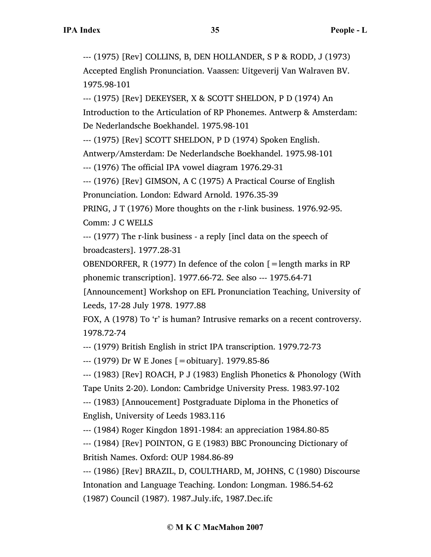--- (1975) [Rev] COLLINS, B, DEN HOLLANDER, S P & RODD, J (1973) Accepted English Pronunciation. Vaassen: Uitgeverij Van Walraven BV. 1975.98-101

--- (1975) [Rev] DEKEYSER, X & SCOTT SHELDON, P D (1974) An Introduction to the Articulation of RP Phonemes. Antwerp & Amsterdam: De Nederlandsche Boekhandel. 1975.98-101

--- (1975) [Rev] SCOTT SHELDON, P D (1974) Spoken English.

Antwerp/Amsterdam: De Nederlandsche Boekhandel. 1975.98-101

--- (1976) The official IPA vowel diagram 1976.29-31

--- (1976) [Rev] GIMSON, A C (1975) A Practical Course of English Pronunciation. London: Edward Arnold. 1976.35-39

PRING, J T (1976) More thoughts on the r-link business. 1976.92-95.

Comm: J C WELLS

--- (1977) The r-link business - a reply [incl data on the speech of broadcasters]. 1977.28-31

OBENDORFER, R (1977) In defence of the colon  $\mathfrak{[} =$  length marks in RP phonemic transcription]. 1977.66-72. See also --- 1975.64-71

[Announcement] Workshop on EFL Pronunciation Teaching, University of Leeds, 17-28 July 1978. 1977.88

FOX, A (1978) To 'r' is human? Intrusive remarks on a recent controversy. 1978.72-74

--- (1979) British English in strict IPA transcription. 1979.72-73

--- (1979) Dr W E Jones [=obituary]. 1979.85-86

--- (1983) [Rev] ROACH, P J (1983) English Phonetics & Phonology (With Tape Units 2-20). London: Cambridge University Press. 1983.97-102

--- (1983) [Annoucement] Postgraduate Diploma in the Phonetics of English, University of Leeds 1983.116

--- (1984) Roger Kingdon 1891-1984: an appreciation 1984.80-85

--- (1984) [Rev] POINTON, G E (1983) BBC Pronouncing Dictionary of British Names. Oxford: OUP 1984.86-89

--- (1986) [Rev] BRAZIL, D, COULTHARD, M, JOHNS, C (1980) Discourse Intonation and Language Teaching. London: Longman. 1986.54-62 (1987) Council (1987). 1987.July.ifc, 1987.Dec.ifc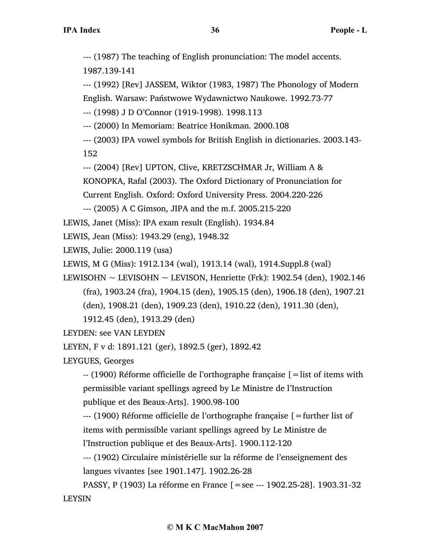--- (1987) The teaching of English pronunciation: The model accents. 1987.139-141

--- (1992) [Rev] JASSEM, Wiktor (1983, 1987) The Phonology of Modern English. Warsaw: Państwowe Wydawnictwo Naukowe. 1992.73-77

--- (1998) J D O'Connor (1919-1998). 1998.113

--- (2000) In Memoriam: Beatrice Honikman. 2000.108

--- (2003) IPA vowel symbols for British English in dictionaries. 2003.143-

152

--- (2004) [Rev] UPTON, Clive, KRETZSCHMAR Jr, William A &

KONOPKA, Rafal (2003). The Oxford Dictionary of Pronunciation for

Current English. Oxford: Oxford University Press. 2004.220-226

--- (2005) A C Gimson, JIPA and the m.f. 2005.215-220

LEWIS, Janet (Miss): IPA exam result (English). 1934.84

LEWIS, Jean (Miss): 1943.29 (eng), 1948.32

```
LEWIS, Julie: 2000.119 (usa)
```
LEWIS, M G (Miss): 1912.134 (wal), 1913.14 (wal), 1914.Suppl.8 (wal)

LEWISOHN  $\sim$  LEVISOHN  $\sim$  LEVISON, Henriette (Frk): 1902.54 (den), 1902.146

(fra), 1903.24 (fra), 1904.15 (den), 1905.15 (den), 1906.18 (den), 1907.21

(den), 1908.21 (den), 1909.23 (den), 1910.22 (den), 1911.30 (den),

1912.45 (den), 1913.29 (den)

LEYDEN: see VAN LEYDEN

LEYEN, F v d: 1891.121 (ger), 1892.5 (ger), 1892.42

LEYGUES, Georges

-- (1900) Réforme officielle de l'orthographe française [=list of items with permissible variant spellings agreed by Le Ministre de l'Instruction publique et des Beaux-Arts]. 1900.98-100

 $-$ -- (1900) Réforme officielle de l'orthographe française  $\mathfrak{f} =$  further list of items with permissible variant spellings agreed by Le Ministre de l'Instruction publique et des Beaux-Arts]. 1900.112-120

--- (1902) Circulaire ministérielle sur la réforme de l'enseignement des langues vivantes [see 1901.147]. 1902.26-28

PASSY, P (1903) La réforme en France [=see --- 1902.25-28]. 1903.31-32 LEYSIN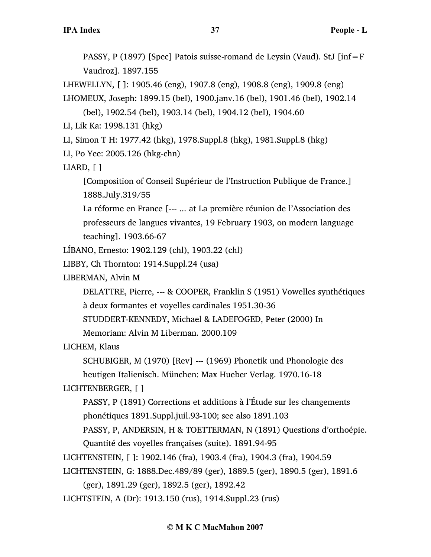PASSY, P (1897) [Spec] Patois suisse-romand de Leysin (Vaud). StJ [inf=F Vaudroz]. 1897.155

LHEWELLYN, [ ]: 1905.46 (eng), 1907.8 (eng), 1908.8 (eng), 1909.8 (eng)

LHOMEUX, Joseph: 1899.15 (bel), 1900.janv.16 (bel), 1901.46 (bel), 1902.14

(bel), 1902.54 (bel), 1903.14 (bel), 1904.12 (bel), 1904.60

LI, Lik Ka: 1998.131 (hkg)

LI, Simon T H: 1977.42 (hkg), 1978.Suppl.8 (hkg), 1981.Suppl.8 (hkg)

LI, Po Yee: 2005.126 (hkg-chn)

LIARD, [ ]

[Composition of Conseil Supérieur de l'Instruction Publique de France.] 1888.July.319/55

La réforme en France [--- ... at La première réunion de l'Association des professeurs de langues vivantes, 19 February 1903, on modern language teaching]. 1903.66-67

LÍBANO, Ernesto: 1902.129 (chl), 1903.22 (chl)

LIBBY, Ch Thornton: 1914.Suppl.24 (usa)

LIBERMAN, Alvin M

DELATTRE, Pierre, --- & COOPER, Franklin S (1951) Vowelles synthétiques

à deux formantes et voyelles cardinales 1951.30-36

STUDDERT-KENNEDY, Michael & LADEFOGED, Peter (2000) In

Memoriam: Alvin M Liberman. 2000.109

LICHEM, Klaus

SCHUBIGER, M (1970) [Rev] --- (1969) Phonetik und Phonologie des

heutigen Italienisch. München: Max Hueber Verlag. 1970.16-18

LICHTENBERGER, [ ]

PASSY, P (1891) Corrections et additions à l'Étude sur les changements phonétiques 1891.Suppl.juil.93-100; see also 1891.103

PASSY, P, ANDERSIN, H & TOETTERMAN, N (1891) Questions d'orthoépie.

Quantité des voyelles françaises (suite). 1891.94-95

LICHTENSTEIN, [ ]: 1902.146 (fra), 1903.4 (fra), 1904.3 (fra), 1904.59

LICHTENSTEIN, G: 1888.Dec.489/89 (ger), 1889.5 (ger), 1890.5 (ger), 1891.6

(ger), 1891.29 (ger), 1892.5 (ger), 1892.42

LICHTSTEIN, A (Dr): 1913.150 (rus), 1914.Suppl.23 (rus)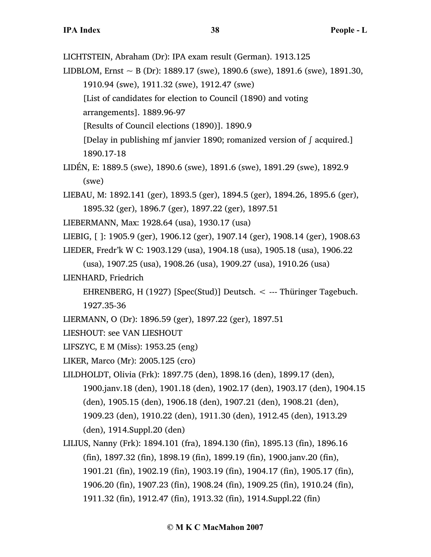LICHTSTEIN, Abraham (Dr): IPA exam result (German). 1913.125

LIDBLOM, Ernst  $\sim$  B (Dr): 1889.17 (swe), 1890.6 (swe), 1891.6 (swe), 1891.30, 1910.94 (swe), 1911.32 (swe), 1912.47 (swe) [List of candidates for election to Council (1890) and voting

arrangements]. 1889.96-97

[Results of Council elections (1890)]. 1890.9

[Delay in publishing mf janvier 1890; romanized version of ∫ acquired.] 1890.17-18

- LIDÉN, E: 1889.5 (swe), 1890.6 (swe), 1891.6 (swe), 1891.29 (swe), 1892.9 (swe)
- LIEBAU, M: 1892.141 (ger), 1893.5 (ger), 1894.5 (ger), 1894.26, 1895.6 (ger), 1895.32 (ger), 1896.7 (ger), 1897.22 (ger), 1897.51
- LIEBERMANN, Max: 1928.64 (usa), 1930.17 (usa)

LIEBIG, [ ]: 1905.9 (ger), 1906.12 (ger), 1907.14 (ger), 1908.14 (ger), 1908.63

LIEDER, Fredr'k W C: 1903.129 (usa), 1904.18 (usa), 1905.18 (usa), 1906.22

(usa), 1907.25 (usa), 1908.26 (usa), 1909.27 (usa), 1910.26 (usa)

LIENHARD, Friedrich

EHRENBERG, H (1927) [Spec(Stud)] Deutsch. < --- Thüringer Tagebuch.

1927.35-36

LIERMANN, O (Dr): 1896.59 (ger), 1897.22 (ger), 1897.51

LIESHOUT: see VAN LIESHOUT

- LIFSZYC, E M (Miss): 1953.25 (eng)
- LIKER, Marco (Mr): 2005.125 (cro)
- LILDHOLDT, Olivia (Frk): 1897.75 (den), 1898.16 (den), 1899.17 (den), 1900.janv.18 (den), 1901.18 (den), 1902.17 (den), 1903.17 (den), 1904.15 (den), 1905.15 (den), 1906.18 (den), 1907.21 (den), 1908.21 (den), 1909.23 (den), 1910.22 (den), 1911.30 (den), 1912.45 (den), 1913.29 (den), 1914.Suppl.20 (den)
- LILIUS, Nanny (Frk): 1894.101 (fra), 1894.130 (fin), 1895.13 (fin), 1896.16 (fin), 1897.32 (fin), 1898.19 (fin), 1899.19 (fin), 1900.janv.20 (fin), 1901.21 (fin), 1902.19 (fin), 1903.19 (fin), 1904.17 (fin), 1905.17 (fin), 1906.20 (fin), 1907.23 (fin), 1908.24 (fin), 1909.25 (fin), 1910.24 (fin), 1911.32 (fin), 1912.47 (fin), 1913.32 (fin), 1914.Suppl.22 (fin)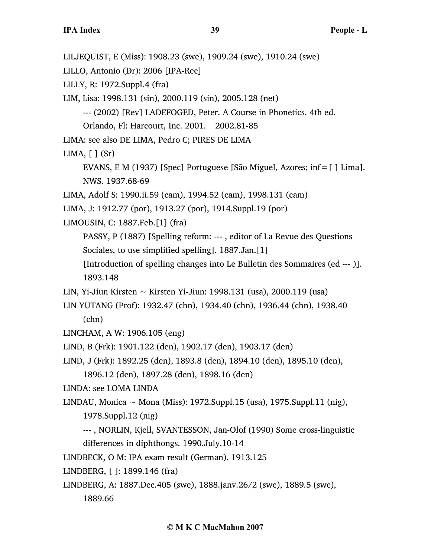LILJEQUIST, E (Miss): 1908.23 (swe), 1909.24 (swe), 1910.24 (swe)

LILLO, Antonio (Dr): 2006 [IPA-Rec]

LILLY, R: 1972.Suppl.4 (fra)

LIM, Lisa: 1998.131 (sin), 2000.119 (sin), 2005.128 (net)

--- (2002) [Rev] LADEFOGED, Peter. A Course in Phonetics. 4th ed.

Orlando, Fl: Harcourt, Inc. 2001. 2002.81-85

LIMA: see also DE LIMA, Pedro C; PIRES DE LIMA

LIMA,  $[ ] (Sr)$ 

EVANS, E M (1937) [Spec] Portuguese [São Miguel, Azores;  $inf = [ ]$  Lima]. NWS. 1937.68-69

LIMA, Adolf S: 1990.ii.59 (cam), 1994.52 (cam), 1998.131 (cam)

LIMA, J: 1912.77 (por), 1913.27 (por), 1914.Suppl.19 (por)

LIMOUSIN, C: 1887.Feb.[1] (fra)

PASSY, P (1887) [Spelling reform: --- , editor of La Revue des Questions Sociales, to use simplified spelling]. 1887.Jan.[1]

[Introduction of spelling changes into Le Bulletin des Sommaires (ed --- )]. 1893.148

LIN, Yi-Jiun Kirsten  $\sim$  Kirsten Yi-Jiun: 1998.131 (usa), 2000.119 (usa)

LIN YUTANG (Prof): 1932.47 (chn), 1934.40 (chn), 1936.44 (chn), 1938.40 (chn)

LINCHAM, A W: 1906.105 (eng)

LIND, B (Frk): 1901.122 (den), 1902.17 (den), 1903.17 (den)

LIND, J (Frk): 1892.25 (den), 1893.8 (den), 1894.10 (den), 1895.10 (den),

1896.12 (den), 1897.28 (den), 1898.16 (den)

LINDA: see LOMA LINDA

LINDAU, Monica ~ Mona (Miss): 1972.Suppl.15 (usa), 1975.Suppl.11 (nig), 1978.Suppl.12 (nig)

--- , NORLIN, Kjell, SVANTESSON, Jan-Olof (1990) Some cross-linguistic differences in diphthongs. 1990.July.10-14

LINDBECK, O M: IPA exam result (German). 1913.125

LINDBERG, [ ]: 1899.146 (fra)

LINDBERG, A: 1887.Dec.405 (swe), 1888.janv.26/2 (swe), 1889.5 (swe), 1889.66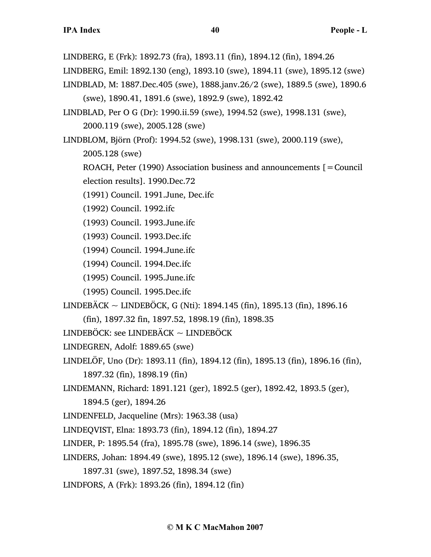LINDBERG, E (Frk): 1892.73 (fra), 1893.11 (fin), 1894.12 (fin), 1894.26

- LINDBERG, Emil: 1892.130 (eng), 1893.10 (swe), 1894.11 (swe), 1895.12 (swe)
- LINDBLAD, M: 1887.Dec.405 (swe), 1888.janv.26/2 (swe), 1889.5 (swe), 1890.6 (swe), 1890.41, 1891.6 (swe), 1892.9 (swe), 1892.42
- LINDBLAD, Per O G (Dr): 1990.ii.59 (swe), 1994.52 (swe), 1998.131 (swe), 2000.119 (swe), 2005.128 (swe)
- LINDBLOM, Björn (Prof): 1994.52 (swe), 1998.131 (swe), 2000.119 (swe),
	- 2005.128 (swe)
	- ROACH, Peter (1990) Association business and announcements  $\mathbf{r} =$  Council
	- election results]. 1990.Dec.72
	- (1991) Council. 1991.June, Dec.ifc
	- (1992) Council. 1992.ifc
	- (1993) Council. 1993.June.ifc
	- (1993) Council. 1993.Dec.ifc
	- (1994) Council. 1994.June.ifc
	- (1994) Council. 1994.Dec.ifc
	- (1995) Council. 1995.June.ifc
	- (1995) Council. 1995.Dec.ifc
- LINDEBÄCK ~ LINDEBÖCK, G (Nti): 1894.145 (fin), 1895.13 (fin), 1896.16
	- (fin), 1897.32 fin, 1897.52, 1898.19 (fin), 1898.35
- LINDEBÖCK: see LINDEBÄCK ~ LINDEBÖCK
- LINDEGREN, Adolf: 1889.65 (swe)
- LINDELÖF, Uno (Dr): 1893.11 (fin), 1894.12 (fin), 1895.13 (fin), 1896.16 (fin), 1897.32 (fin), 1898.19 (fin)
- LINDEMANN, Richard: 1891.121 (ger), 1892.5 (ger), 1892.42, 1893.5 (ger),
	- 1894.5 (ger), 1894.26
- LINDENFELD, Jacqueline (Mrs): 1963.38 (usa)
- LINDEQVIST, Elna: 1893.73 (fin), 1894.12 (fin), 1894.27
- LINDER, P: 1895.54 (fra), 1895.78 (swe), 1896.14 (swe), 1896.35
- LINDERS, Johan: 1894.49 (swe), 1895.12 (swe), 1896.14 (swe), 1896.35,
	- 1897.31 (swe), 1897.52, 1898.34 (swe)
- LINDFORS, A (Frk): 1893.26 (fin), 1894.12 (fin)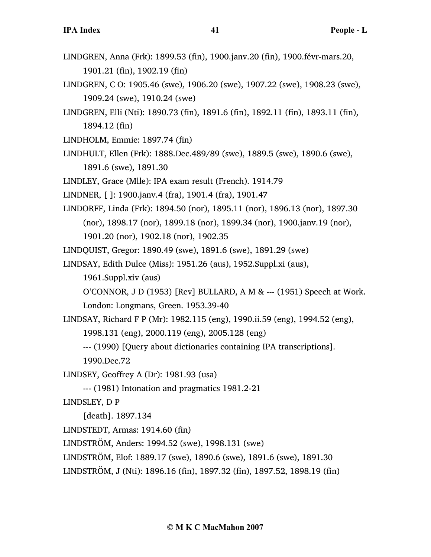- LINDGREN, Anna (Frk): 1899.53 (fin), 1900.janv.20 (fin), 1900.févr-mars.20, 1901.21 (fin), 1902.19 (fin)
- LINDGREN, C O: 1905.46 (swe), 1906.20 (swe), 1907.22 (swe), 1908.23 (swe), 1909.24 (swe), 1910.24 (swe)
- LINDGREN, Elli (Nti): 1890.73 (fin), 1891.6 (fin), 1892.11 (fin), 1893.11 (fin), 1894.12 (fin)
- LINDHOLM, Emmie: 1897.74 (fin)
- LINDHULT, Ellen (Frk): 1888.Dec.489/89 (swe), 1889.5 (swe), 1890.6 (swe), 1891.6 (swe), 1891.30
- LINDLEY, Grace (Mlle): IPA exam result (French). 1914.79
- LINDNER, [ ]: 1900.janv.4 (fra), 1901.4 (fra), 1901.47
- LINDORFF, Linda (Frk): 1894.50 (nor), 1895.11 (nor), 1896.13 (nor), 1897.30 (nor), 1898.17 (nor), 1899.18 (nor), 1899.34 (nor), 1900.janv.19 (nor), 1901.20 (nor), 1902.18 (nor), 1902.35
- LINDQUIST, Gregor: 1890.49 (swe), 1891.6 (swe), 1891.29 (swe)
- LINDSAY, Edith Dulce (Miss): 1951.26 (aus), 1952.Suppl.xi (aus),
	- 1961.Suppl.xiv (aus)
	- O'CONNOR, J D  $(1953)$  [Rev] BULLARD, A M & ---  $(1951)$  Speech at Work.

London: Longmans, Green. 1953.39-40

- LINDSAY, Richard F P (Mr): 1982.115 (eng), 1990.ii.59 (eng), 1994.52 (eng),
	- 1998.131 (eng), 2000.119 (eng), 2005.128 (eng)
	- --- (1990) [Query about dictionaries containing IPA transcriptions].
	- 1990.Dec.72
- LINDSEY, Geoffrey A (Dr): 1981.93 (usa)
	- --- (1981) Intonation and pragmatics 1981.2-21
- LINDSLEY, D P
	- [death]. 1897.134
- LINDSTEDT, Armas: 1914.60 (fin)
- LINDSTRÖM, Anders: 1994.52 (swe), 1998.131 (swe)
- LINDSTRÖM, Elof: 1889.17 (swe), 1890.6 (swe), 1891.6 (swe), 1891.30
- LINDSTRÖM, J (Nti): 1896.16 (fin), 1897.32 (fin), 1897.52, 1898.19 (fin)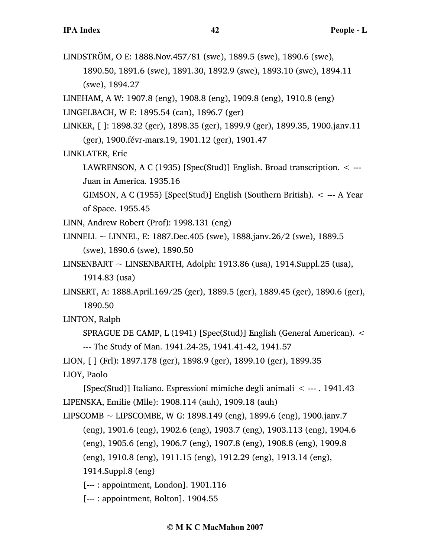LINDSTRÖM, O E: 1888.Nov.457/81 (swe), 1889.5 (swe), 1890.6 (swe),

1890.50, 1891.6 (swe), 1891.30, 1892.9 (swe), 1893.10 (swe), 1894.11 (swe), 1894.27

LINEHAM, A W: 1907.8 (eng), 1908.8 (eng), 1909.8 (eng), 1910.8 (eng)

LINGELBACH, W E: 1895.54 (can), 1896.7 (ger)

LINKER, [ ]: 1898.32 (ger), 1898.35 (ger), 1899.9 (ger), 1899.35, 1900.janv.11 (ger), 1900.févr-mars.19, 1901.12 (ger), 1901.47

LINKLATER, Eric

LAWRENSON, A C (1935) [Spec(Stud)] English. Broad transcription. < --- Juan in America. 1935.16

GIMSON, A C (1955) [Spec(Stud)] English (Southern British).  $\lt$  --- A Year of Space. 1955.45

LINN, Andrew Robert (Prof): 1998.131 (eng)

LINNELL ~ LINNEL, E: 1887. Dec. 405 (swe), 1888. janv.  $26/2$  (swe), 1889. 5 (swe), 1890.6 (swe), 1890.50

LINSENBART  $\sim$  LINSENBARTH, Adolph: 1913.86 (usa), 1914.Suppl.25 (usa), 1914.83 (usa)

LINSERT, A: 1888.April.169/25 (ger), 1889.5 (ger), 1889.45 (ger), 1890.6 (ger), 1890.50

LINTON, Ralph

SPRAGUE DE CAMP, L (1941) [Spec(Stud)] English (General American). < --- The Study of Man. 1941.24-25, 1941.41-42, 1941.57

LION, [ ] (Frl): 1897.178 (ger), 1898.9 (ger), 1899.10 (ger), 1899.35 LIOY, Paolo

[Spec(Stud)] Italiano. Espressioni mimiche degli animali < --- . 1941.43 LIPENSKA, Emilie (Mlle): 1908.114 (auh), 1909.18 (auh)

LIPSCOMB  $\sim$  LIPSCOMBE, W G: 1898.149 (eng), 1899.6 (eng), 1900.janv.7

(eng), 1901.6 (eng), 1902.6 (eng), 1903.7 (eng), 1903.113 (eng), 1904.6

(eng), 1905.6 (eng), 1906.7 (eng), 1907.8 (eng), 1908.8 (eng), 1909.8

(eng), 1910.8 (eng), 1911.15 (eng), 1912.29 (eng), 1913.14 (eng),

1914.Suppl.8 (eng)

[--- : appointment, London]. 1901.116

[--- : appointment, Bolton]. 1904.55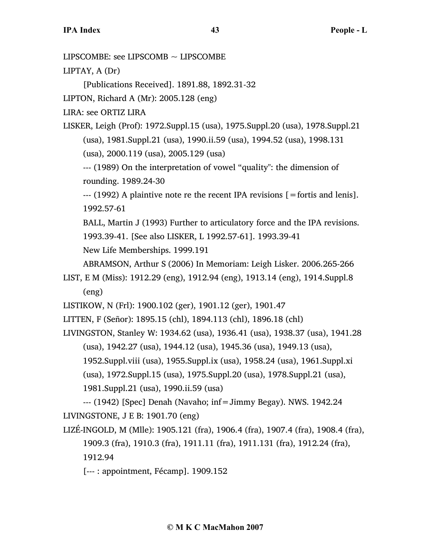LIPSCOMBE: see LIPSCOMB ~ LIPSCOMBE

LIPTAY, A (Dr)

[Publications Received]. 1891.88, 1892.31-32

LIPTON, Richard A (Mr): 2005.128 (eng)

LIRA: see ORTIZ LIRA

LISKER, Leigh (Prof): 1972.Suppl.15 (usa), 1975.Suppl.20 (usa), 1978.Suppl.21 (usa), 1981.Suppl.21 (usa), 1990.ii.59 (usa), 1994.52 (usa), 1998.131

(usa), 2000.119 (usa), 2005.129 (usa)

--- (1989) On the interpretation of vowel "quality": the dimension of rounding. 1989.24-30

--- (1992) A plaintive note re the recent IPA revisions [=fortis and lenis]. 1992.57-61

BALL, Martin J (1993) Further to articulatory force and the IPA revisions. 1993.39-41. [See also LISKER, L 1992.57-61]. 1993.39-41

New Life Memberships. 1999.191

ABRAMSON, Arthur S (2006) In Memoriam: Leigh Lisker. 2006.265-266

LIST, E M (Miss): 1912.29 (eng), 1912.94 (eng), 1913.14 (eng), 1914.Suppl.8 (eng)

LISTIKOW, N (Frl): 1900.102 (ger), 1901.12 (ger), 1901.47

LITTEN, F (Señor): 1895.15 (chl), 1894.113 (chl), 1896.18 (chl)

LIVINGSTON, Stanley W: 1934.62 (usa), 1936.41 (usa), 1938.37 (usa), 1941.28 (usa), 1942.27 (usa), 1944.12 (usa), 1945.36 (usa), 1949.13 (usa),

1952.Suppl.viii (usa), 1955.Suppl.ix (usa), 1958.24 (usa), 1961.Suppl.xi

(usa), 1972.Suppl.15 (usa), 1975.Suppl.20 (usa), 1978.Suppl.21 (usa),

1981.Suppl.21 (usa), 1990.ii.59 (usa)

--- (1942) [Spec] Denah (Navaho; inf=Jimmy Begay). NWS. 1942.24 LIVINGSTONE, J E B: 1901.70 (eng)

LIZÉ-INGOLD, M (Mlle): 1905.121 (fra), 1906.4 (fra), 1907.4 (fra), 1908.4 (fra), 1909.3 (fra), 1910.3 (fra), 1911.11 (fra), 1911.131 (fra), 1912.24 (fra), 1912.94

[--- : appointment, Fécamp]. 1909.152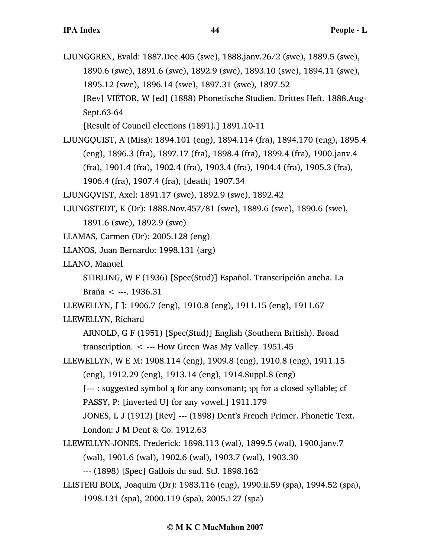LJUNGGREN, Evald: 1887.Dec.405 (swe), 1888.janv.26/2 (swe), 1889.5 (swe), 1890.6 (swe), 1891.6 (swe), 1892.9 (swe), 1893.10 (swe), 1894.11 (swe), 1895.12 (swe), 1896.14 (swe), 1897.31 (swe), 1897.52 [Rev] VIËTOR, W [ed] (1888) Phonetische Studien. Drittes Heft. 1888.Aug-Sept.63-64

[Result of Council elections (1891).] 1891.10-11

LJUNGQUIST, A (Miss): 1894.101 (eng), 1894.114 (fra), 1894.170 (eng), 1895.4 (eng), 1896.3 (fra), 1897.17 (fra), 1898.4 (fra), 1899.4 (fra), 1900.janv.4 (fra), 1901.4 (fra), 1902.4 (fra), 1903.4 (fra), 1904.4 (fra), 1905.3 (fra), 1906.4 (fra), 1907.4 (fra), [death] 1907.34

LJUNGQVIST, Axel: 1891.17 (swe), 1892.9 (swe), 1892.42

LJUNGSTEDT, K (Dr): 1888.Nov.457/81 (swe), 1889.6 (swe), 1890.6 (swe),

1891.6 (swe), 1892.9 (swe)

- LLAMAS, Carmen (Dr): 2005.128 (eng)
- LLANOS, Juan Bernardo: 1998.131 (arg)
- LLANO, Manuel

STIRLING, W F (1936) [Spec(Stud)] Español. Transcripción ancha. La Braña < ---. 1936.31

LLEWELLYN, [ ]: 1906.7 (eng), 1910.8 (eng), 1911.15 (eng), 1911.67

LLEWELLYN, Richard

ARNOLD, G F (1951) [Spec(Stud)] English (Southern British). Broad transcription. < --- How Green Was My Valley. 1951.45

LLEWELLYN, W E M: 1908.114 (eng), 1909.8 (eng), 1910.8 (eng), 1911.15 (eng), 1912.29 (eng), 1913.14 (eng), 1914.Suppl.8 (eng)

[--- : suggested symbol  $\chi$  for any consonant;  $\chi\chi$  for a closed syllable; cf

PASSY, P: [inverted U] for any vowel.] 1911.179

JONES, L J (1912) [Rev] --- (1898) Dent's French Primer. Phonetic Text. London: J M Dent & Co. 1912.63

LLEWELLYN-JONES, Frederick: 1898.113 (wal), 1899.5 (wal), 1900.janv.7 (wal), 1901.6 (wal), 1902.6 (wal), 1903.7 (wal), 1903.30

--- (1898) [Spec] Gallois du sud. StJ. 1898.162

LLISTERI BOIX, Joaquim (Dr): 1983.116 (eng), 1990.ii.59 (spa), 1994.52 (spa), 1998.131 (spa), 2000.119 (spa), 2005.127 (spa)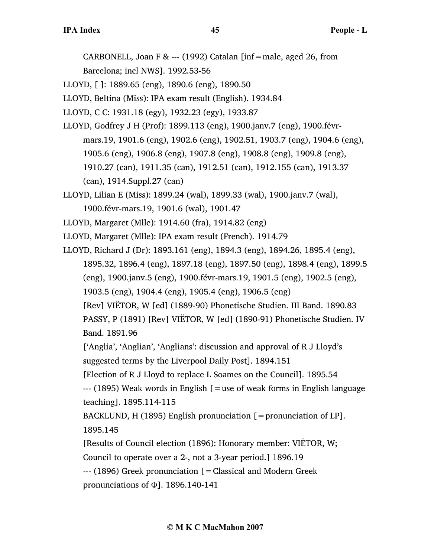CARBONELL, Joan F & --- (1992) Catalan [inf=male, aged 26, from Barcelona; incl NWS]. 1992.53-56

LLOYD, [ ]: 1889.65 (eng), 1890.6 (eng), 1890.50

LLOYD, Beltina (Miss): IPA exam result (English). 1934.84

LLOYD, C C: 1931.18 (egy), 1932.23 (egy), 1933.87

- LLOYD, Godfrey J H (Prof): 1899.113 (eng), 1900.janv.7 (eng), 1900.févrmars.19, 1901.6 (eng), 1902.6 (eng), 1902.51, 1903.7 (eng), 1904.6 (eng), 1905.6 (eng), 1906.8 (eng), 1907.8 (eng), 1908.8 (eng), 1909.8 (eng), 1910.27 (can), 1911.35 (can), 1912.51 (can), 1912.155 (can), 1913.37 (can), 1914.Suppl.27 (can)
- LLOYD, Lilian E (Miss): 1899.24 (wal), 1899.33 (wal), 1900.janv.7 (wal), 1900.févr-mars.19, 1901.6 (wal), 1901.47
- LLOYD, Margaret (Mlle): 1914.60 (fra), 1914.82 (eng)

LLOYD, Margaret (Mlle): IPA exam result (French). 1914.79

LLOYD, Richard J (Dr): 1893.161 (eng), 1894.3 (eng), 1894.26, 1895.4 (eng), 1895.32, 1896.4 (eng), 1897.18 (eng), 1897.50 (eng), 1898.4 (eng), 1899.5 (eng), 1900.janv.5 (eng), 1900.févr-mars.19, 1901.5 (eng), 1902.5 (eng), 1903.5 (eng), 1904.4 (eng), 1905.4 (eng), 1906.5 (eng)

[Rev] VIËTOR, W [ed] (1889-90) Phonetische Studien. III Band. 1890.83 PASSY, P (1891) [Rev] VIËTOR, W [ed] (1890-91) Phonetische Studien. IV Band. 1891.96

['Anglia', 'Anglian', 'Anglians': discussion and approval of R J Lloyd's suggested terms by the Liverpool Daily Post]. 1894.151

[Election of R J Lloyd to replace L Soames on the Council]. 1895.54

 $-$ -- (1895) Weak words in English [=use of weak forms in English language teaching]. 1895.114-115

BACKLUND, H (1895) English pronunciation  $[=$  pronunciation of LP]. 1895.145

[Results of Council election (1896): Honorary member: VIËTOR, W;

Council to operate over a 2-, not a 3-year period.] 1896.19

--- (1896) Greek pronunciation [=Classical and Modern Greek pronunciations of Φ]. 1896.140-141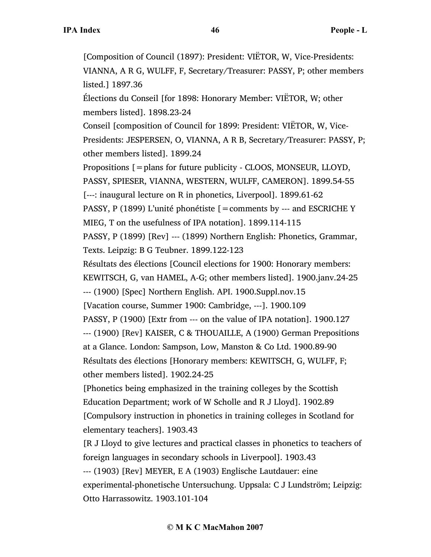[Composition of Council (1897): President: VIËTOR, W, Vice-Presidents: VIANNA, A R G, WULFF, F, Secretary/Treasurer: PASSY, P; other members listed.] 1897.36 Élections du Conseil [for 1898: Honorary Member: VIËTOR, W; other members listed]. 1898.23-24 Conseil [composition of Council for 1899: President: VIËTOR, W, Vice-Presidents: JESPERSEN, O, VIANNA, A R B, Secretary/Treasurer: PASSY, P; other members listed]. 1899.24 Propositions [=plans for future publicity - CLOOS, MONSEUR, LLOYD, PASSY, SPIESER, VIANNA, WESTERN, WULFF, CAMERON]. 1899.54-55 [---: inaugural lecture on R in phonetics, Liverpool]. 1899.61-62 PASSY, P (1899) L'unité phonétiste  $[=$  comments by --- and ESCRICHE Y MIEG, T on the usefulness of IPA notation]. 1899.114-115 PASSY, P (1899) [Rev] --- (1899) Northern English: Phonetics, Grammar, Texts. Leipzig: B G Teubner. 1899.122-123 Résultats des élections [Council elections for 1900: Honorary members: KEWITSCH, G, van HAMEL, A-G; other members listed]. 1900.janv.24-25 --- (1900) [Spec] Northern English. API. 1900.Suppl.nov.15 [Vacation course, Summer 1900: Cambridge, ---]. 1900.109 PASSY, P (1900) [Extr from --- on the value of IPA notation]. 1900.127 --- (1900) [Rev] KAISER, C & THOUAILLE, A (1900) German Prepositions at a Glance. London: Sampson, Low, Manston & Co Ltd. 1900.89-90 Résultats des élections [Honorary members: KEWITSCH, G, WULFF, F; other members listed]. 1902.24-25 [Phonetics being emphasized in the training colleges by the Scottish Education Department; work of W Scholle and R J Lloyd]. 1902.89 [Compulsory instruction in phonetics in training colleges in Scotland for elementary teachers]. 1903.43 [R J Lloyd to give lectures and practical classes in phonetics to teachers of foreign languages in secondary schools in Liverpool]. 1903.43 --- (1903) [Rev] MEYER, E A (1903) Englische Lautdauer: eine experimental-phonetische Untersuchung. Uppsala: C J Lundström; Leipzig: Otto Harrassowitz. 1903.101-104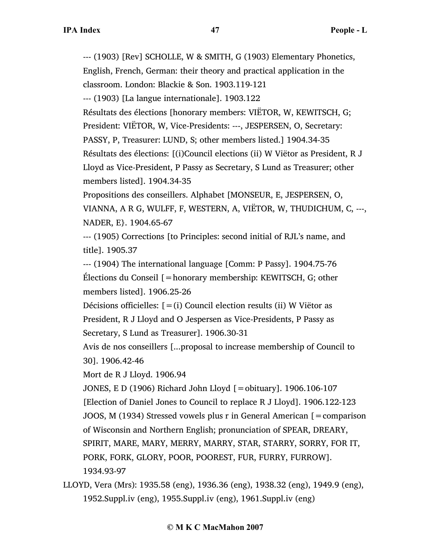--- (1903) [Rev] SCHOLLE, W & SMITH, G (1903) Elementary Phonetics, English, French, German: their theory and practical application in the classroom. London: Blackie & Son. 1903.119-121

--- (1903) [La langue internationale]. 1903.122

Résultats des élections [honorary members: VIËTOR, W, KEWITSCH, G;

President: VIËTOR, W, Vice-Presidents: ---, JESPERSEN, O, Secretary:

PASSY, P, Treasurer: LUND, S; other members listed.] 1904.34-35

Résultats des élections: [(i)Council elections (ii) W Viëtor as President, R J

Lloyd as Vice-President, P Passy as Secretary, S Lund as Treasurer; other members listed]. 1904.34-35

Propositions des conseillers. Alphabet [MONSEUR, E, JESPERSEN, O, VIANNA, A R G, WULFF, F, WESTERN, A, VIËTOR, W, THUDICHUM, C, ---, NADER, E}. 1904.65-67

--- (1905) Corrections [to Principles: second initial of RJL's name, and title]. 1905.37

--- (1904) The international language [Comm: P Passy]. 1904.75-76 Élections du Conseil [=honorary membership: KEWITSCH, G; other members listed]. 1906.25-26

Décisions officielles:  $[=(i)$  Council election results (ii) W Viëtor as President, R J Lloyd and O Jespersen as Vice-Presidents, P Passy as Secretary, S Lund as Treasurer]. 1906.30-31

Avis de nos conseillers [...proposal to increase membership of Council to 30]. 1906.42-46

Mort de R J Lloyd. 1906.94

JONES, E D (1906) Richard John Lloyd [=obituary]. 1906.106-107 [Election of Daniel Jones to Council to replace R J Lloyd]. 1906.122-123 JOOS, M (1934) Stressed vowels plus r in General American [=comparison of Wisconsin and Northern English; pronunciation of SPEAR, DREARY, SPIRIT, MARE, MARY, MERRY, MARRY, STAR, STARRY, SORRY, FOR IT, PORK, FORK, GLORY, POOR, POOREST, FUR, FURRY, FURROW]. 1934.93-97

LLOYD, Vera (Mrs): 1935.58 (eng), 1936.36 (eng), 1938.32 (eng), 1949.9 (eng), 1952.Suppl.iv (eng), 1955.Suppl.iv (eng), 1961.Suppl.iv (eng)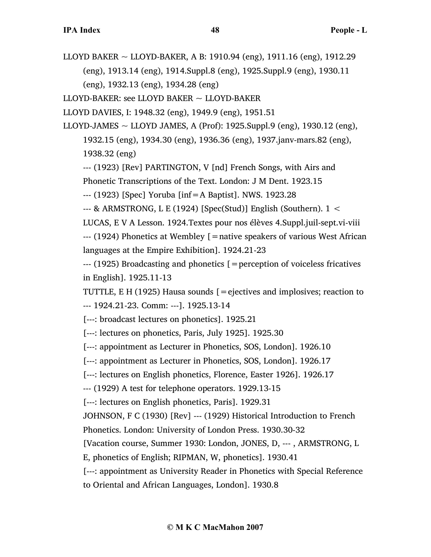LLOYD BAKER  $\sim$  LLOYD-BAKER, A B: 1910.94 (eng), 1911.16 (eng), 1912.29 (eng), 1913.14 (eng), 1914.Suppl.8 (eng), 1925.Suppl.9 (eng), 1930.11 (eng), 1932.13 (eng), 1934.28 (eng)

LLOYD-BAKER: see LLOYD BAKER ~ LLOYD-BAKER

LLOYD DAVIES, I: 1948.32 (eng), 1949.9 (eng), 1951.51

LLOYD-JAMES  $\sim$  LLOYD JAMES, A (Prof): 1925. Suppl. 9 (eng), 1930. 12 (eng), 1932.15 (eng), 1934.30 (eng), 1936.36 (eng), 1937.janv-mars.82 (eng), 1938.32 (eng)

--- (1923) [Rev] PARTINGTON, V [nd] French Songs, with Airs and

Phonetic Transcriptions of the Text. London: J M Dent. 1923.15

--- (1923) [Spec] Yoruba [inf=A Baptist]. NWS. 1923.28

--- & ARMSTRONG, L E (1924) [Spec(Stud)] English (Southern). 1 <

LUCAS, E V A Lesson. 1924.Textes pour nos élèves 4.Suppl.juil-sept.vi-viii  $-$ --- (1924) Phonetics at Wembley  $\mathfrak{[} =$  native speakers of various West African

languages at the Empire Exhibition]. 1924.21-23

--- (1925) Broadcasting and phonetics [=perception of voiceless fricatives in English]. 1925.11-13

TUTTLE, E H (1925) Hausa sounds  $[$  = ejectives and implosives; reaction to --- 1924.21-23. Comm: ---]. 1925.13-14

[---: broadcast lectures on phonetics]. 1925.21

[---: lectures on phonetics, Paris, July 1925]. 1925.30

[---: appointment as Lecturer in Phonetics, SOS, London]. 1926.10

[---: appointment as Lecturer in Phonetics, SOS, London]. 1926.17

[---: lectures on English phonetics, Florence, Easter 1926]. 1926.17

--- (1929) A test for telephone operators. 1929.13-15

[---: lectures on English phonetics, Paris]. 1929.31

JOHNSON, F C (1930) [Rev] --- (1929) Historical Introduction to French

Phonetics. London: University of London Press. 1930.30-32

[Vacation course, Summer 1930: London, JONES, D, --- , ARMSTRONG, L

E, phonetics of English; RIPMAN, W, phonetics]. 1930.41

[---: appointment as University Reader in Phonetics with Special Reference

to Oriental and African Languages, London]. 1930.8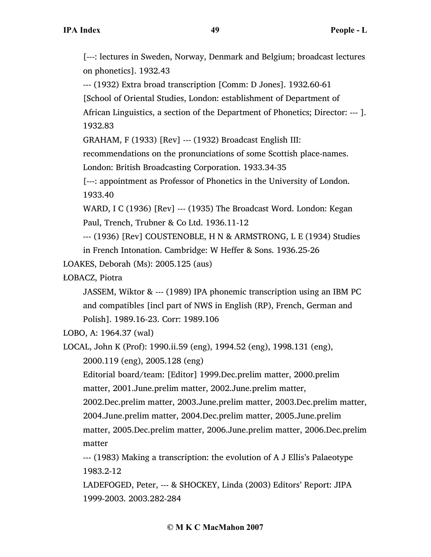[---: lectures in Sweden, Norway, Denmark and Belgium; broadcast lectures on phonetics]. 1932.43

--- (1932) Extra broad transcription [Comm: D Jones]. 1932.60-61

[School of Oriental Studies, London: establishment of Department of

African Linguistics, a section of the Department of Phonetics; Director: --- ]. 1932.83

GRAHAM, F (1933) [Rev] --- (1932) Broadcast English III:

recommendations on the pronunciations of some Scottish place-names.

London: British Broadcasting Corporation. 1933.34-35

[---: appointment as Professor of Phonetics in the University of London. 1933.40

WARD, I C (1936) [Rev] --- (1935) The Broadcast Word. London: Kegan Paul, Trench, Trubner & Co Ltd. 1936.11-12

--- (1936) [Rev] COUSTENOBLE, H N & ARMSTRONG, L E (1934) Studies in French Intonation. Cambridge: W Heffer & Sons. 1936.25-26

LOAKES, Deborah (Ms): 2005.125 (aus)

ŁOBACZ, Piotra

JASSEM, Wiktor & --- (1989) IPA phonemic transcription using an IBM PC and compatibles [incl part of NWS in English (RP), French, German and Polish]. 1989.16-23. Corr: 1989.106

LOBO, A: 1964.37 (wal)

matter

LOCAL, John K (Prof): 1990.ii.59 (eng), 1994.52 (eng), 1998.131 (eng),

2000.119 (eng), 2005.128 (eng)

Editorial board/team: [Editor] 1999.Dec.prelim matter, 2000.prelim matter, 2001.June.prelim matter, 2002.June.prelim matter,

2002.Dec.prelim matter, 2003.June.prelim matter, 2003.Dec.prelim matter, 2004.June.prelim matter, 2004.Dec.prelim matter, 2005.June.prelim matter, 2005.Dec.prelim matter, 2006.June.prelim matter, 2006.Dec.prelim

--- (1983) Making a transcription: the evolution of A J Ellis's Palaeotype 1983.2-12

LADEFOGED, Peter, --- & SHOCKEY, Linda (2003) Editors' Report: JIPA 1999-2003. 2003.282-284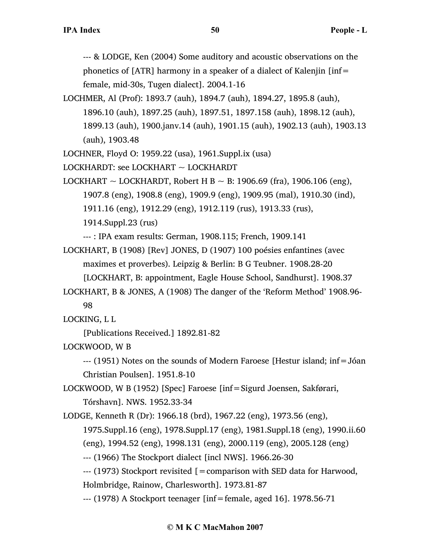--- & LODGE, Ken (2004) Some auditory and acoustic observations on the phonetics of [ATR] harmony in a speaker of a dialect of Kalenjin [inf= female, mid-30s, Tugen dialect]. 2004.1-16

LOCHMER, Al (Prof): 1893.7 (auh), 1894.7 (auh), 1894.27, 1895.8 (auh), 1896.10 (auh), 1897.25 (auh), 1897.51, 1897.158 (auh), 1898.12 (auh), 1899.13 (auh), 1900.janv.14 (auh), 1901.15 (auh), 1902.13 (auh), 1903.13 (auh), 1903.48

LOCHNER, Floyd O: 1959.22 (usa), 1961.Suppl.ix (usa)

LOCKHARDT: see LOCKHART ~ LOCKHARDT

LOCKHART  $\sim$  LOCKHARDT, Robert H B  $\sim$  B: 1906.69 (fra), 1906.106 (eng), 1907.8 (eng), 1908.8 (eng), 1909.9 (eng), 1909.95 (mal), 1910.30 (ind), 1911.16 (eng), 1912.29 (eng), 1912.119 (rus), 1913.33 (rus), 1914.Suppl.23 (rus)

--- : IPA exam results: German, 1908.115; French, 1909.141

LOCKHART, B (1908) [Rev] JONES, D (1907) 100 poésies enfantines (avec maximes et proverbes). Leipzig & Berlin: B G Teubner. 1908.28-20

[LOCKHART, B: appointment, Eagle House School, Sandhurst]. 1908.37

LOCKHART, B & JONES, A (1908) The danger of the 'Reform Method' 1908.96- 98

LOCKING, L L

[Publications Received.] 1892.81-82

LOCKWOOD, W B

--- (1951) Notes on the sounds of Modern Faroese [Hestur island; inf=Jóan Christian Poulsen]. 1951.8-10

LOCKWOOD, W B (1952) [Spec] Faroese [inf=Sigurd Joensen, Sakførari, Tórshavn]. NWS. 1952.33-34

LODGE, Kenneth R (Dr): 1966.18 (brd), 1967.22 (eng), 1973.56 (eng),

1975.Suppl.16 (eng), 1978.Suppl.17 (eng), 1981.Suppl.18 (eng), 1990.ii.60

(eng), 1994.52 (eng), 1998.131 (eng), 2000.119 (eng), 2005.128 (eng)

--- (1966) The Stockport dialect [incl NWS]. 1966.26-30

--- (1973) Stockport revisited [=comparison with SED data for Harwood, Holmbridge, Rainow, Charlesworth]. 1973.81-87

--- (1978) A Stockport teenager [inf=female, aged 16]. 1978.56-71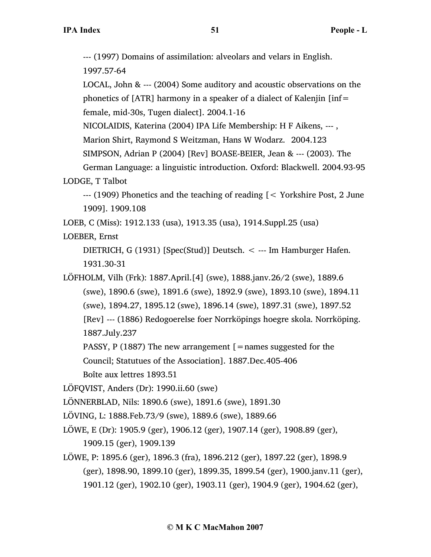--- (1997) Domains of assimilation: alveolars and velars in English.

1997.57-64

LOCAL, John & --- (2004) Some auditory and acoustic observations on the phonetics of [ATR] harmony in a speaker of a dialect of Kalenjin [inf= female, mid-30s, Tugen dialect]. 2004.1-16

NICOLAIDIS, Katerina (2004) IPA Life Membership: H F Aikens, --- ,

Marion Shirt, Raymond S Weitzman, Hans W Wodarz. 2004.123

SIMPSON, Adrian P (2004) [Rev] BOASE-BEIER, Jean & --- (2003). The

German Language: a linguistic introduction. Oxford: Blackwell. 2004.93-95 LODGE, T Talbot

--- (1909) Phonetics and the teaching of reading [< Yorkshire Post, 2 June 1909]. 1909.108

LOEB, C (Miss): 1912.133 (usa), 1913.35 (usa), 1914.Suppl.25 (usa)

LOEBER, Ernst

DIETRICH, G (1931) [Spec(Stud)] Deutsch. < --- Im Hamburger Hafen. 1931.30-31

LÖFHOLM, Vilh (Frk): 1887.April.[4] (swe), 1888.janv.26/2 (swe), 1889.6 (swe), 1890.6 (swe), 1891.6 (swe), 1892.9 (swe), 1893.10 (swe), 1894.11 (swe), 1894.27, 1895.12 (swe), 1896.14 (swe), 1897.31 (swe), 1897.52 [Rev] --- (1886) Redogoerelse foer Norrköpings hoegre skola. Norrköping. 1887.July.237

PASSY, P (1887) The new arrangement  $\mathcal{F}$  = names suggested for the

Council; Statutues of the Association]. 1887.Dec.405-406

Boîte aux lettres 1893.51

LÖFQVIST, Anders (Dr): 1990.ii.60 (swe)

LÖNNERBLAD, Nils: 1890.6 (swe), 1891.6 (swe), 1891.30

LÖVING, L: 1888.Feb.73/9 (swe), 1889.6 (swe), 1889.66

LÖWE, E (Dr): 1905.9 (ger), 1906.12 (ger), 1907.14 (ger), 1908.89 (ger), 1909.15 (ger), 1909.139

LÖWE, P: 1895.6 (ger), 1896.3 (fra), 1896.212 (ger), 1897.22 (ger), 1898.9 (ger), 1898.90, 1899.10 (ger), 1899.35, 1899.54 (ger), 1900.janv.11 (ger), 1901.12 (ger), 1902.10 (ger), 1903.11 (ger), 1904.9 (ger), 1904.62 (ger),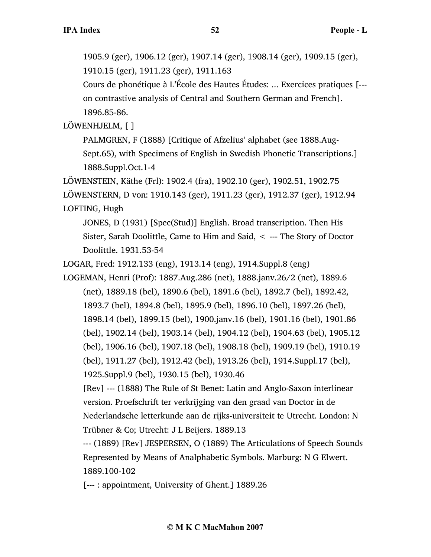1905.9 (ger), 1906.12 (ger), 1907.14 (ger), 1908.14 (ger), 1909.15 (ger), 1910.15 (ger), 1911.23 (ger), 1911.163

Cours de phonétique à L'École des Hautes Études: ... Exercices pratiques [-- on contrastive analysis of Central and Southern German and French]. 1896.85-86.

LÖWENHJELM, [ ]

PALMGREN, F (1888) [Critique of Afzelius' alphabet (see 1888.Aug-Sept.65), with Specimens of English in Swedish Phonetic Transcriptions.] 1888.Suppl.Oct.1-4

LÖWENSTEIN, Käthe (Frl): 1902.4 (fra), 1902.10 (ger), 1902.51, 1902.75 LÖWENSTERN, D von: 1910.143 (ger), 1911.23 (ger), 1912.37 (ger), 1912.94 LOFTING, Hugh

JONES, D (1931) [Spec(Stud)] English. Broad transcription. Then His Sister, Sarah Doolittle, Came to Him and Said, < --- The Story of Doctor Doolittle. 1931.53-54

LOGAR, Fred: 1912.133 (eng), 1913.14 (eng), 1914.Suppl.8 (eng)

LOGEMAN, Henri (Prof): 1887.Aug.286 (net), 1888.janv.26/2 (net), 1889.6 (net), 1889.18 (bel), 1890.6 (bel), 1891.6 (bel), 1892.7 (bel), 1892.42, 1893.7 (bel), 1894.8 (bel), 1895.9 (bel), 1896.10 (bel), 1897.26 (bel), 1898.14 (bel), 1899.15 (bel), 1900.janv.16 (bel), 1901.16 (bel), 1901.86 (bel), 1902.14 (bel), 1903.14 (bel), 1904.12 (bel), 1904.63 (bel), 1905.12 (bel), 1906.16 (bel), 1907.18 (bel), 1908.18 (bel), 1909.19 (bel), 1910.19 (bel), 1911.27 (bel), 1912.42 (bel), 1913.26 (bel), 1914.Suppl.17 (bel), 1925.Suppl.9 (bel), 1930.15 (bel), 1930.46

[Rev] --- (1888) The Rule of St Benet: Latin and Anglo-Saxon interlinear version. Proefschrift ter verkrijging van den graad van Doctor in de Nederlandsche letterkunde aan de rijks-universiteit te Utrecht. London: N Trübner & Co; Utrecht: J L Beijers. 1889.13

--- (1889) [Rev] JESPERSEN, O (1889) The Articulations of Speech Sounds Represented by Means of Analphabetic Symbols. Marburg: N G Elwert. 1889.100-102

[--- : appointment, University of Ghent.] 1889.26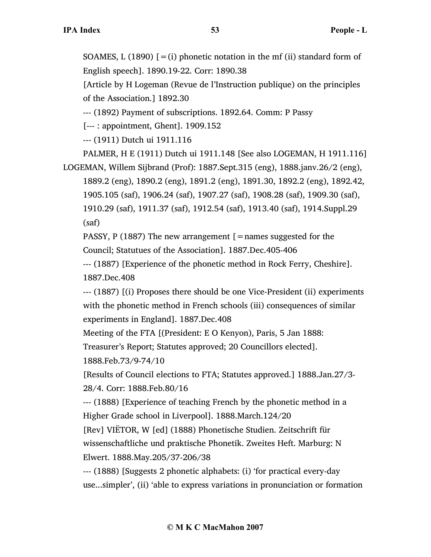SOAMES, L (1890)  $[=(i)]$  phonetic notation in the mf (ii) standard form of English speech]. 1890.19-22. Corr: 1890.38

[Article by H Logeman (Revue de l'Instruction publique) on the principles of the Association.] 1892.30

--- (1892) Payment of subscriptions. 1892.64. Comm: P Passy

[--- : appointment, Ghent]. 1909.152

--- (1911) Dutch ui 1911.116

PALMER, H E (1911) Dutch ui 1911.148 [See also LOGEMAN, H 1911.116] LOGEMAN, Willem Sijbrand (Prof): 1887.Sept.315 (eng), 1888.janv.26/2 (eng),

1889.2 (eng), 1890.2 (eng), 1891.2 (eng), 1891.30, 1892.2 (eng), 1892.42, 1905.105 (saf), 1906.24 (saf), 1907.27 (saf), 1908.28 (saf), 1909.30 (saf), 1910.29 (saf), 1911.37 (saf), 1912.54 (saf), 1913.40 (saf), 1914.Suppl.29 (saf)

PASSY, P (1887) The new arrangement  $\mathcal{F}$  = names suggested for the Council; Statutues of the Association]. 1887.Dec.405-406

--- (1887) [Experience of the phonetic method in Rock Ferry, Cheshire]. 1887.Dec.408

--- (1887) [(i) Proposes there should be one Vice-President (ii) experiments with the phonetic method in French schools (iii) consequences of similar experiments in England]. 1887.Dec.408

Meeting of the FTA [(President: E O Kenyon), Paris, 5 Jan 1888:

Treasurer's Report; Statutes approved; 20 Councillors elected].

1888.Feb.73/9-74/10

[Results of Council elections to FTA; Statutes approved.] 1888.Jan.27/3- 28/4. Corr: 1888.Feb.80/16

--- (1888) [Experience of teaching French by the phonetic method in a Higher Grade school in Liverpool]. 1888.March.124/20

[Rev] VIËTOR, W [ed] (1888) Phonetische Studien. Zeitschrift für wissenschaftliche und praktische Phonetik. Zweites Heft. Marburg: N Elwert. 1888.May.205/37-206/38

--- (1888) [Suggests 2 phonetic alphabets: (i) 'for practical every-day use...simpler', (ii) 'able to express variations in pronunciation or formation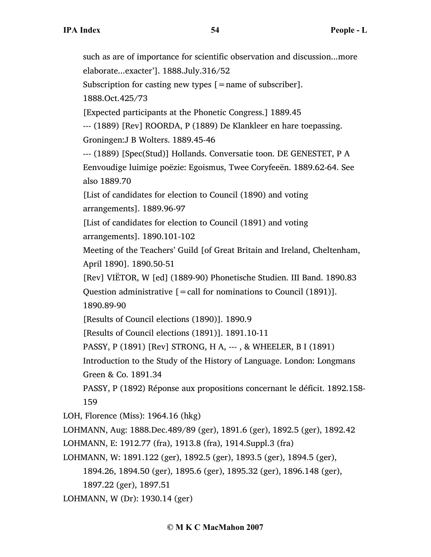such as are of importance for scientific observation and discussion...more elaborate...exacter']. 1888.July.316/52 Subscription for casting new types [ = name of subscriber]. 1888.Oct.425/73 [Expected participants at the Phonetic Congress.] 1889.45 --- (1889) [Rev] ROORDA, P (1889) De Klankleer en hare toepassing. Groningen:J B Wolters. 1889.45-46 --- (1889) [Spec(Stud)] Hollands. Conversatie toon. DE GENESTET, P A Eenvoudige luimige poëzie: Egoismus, Twee Coryfeeën. 1889.62-64. See also 1889.70 [List of candidates for election to Council (1890) and voting arrangements]. 1889.96-97 [List of candidates for election to Council (1891) and voting arrangements]. 1890.101-102 Meeting of the Teachers' Guild [of Great Britain and Ireland, Cheltenham, April 1890]. 1890.50-51 [Rev] VIËTOR, W [ed] (1889-90) Phonetische Studien. III Band. 1890.83 Question administrative  $[=$  call for nominations to Council (1891)]. 1890.89-90 [Results of Council elections (1890)]. 1890.9 [Results of Council elections (1891)]. 1891.10-11 PASSY, P (1891) [Rev] STRONG, H A, --- , & WHEELER, B I (1891) Introduction to the Study of the History of Language. London: Longmans Green & Co. 1891.34 PASSY, P (1892) Réponse aux propositions concernant le déficit. 1892.158- 159 LOH, Florence (Miss): 1964.16 (hkg) LOHMANN, Aug: 1888.Dec.489/89 (ger), 1891.6 (ger), 1892.5 (ger), 1892.42 LOHMANN, E: 1912.77 (fra), 1913.8 (fra), 1914.Suppl.3 (fra) LOHMANN, W: 1891.122 (ger), 1892.5 (ger), 1893.5 (ger), 1894.5 (ger), 1894.26, 1894.50 (ger), 1895.6 (ger), 1895.32 (ger), 1896.148 (ger), 1897.22 (ger), 1897.51 LOHMANN, W (Dr): 1930.14 (ger)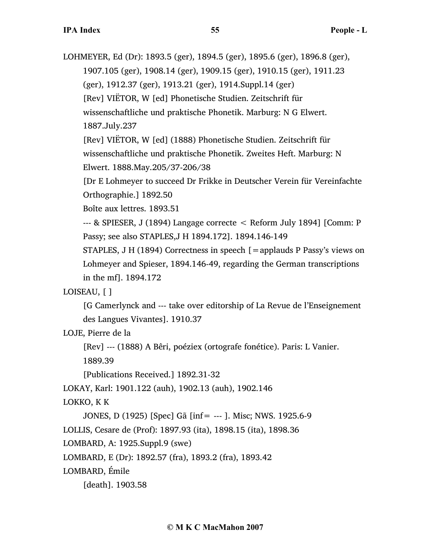LOHMEYER, Ed (Dr): 1893.5 (ger), 1894.5 (ger), 1895.6 (ger), 1896.8 (ger),

1907.105 (ger), 1908.14 (ger), 1909.15 (ger), 1910.15 (ger), 1911.23

(ger), 1912.37 (ger), 1913.21 (ger), 1914.Suppl.14 (ger)

[Rev] VIËTOR, W [ed] Phonetische Studien. Zeitschrift für

wissenschaftliche und praktische Phonetik. Marburg: N G Elwert.

1887.July.237

[Rev] VIËTOR, W [ed] (1888) Phonetische Studien. Zeitschrift für wissenschaftliche und praktische Phonetik. Zweites Heft. Marburg: N Elwert. 1888.May.205/37-206/38

[Dr E Lohmeyer to succeed Dr Frikke in Deutscher Verein für Vereinfachte Orthographie.] 1892.50

Boîte aux lettres. 1893.51

--- & SPIESER, J (1894) Langage correcte < Reform July 1894] [Comm: P Passy; see also STAPLES,J H 1894.172]. 1894.146-149

STAPLES, J H (1894) Correctness in speech [=applauds P Passy's views on Lohmeyer and Spieser, 1894.146-49, regarding the German transcriptions in the mf]. 1894.172

## LOISEAU, [ ]

[G Camerlynck and --- take over editorship of La Revue de l'Enseignement des Langues Vivantes]. 1910.37

LOJE, Pierre de la

[Rev] --- (1888) A Bêri, poéziex (ortografe fonétice). Paris: L Vanier.

1889.39

[Publications Received.] 1892.31-32

LOKAY, Karl: 1901.122 (auh), 1902.13 (auh), 1902.146

## LOKKO, K K

JONES, D (1925) [Spec] Gã [inf= --- ]. Misc; NWS. 1925.6-9 LOLLIS, Cesare de (Prof): 1897.93 (ita), 1898.15 (ita), 1898.36

LOMBARD, A: 1925.Suppl.9 (swe)

LOMBARD, E (Dr): 1892.57 (fra), 1893.2 (fra), 1893.42

LOMBARD, Émile

[death]. 1903.58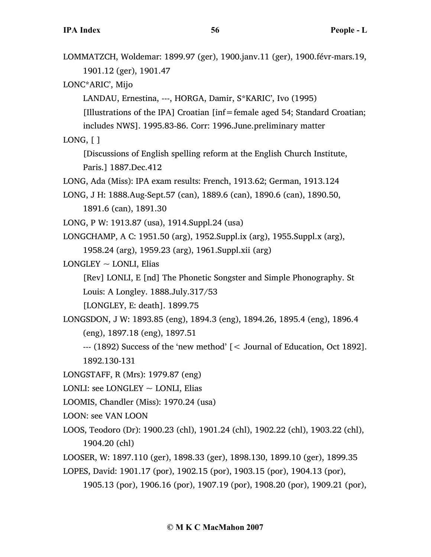| LOMMATZCH, Woldemar: 1899.97 (ger), 1900.janv.11 (ger), 1900.févr-mars.19,      |
|---------------------------------------------------------------------------------|
| 1901.12 (ger), 1901.47                                                          |
| LONC*ARIC', Mijo                                                                |
| LANDAU, Ernestina, ---, HORGA, Damir, S*KARIC', Ivo (1995)                      |
| [Illustrations of the IPA] Croatian [inf = female aged 54; Standard Croatian;   |
| includes NWS]. 1995.83-86. Corr: 1996. June. preliminary matter                 |
| LONG, [ ]                                                                       |
| [Discussions of English spelling reform at the English Church Institute,        |
| Paris.] 1887.Dec.412                                                            |
| LONG, Ada (Miss): IPA exam results: French, 1913.62; German, 1913.124           |
| LONG, J H: 1888. Aug-Sept. 57 (can), 1889. 6 (can), 1890. 6 (can), 1890. 50,    |
| 1891.6 (can), 1891.30                                                           |
| LONG, P W: 1913.87 (usa), 1914.Suppl.24 (usa)                                   |
| LONGCHAMP, A C: 1951.50 (arg), 1952. Suppl.ix (arg), 1955. Suppl. x (arg),      |
| 1958.24 (arg), 1959.23 (arg), 1961. Suppl. xii (arg)                            |
| $LONGLEY \sim LONLI$ , Elias                                                    |
| [Rev] LONLI, E [nd] The Phonetic Songster and Simple Phonography. St            |
| Louis: A Longley. 1888.July.317/53                                              |
| [LONGLEY, E: death]. 1899.75                                                    |
| LONGSDON, J W: 1893.85 (eng), 1894.3 (eng), 1894.26, 1895.4 (eng), 1896.4       |
| (eng), 1897.18 (eng), 1897.51                                                   |
| --- (1892) Success of the 'new method' [< Journal of Education, Oct 1892].      |
| 1892.130-131                                                                    |
| LONGSTAFF, R (Mrs): 1979.87 (eng)                                               |
| LONLI: see LONGLEY $\sim$ LONLI, Elias                                          |
| LOOMIS, Chandler (Miss): 1970.24 (usa)                                          |
| <b>LOON: see VAN LOON</b>                                                       |
| LOOS, Teodoro (Dr): 1900.23 (chl), 1901.24 (chl), 1902.22 (chl), 1903.22 (chl), |
| 1904.20 (chl)                                                                   |
| LOOSER, W: 1897.110 (ger), 1898.33 (ger), 1898.130, 1899.10 (ger), 1899.35      |
| LOPES, David: 1901.17 (por), 1902.15 (por), 1903.15 (por), 1904.13 (por),       |

1905.13 (por), 1906.16 (por), 1907.19 (por), 1908.20 (por), 1909.21 (por),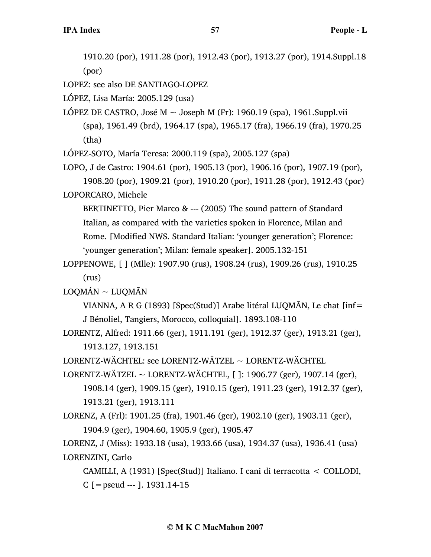1910.20 (por), 1911.28 (por), 1912.43 (por), 1913.27 (por), 1914.Suppl.18 (por)

LOPEZ: see also DE SANTIAGO-LOPEZ

LÓPEZ, Lisa María: 2005.129 (usa)

LÓPEZ DE CASTRO, José M  $\sim$  Joseph M (Fr): 1960.19 (spa), 1961. Suppl. vii (spa), 1961.49 (brd), 1964.17 (spa), 1965.17 (fra), 1966.19 (fra), 1970.25 (tha)

LÓPEZ-SOTO, María Teresa: 2000.119 (spa), 2005.127 (spa)

LOPO, J de Castro: 1904.61 (por), 1905.13 (por), 1906.16 (por), 1907.19 (por), 1908.20 (por), 1909.21 (por), 1910.20 (por), 1911.28 (por), 1912.43 (por) LOPORCARO, Michele

BERTINETTO, Pier Marco & --- (2005) The sound pattern of Standard Italian, as compared with the varieties spoken in Florence, Milan and Rome. [Modified NWS. Standard Italian: 'younger generation'; Florence: 'younger generation'; Milan: female speaker]. 2005.132-151

```
LOPPENOWE, [ ] (Mlle): 1907.90 (rus), 1908.24 (rus), 1909.26 (rus), 1910.25
     (rus)
```
 $\mathtt{LOOM}\xspace\mathbf{\acute{A}N} \sim \mathtt{LUQM}\xspace\mathbf{\bar{A}N}$ 

VIANNA, A R G (1893) [Spec(Stud)] Arabe litéral LUQMĀN, Le chat [inf= J Bénoliel, Tangiers, Morocco, colloquial]. 1893.108-110

LORENTZ, Alfred: 1911.66 (ger), 1911.191 (ger), 1912.37 (ger), 1913.21 (ger), 1913.127, 1913.151

LORENTZ-WÄCHTEL: see LORENTZ-WÄTZEL ~ LORENTZ-WÄCHTEL

- LORENTZ-WÄTZEL  $\sim$  LORENTZ-WÄCHTEL, [ ]: 1906.77 (ger), 1907.14 (ger), 1908.14 (ger), 1909.15 (ger), 1910.15 (ger), 1911.23 (ger), 1912.37 (ger), 1913.21 (ger), 1913.111
- LORENZ, A (Frl): 1901.25 (fra), 1901.46 (ger), 1902.10 (ger), 1903.11 (ger), 1904.9 (ger), 1904.60, 1905.9 (ger), 1905.47

LORENZ, J (Miss): 1933.18 (usa), 1933.66 (usa), 1934.37 (usa), 1936.41 (usa) LORENZINI, Carlo

CAMILLI, A (1931) [Spec(Stud)] Italiano. I cani di terracotta < COLLODI, C  $[$  = pseud ---  $]$ . 1931.14-15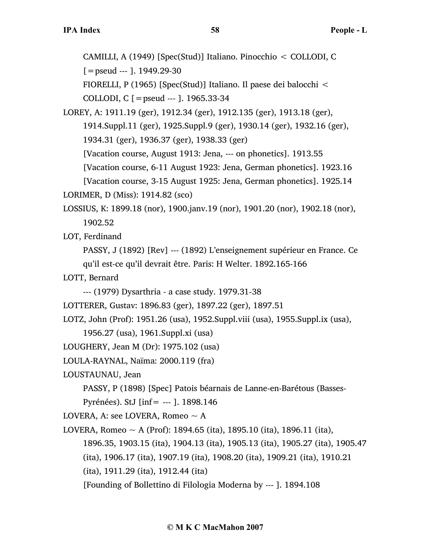CAMILLI, A (1949) [Spec(Stud)] Italiano. Pinocchio < COLLODI, C

 $[$  = pseud --- ]. 1949.29-30

FIORELLI, P (1965) [Spec(Stud)] Italiano. Il paese dei balocchi <

COLLODI, C [=pseud --- ]. 1965.33-34

LOREY, A: 1911.19 (ger), 1912.34 (ger), 1912.135 (ger), 1913.18 (ger), 1914.Suppl.11 (ger), 1925.Suppl.9 (ger), 1930.14 (ger), 1932.16 (ger), 1934.31 (ger), 1936.37 (ger), 1938.33 (ger)

[Vacation course, August 1913: Jena, --- on phonetics]. 1913.55

[Vacation course, 6-11 August 1923: Jena, German phonetics]. 1923.16

[Vacation course, 3-15 August 1925: Jena, German phonetics]. 1925.14 LORIMER, D (Miss): 1914.82 (sco)

LOSSIUS, K: 1899.18 (nor), 1900.janv.19 (nor), 1901.20 (nor), 1902.18 (nor), 1902.52

LOT, Ferdinand

PASSY, J (1892) [Rev] --- (1892) L'enseignement supérieur en France. Ce qu'il est-ce qu'il devrait être. Paris: H Welter. 1892.165-166

LOTT, Bernard

- --- (1979) Dysarthria a case study. 1979.31-38
- LOTTERER, Gustav: 1896.83 (ger), 1897.22 (ger), 1897.51

LOTZ, John (Prof): 1951.26 (usa), 1952.Suppl.viii (usa), 1955.Suppl.ix (usa),

1956.27 (usa), 1961.Suppl.xi (usa)

LOUGHERY, Jean M (Dr): 1975.102 (usa)

LOULA-RAYNAL, Naïma: 2000.119 (fra)

LOUSTAUNAU, Jean

PASSY, P (1898) [Spec] Patois béarnais de Lanne-en-Barétous (Basses-

Pyrénées). StJ [inf= --- ]. 1898.146

LOVERA, A: see LOVERA, Romeo  $\sim$  A

LOVERA, Romeo ~ A (Prof): 1894.65 (ita), 1895.10 (ita), 1896.11 (ita),

1896.35, 1903.15 (ita), 1904.13 (ita), 1905.13 (ita), 1905.27 (ita), 1905.47

(ita), 1906.17 (ita), 1907.19 (ita), 1908.20 (ita), 1909.21 (ita), 1910.21

(ita), 1911.29 (ita), 1912.44 (ita)

[Founding of Bollettino di Filologia Moderna by --- ]. 1894.108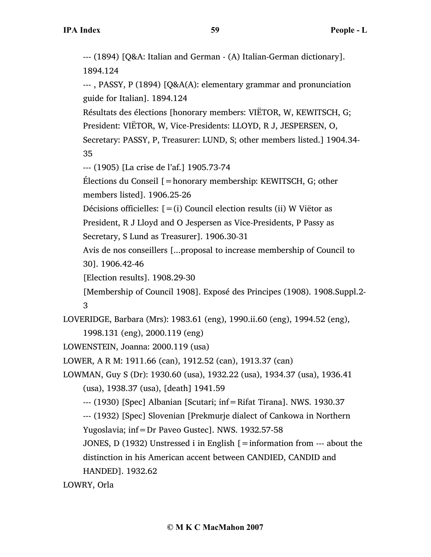--- (1894) [Q&A: Italian and German - (A) Italian-German dictionary]. 1894.124 --- , PASSY, P (1894) [Q&A(A): elementary grammar and pronunciation guide for Italian]. 1894.124 Résultats des élections [honorary members: VIËTOR, W, KEWITSCH, G; President: VIËTOR, W, Vice-Presidents: LLOYD, R J, JESPERSEN, O, Secretary: PASSY, P, Treasurer: LUND, S; other members listed.] 1904.34- 35 --- (1905) [La crise de l'af.] 1905.73-74 Élections du Conseil [=honorary membership: KEWITSCH, G; other members listed]. 1906.25-26 Décisions officielles:  $[=(i)$  Council election results (ii) W Viëtor as President, R J Lloyd and O Jespersen as Vice-Presidents, P Passy as Secretary, S Lund as Treasurer]. 1906.30-31 Avis de nos conseillers [...proposal to increase membership of Council to 30]. 1906.42-46 [Election results]. 1908.29-30 [Membership of Council 1908]. Exposé des Principes (1908). 1908.Suppl.2- 3 LOVERIDGE, Barbara (Mrs): 1983.61 (eng), 1990.ii.60 (eng), 1994.52 (eng), 1998.131 (eng), 2000.119 (eng) LOWENSTEIN, Joanna: 2000.119 (usa) LOWER, A R M: 1911.66 (can), 1912.52 (can), 1913.37 (can) LOWMAN, Guy S (Dr): 1930.60 (usa), 1932.22 (usa), 1934.37 (usa), 1936.41 (usa), 1938.37 (usa), [death] 1941.59 --- (1930) [Spec] Albanian [Scutari; inf=Rifat Tirana]. NWS. 1930.37 --- (1932) [Spec] Slovenian [Prekmurje dialect of Cankowa in Northern Yugoslavia; inf=Dr Paveo Gustec]. NWS. 1932.57-58 JONES, D (1932) Unstressed i in English  $\mathcal{I} =$  information from --- about the distinction in his American accent between CANDIED, CANDID and HANDED]. 1932.62

LOWRY, Orla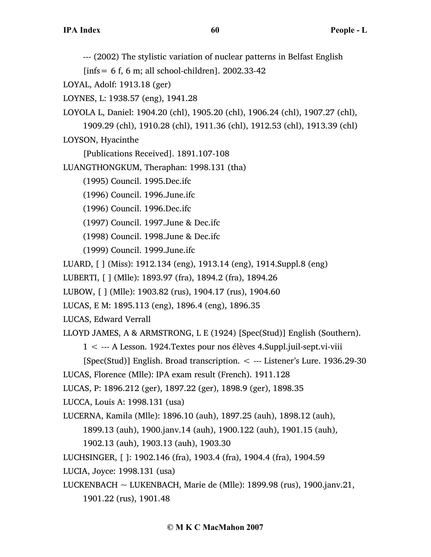--- (2002) The stylistic variation of nuclear patterns in Belfast English

 $[infs = 6 f, 6 m;$  all school-children]. 2002.33-42

LOYAL, Adolf: 1913.18 (ger)

LOYNES, L: 1938.57 (eng), 1941.28

LOYOLA L, Daniel: 1904.20 (chl), 1905.20 (chl), 1906.24 (chl), 1907.27 (chl),

1909.29 (chl), 1910.28 (chl), 1911.36 (chl), 1912.53 (chl), 1913.39 (chl)

LOYSON, Hyacinthe

[Publications Received]. 1891.107-108

LUANGTHONGKUM, Theraphan: 1998.131 (tha)

(1995) Council. 1995.Dec.ifc

(1996) Council. 1996.June.ifc

(1996) Council. 1996.Dec.ifc

(1997) Council. 1997.June & Dec.ifc

(1998) Council. 1998.June & Dec.ifc

(1999) Council. 1999.June.ifc

LUARD, [ ] (Miss): 1912.134 (eng), 1913.14 (eng), 1914.Suppl.8 (eng)

LUBERTI, [ ] (Mlle): 1893.97 (fra), 1894.2 (fra), 1894.26

LUBOW, [ ] (Mlle): 1903.82 (rus), 1904.17 (rus), 1904.60

LUCAS, E M: 1895.113 (eng), 1896.4 (eng), 1896.35

LUCAS, Edward Verrall

LLOYD JAMES, A & ARMSTRONG, L E (1924) [Spec(Stud)] English (Southern).

1 < --- A Lesson. 1924.Textes pour nos élèves 4.Suppl.juil-sept.vi-viii

[Spec(Stud)] English. Broad transcription. < --- Listener's Lure. 1936.29-30

LUCAS, Florence (Mlle): IPA exam result (French). 1911.128

LUCAS, P: 1896.212 (ger), 1897.22 (ger), 1898.9 (ger), 1898.35

LUCCA, Louis A: 1998.131 (usa)

LUCERNA, Kamila (Mlle): 1896.10 (auh), 1897.25 (auh), 1898.12 (auh),

1899.13 (auh), 1900.janv.14 (auh), 1900.122 (auh), 1901.15 (auh),

1902.13 (auh), 1903.13 (auh), 1903.30

LUCHSINGER, [ ]: 1902.146 (fra), 1903.4 (fra), 1904.4 (fra), 1904.59

LUCIA, Joyce: 1998.131 (usa)

LUCKENBACH  $\sim$  LUKENBACH, Marie de (Mlle): 1899.98 (rus), 1900.janv.21,

1901.22 (rus), 1901.48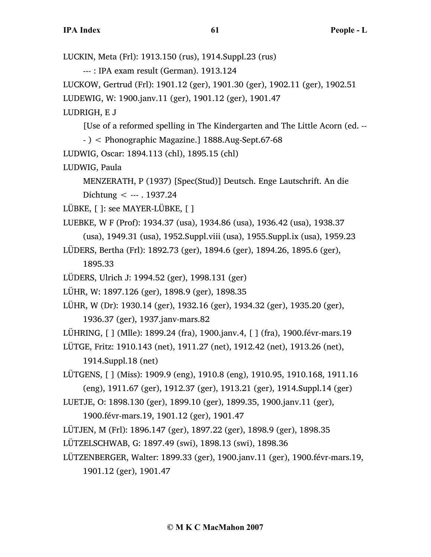LUCKIN, Meta (Frl): 1913.150 (rus), 1914.Suppl.23 (rus) --- : IPA exam result (German). 1913.124 LUCKOW, Gertrud (Frl): 1901.12 (ger), 1901.30 (ger), 1902.11 (ger), 1902.51 LUDEWIG, W: 1900.janv.11 (ger), 1901.12 (ger), 1901.47 LUDRIGH, E J [Use of a reformed spelling in The Kindergarten and The Little Acorn (ed. -- - ) < Phonographic Magazine.] 1888.Aug-Sept.67-68 LUDWIG, Oscar: 1894.113 (chl), 1895.15 (chl) LUDWIG, Paula MENZERATH, P (1937) [Spec(Stud)] Deutsch. Enge Lautschrift. An die Dichtung  $\leq$  --- . 1937.24 LÜBKE, [ ]: see MAYER-LÜBKE, [ ] LUEBKE, W F (Prof): 1934.37 (usa), 1934.86 (usa), 1936.42 (usa), 1938.37 (usa), 1949.31 (usa), 1952.Suppl.viii (usa), 1955.Suppl.ix (usa), 1959.23 LÜDERS, Bertha (Frl): 1892.73 (ger), 1894.6 (ger), 1894.26, 1895.6 (ger), 1895.33 LÜDERS, Ulrich J: 1994.52 (ger), 1998.131 (ger) LÜHR, W: 1897.126 (ger), 1898.9 (ger), 1898.35 LÜHR, W (Dr): 1930.14 (ger), 1932.16 (ger), 1934.32 (ger), 1935.20 (ger), 1936.37 (ger), 1937.janv-mars.82 LÜHRING, [ ] (Mlle): 1899.24 (fra), 1900.janv.4, [ ] (fra), 1900.févr-mars.19 LÜTGE, Fritz: 1910.143 (net), 1911.27 (net), 1912.42 (net), 1913.26 (net), 1914.Suppl.18 (net) LÜTGENS, [ ] (Miss): 1909.9 (eng), 1910.8 (eng), 1910.95, 1910.168, 1911.16 (eng), 1911.67 (ger), 1912.37 (ger), 1913.21 (ger), 1914.Suppl.14 (ger) LUETJE, O: 1898.130 (ger), 1899.10 (ger), 1899.35, 1900.janv.11 (ger), 1900.févr-mars.19, 1901.12 (ger), 1901.47 LÜTJEN, M (Frl): 1896.147 (ger), 1897.22 (ger), 1898.9 (ger), 1898.35 LÜTZELSCHWAB, G: 1897.49 (swi), 1898.13 (swi), 1898.36 LÜTZENBERGER, Walter: 1899.33 (ger), 1900.janv.11 (ger), 1900.févr-mars.19, 1901.12 (ger), 1901.47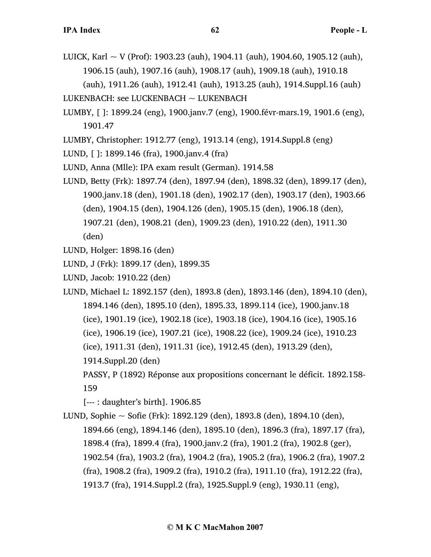LUICK, Karl  $\sim$  V (Prof): 1903.23 (auh), 1904.11 (auh), 1904.60, 1905.12 (auh), 1906.15 (auh), 1907.16 (auh), 1908.17 (auh), 1909.18 (auh), 1910.18

(auh), 1911.26 (auh), 1912.41 (auh), 1913.25 (auh), 1914.Suppl.16 (auh) LUKENBACH: see LUCKENBACH  $\sim$  LUKENBACH

- LUMBY, [ ]: 1899.24 (eng), 1900.janv.7 (eng), 1900.févr-mars.19, 1901.6 (eng), 1901.47
- LUMBY, Christopher: 1912.77 (eng), 1913.14 (eng), 1914.Suppl.8 (eng)
- LUND, [ ]: 1899.146 (fra), 1900.janv.4 (fra)
- LUND, Anna (Mlle): IPA exam result (German). 1914.58
- LUND, Betty (Frk): 1897.74 (den), 1897.94 (den), 1898.32 (den), 1899.17 (den), 1900.janv.18 (den), 1901.18 (den), 1902.17 (den), 1903.17 (den), 1903.66 (den), 1904.15 (den), 1904.126 (den), 1905.15 (den), 1906.18 (den), 1907.21 (den), 1908.21 (den), 1909.23 (den), 1910.22 (den), 1911.30 (den)
- LUND, Holger: 1898.16 (den)
- LUND, J (Frk): 1899.17 (den), 1899.35
- LUND, Jacob: 1910.22 (den)
- LUND, Michael L: 1892.157 (den), 1893.8 (den), 1893.146 (den), 1894.10 (den), 1894.146 (den), 1895.10 (den), 1895.33, 1899.114 (ice), 1900.janv.18 (ice), 1901.19 (ice), 1902.18 (ice), 1903.18 (ice), 1904.16 (ice), 1905.16 (ice), 1906.19 (ice), 1907.21 (ice), 1908.22 (ice), 1909.24 (ice), 1910.23 (ice), 1911.31 (den), 1911.31 (ice), 1912.45 (den), 1913.29 (den), 1914.Suppl.20 (den) PASSY, P (1892) Réponse aux propositions concernant le déficit. 1892.158-
	- 159
	- [--- : daughter's birth]. 1906.85
- LUND, Sophie  $\sim$  Sofie (Frk): 1892.129 (den), 1893.8 (den), 1894.10 (den), 1894.66 (eng), 1894.146 (den), 1895.10 (den), 1896.3 (fra), 1897.17 (fra), 1898.4 (fra), 1899.4 (fra), 1900.janv.2 (fra), 1901.2 (fra), 1902.8 (ger), 1902.54 (fra), 1903.2 (fra), 1904.2 (fra), 1905.2 (fra), 1906.2 (fra), 1907.2 (fra), 1908.2 (fra), 1909.2 (fra), 1910.2 (fra), 1911.10 (fra), 1912.22 (fra), 1913.7 (fra), 1914.Suppl.2 (fra), 1925.Suppl.9 (eng), 1930.11 (eng),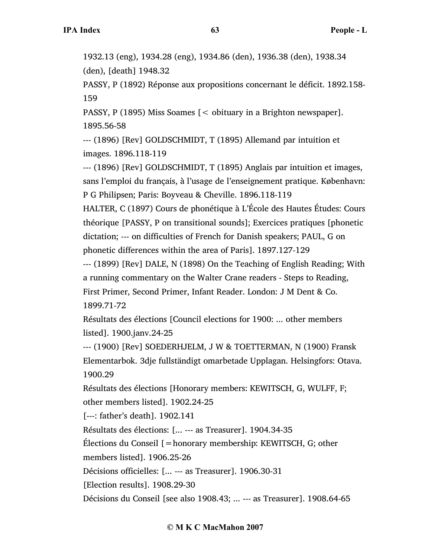1932.13 (eng), 1934.28 (eng), 1934.86 (den), 1936.38 (den), 1938.34 (den), [death] 1948.32

PASSY, P (1892) Réponse aux propositions concernant le déficit. 1892.158- 159

PASSY, P (1895) Miss Soames [< obituary in a Brighton newspaper]. 1895.56-58

--- (1896) [Rev] GOLDSCHMIDT, T (1895) Allemand par intuition et images. 1896.118-119

--- (1896) [Rev] GOLDSCHMIDT, T (1895) Anglais par intuition et images, sans l'emploi du français, à l'usage de l'enseignement pratique. København: P G Philipsen; Paris: Boyveau & Cheville. 1896.118-119

HALTER, C (1897) Cours de phonétique à L'École des Hautes Études: Cours théorique [PASSY, P on transitional sounds]; Exercices pratiques [phonetic dictation; --- on difficulties of French for Danish speakers; PAUL, G on phonetic differences within the area of Paris]. 1897.127-129

--- (1899) [Rev] DALE, N (1898) On the Teaching of English Reading; With a running commentary on the Walter Crane readers - Steps to Reading, First Primer, Second Primer, Infant Reader. London: J M Dent & Co. 1899.71-72

Résultats des élections [Council elections for 1900: ... other members listed]. 1900.janv.24-25

--- (1900) [Rev] SOEDERHJELM, J W & TOETTERMAN, N (1900) Fransk Elementarbok. 3dje fullständigt omarbetade Upplagan. Helsingfors: Otava. 1900.29

Résultats des élections [Honorary members: KEWITSCH, G, WULFF, F; other members listed]. 1902.24-25

[---: father's death]. 1902.141

Résultats des élections: [... --- as Treasurer]. 1904.34-35

Élections du Conseil [=honorary membership: KEWITSCH, G; other

members listed]. 1906.25-26

Décisions officielles: [... --- as Treasurer]. 1906.30-31

[Election results]. 1908.29-30

Décisions du Conseil [see also 1908.43; ... --- as Treasurer]. 1908.64-65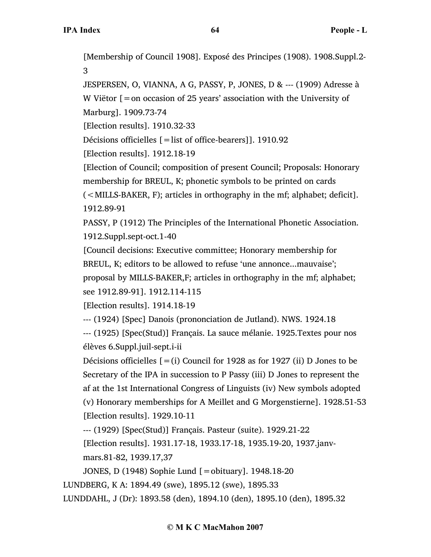[Membership of Council 1908]. Exposé des Principes (1908). 1908.Suppl.2- 3

JESPERSEN, O, VIANNA, A G, PASSY, P, JONES, D & --- (1909) Adresse à W Viëtor  $[=$  on occasion of 25 years' association with the University of

Marburg]. 1909.73-74

[Election results]. 1910.32-33

Décisions officielles [=list of office-bearers]]. 1910.92

[Election results]. 1912.18-19

[Election of Council; composition of present Council; Proposals: Honorary membership for BREUL, K; phonetic symbols to be printed on cards

(<MILLS-BAKER, F); articles in orthography in the mf; alphabet; deficit]. 1912.89-91

PASSY, P (1912) The Principles of the International Phonetic Association. 1912.Suppl.sept-oct.1-40

[Council decisions: Executive committee; Honorary membership for BREUL, K; editors to be allowed to refuse 'une annonce...mauvaise';

proposal by MILLS-BAKER,F; articles in orthography in the mf; alphabet; see 1912.89-91]. 1912.114-115

[Election results]. 1914.18-19

--- (1924) [Spec] Danois (prononciation de Jutland). NWS. 1924.18

--- (1925) [Spec(Stud)] Français. La sauce mélanie. 1925.Textes pour nos élèves 6.Suppl.juil-sept.i-ii

Décisions officielles  $[=(i)$  Council for 1928 as for 1927 (ii) D Jones to be Secretary of the IPA in succession to P Passy (iii) D Jones to represent the af at the 1st International Congress of Linguists (iv) New symbols adopted (v) Honorary memberships for A Meillet and G Morgenstierne]. 1928.51-53 [Election results]. 1929.10-11

--- (1929) [Spec(Stud)] Français. Pasteur (suite). 1929.21-22

[Election results]. 1931.17-18, 1933.17-18, 1935.19-20, 1937.janvmars.81-82, 1939.17,37

JONES, D (1948) Sophie Lund [=obituary]. 1948.18-20

LUNDBERG, K A: 1894.49 (swe), 1895.12 (swe), 1895.33

LUNDDAHL, J (Dr): 1893.58 (den), 1894.10 (den), 1895.10 (den), 1895.32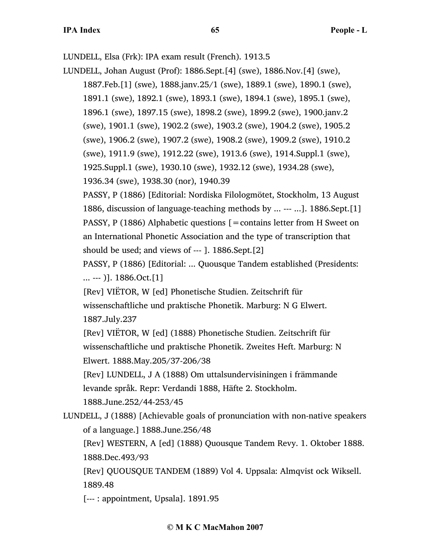LUNDELL, Elsa (Frk): IPA exam result (French). 1913.5

LUNDELL, Johan August (Prof): 1886.Sept.[4] (swe), 1886.Nov.[4] (swe),

1887.Feb.[1] (swe), 1888.janv.25/1 (swe), 1889.1 (swe), 1890.1 (swe), 1891.1 (swe), 1892.1 (swe), 1893.1 (swe), 1894.1 (swe), 1895.1 (swe),

1896.1 (swe), 1897.15 (swe), 1898.2 (swe), 1899.2 (swe), 1900.janv.2

(swe), 1901.1 (swe), 1902.2 (swe), 1903.2 (swe), 1904.2 (swe), 1905.2

(swe), 1906.2 (swe), 1907.2 (swe), 1908.2 (swe), 1909.2 (swe), 1910.2

(swe), 1911.9 (swe), 1912.22 (swe), 1913.6 (swe), 1914.Suppl.1 (swe),

1925.Suppl.1 (swe), 1930.10 (swe), 1932.12 (swe), 1934.28 (swe),

1936.34 (swe), 1938.30 (nor), 1940.39

PASSY, P (1886) [Editorial: Nordiska Filologmötet, Stockholm, 13 August 1886, discussion of language-teaching methods by ... --- ...]. 1886.Sept.[1] PASSY, P (1886) Alphabetic questions  $[$  = contains letter from H Sweet on an International Phonetic Association and the type of transcription that should be used; and views of --- ]. 1886.Sept.[2]

PASSY, P (1886) [Editorial: ... Quousque Tandem established (Presidents: ... --- )]. 1886.Oct.[1]

[Rev] VIËTOR, W [ed] Phonetische Studien. Zeitschrift für wissenschaftliche und praktische Phonetik. Marburg: N G Elwert. 1887.July.237

[Rev] VIËTOR, W [ed] (1888) Phonetische Studien. Zeitschrift für wissenschaftliche und praktische Phonetik. Zweites Heft. Marburg: N Elwert. 1888.May.205/37-206/38

[Rev] LUNDELL, J A (1888) Om uttalsundervisiningen i främmande levande språk. Repr: Verdandi 1888, Häfte 2. Stockholm.

1888.June.252/44-253/45

LUNDELL, J (1888) [Achievable goals of pronunciation with non-native speakers of a language.] 1888.June.256/48

[Rev] WESTERN, A [ed] (1888) Quousque Tandem Revy. 1. Oktober 1888. 1888.Dec.493/93

[Rev] QUOUSQUE TANDEM (1889) Vol 4. Uppsala: Almqvist ock Wiksell. 1889.48

[--- : appointment, Upsala]. 1891.95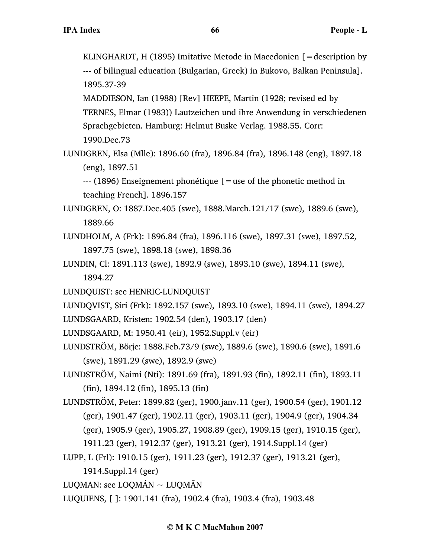KLINGHARDT, H (1895) Imitative Metode in Macedonien  $[$  = description by --- of bilingual education (Bulgarian, Greek) in Bukovo, Balkan Peninsula]. 1895.37-39

MADDIESON, Ian (1988) [Rev] HEEPE, Martin (1928; revised ed by TERNES, Elmar (1983)) Lautzeichen und ihre Anwendung in verschiedenen Sprachgebieten. Hamburg: Helmut Buske Verlag. 1988.55. Corr: 1990.Dec.73

LUNDGREN, Elsa (Mlle): 1896.60 (fra), 1896.84 (fra), 1896.148 (eng), 1897.18 (eng), 1897.51

--- (1896) Enseignement phonétique [=use of the phonetic method in teaching French]. 1896.157

- LUNDGREN, O: 1887.Dec.405 (swe), 1888.March.121/17 (swe), 1889.6 (swe), 1889.66
- LUNDHOLM, A (Frk): 1896.84 (fra), 1896.116 (swe), 1897.31 (swe), 1897.52, 1897.75 (swe), 1898.18 (swe), 1898.36
- LUNDIN, Cl: 1891.113 (swe), 1892.9 (swe), 1893.10 (swe), 1894.11 (swe), 1894.27
- LUNDQUIST: see HENRIC-LUNDQUIST
- LUNDQVIST, Siri (Frk): 1892.157 (swe), 1893.10 (swe), 1894.11 (swe), 1894.27
- LUNDSGAARD, Kristen: 1902.54 (den), 1903.17 (den)
- LUNDSGAARD, M: 1950.41 (eir), 1952.Suppl.v (eir)
- LUNDSTRÖM, Börje: 1888.Feb.73/9 (swe), 1889.6 (swe), 1890.6 (swe), 1891.6 (swe), 1891.29 (swe), 1892.9 (swe)
- LUNDSTRÖM, Naimi (Nti): 1891.69 (fra), 1891.93 (fin), 1892.11 (fin), 1893.11 (fin), 1894.12 (fin), 1895.13 (fin)
- LUNDSTRÖM, Peter: 1899.82 (ger), 1900.janv.11 (ger), 1900.54 (ger), 1901.12 (ger), 1901.47 (ger), 1902.11 (ger), 1903.11 (ger), 1904.9 (ger), 1904.34 (ger), 1905.9 (ger), 1905.27, 1908.89 (ger), 1909.15 (ger), 1910.15 (ger),
	- 1911.23 (ger), 1912.37 (ger), 1913.21 (ger), 1914.Suppl.14 (ger)
- LUPP, L (Frl): 1910.15 (ger), 1911.23 (ger), 1912.37 (ger), 1913.21 (ger),
	- 1914.Suppl.14 (ger)
- LUQMAN: see LOQMÁN  $\sim$  LUQMAN
- LUQUIENS, [ ]: 1901.141 (fra), 1902.4 (fra), 1903.4 (fra), 1903.48